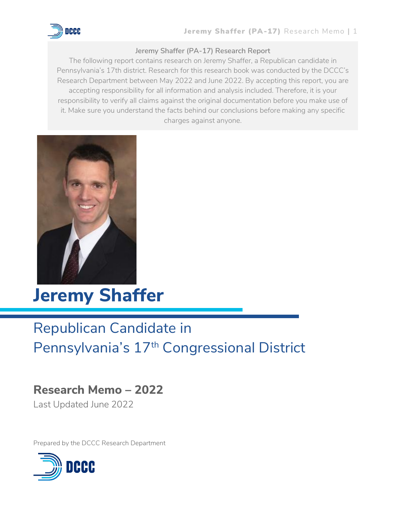

## **Jeremy Shaffer (PA-17) Research Report**

The following report contains research on Jeremy Shaffer, a Republican candidate in Pennsylvania's 17th district. Research for this research book was conducted by the DCCC's Research Department between May 2022 and June 2022. By accepting this report, you are accepting responsibility for all information and analysis included. Therefore, it is your responsibility to verify all claims against the original documentation before you make use of it. Make sure you understand the facts behind our conclusions before making any specific charges against anyone.



**Jeremy Shaffer**

# Republican Candidate in Pennsylvania's 17<sup>th</sup> Congressional District

# **Research Memo – 2022**

Last Updated June 2022

Prepared by the DCCC Research Department

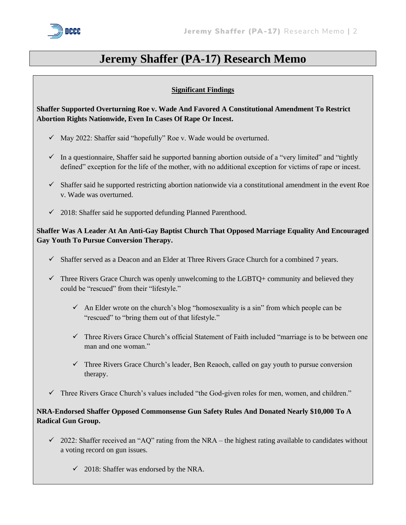

## **Jeremy Shaffer (PA-17) Research Memo**

## **Significant Findings**

**Shaffer Supported Overturning Roe v. Wade And Favored A Constitutional Amendment To Restrict Abortion Rights Nationwide, Even In Cases Of Rape Or Incest.**

- ✓ May 2022: Shaffer said "hopefully" Roe v. Wade would be overturned.
- $\checkmark$  In a questionnaire, Shaffer said he supported banning abortion outside of a "very limited" and "tightly defined" exception for the life of the mother, with no additional exception for victims of rape or incest.
- $\checkmark$  Shaffer said he supported restricting abortion nationwide via a constitutional amendment in the event Roe v. Wade was overturned.
- ✓ 2018: Shaffer said he supported defunding Planned Parenthood.

## **Shaffer Was A Leader At An Anti-Gay Baptist Church That Opposed Marriage Equality And Encouraged Gay Youth To Pursue Conversion Therapy.**

- $\checkmark$  Shaffer served as a Deacon and an Elder at Three Rivers Grace Church for a combined 7 years.
- $\checkmark$  Three Rivers Grace Church was openly unwelcoming to the LGBTQ+ community and believed they could be "rescued" from their "lifestyle."
	- $\checkmark$  An Elder wrote on the church's blog "homosexuality is a sin" from which people can be "rescued" to "bring them out of that lifestyle."
	- $\checkmark$  Three Rivers Grace Church's official Statement of Faith included "marriage is to be between one man and one woman."
	- $\checkmark$  Three Rivers Grace Church's leader, Ben Reaoch, called on gay youth to pursue conversion therapy.
- ✓ Three Rivers Grace Church's values included "the God-given roles for men, women, and children."

## **NRA-Endorsed Shaffer Opposed Commonsense Gun Safety Rules And Donated Nearly \$10,000 To A Radical Gun Group.**

- $\checkmark$  2022: Shaffer received an "AQ" rating from the NRA the highest rating available to candidates without a voting record on gun issues.
	- $\checkmark$  2018: Shaffer was endorsed by the NRA.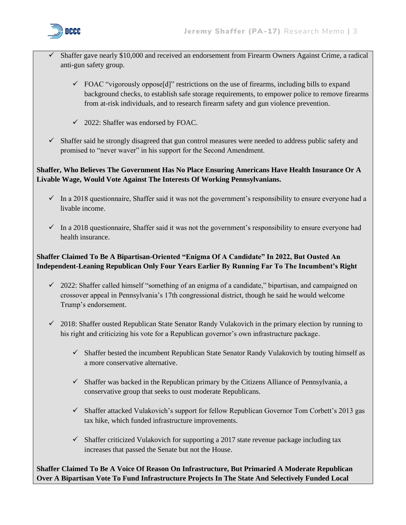

- Shaffer gave nearly \$10,000 and received an endorsement from Firearm Owners Against Crime, a radical anti-gun safety group.
	- $\checkmark$  FOAC "vigorously oppose<sup>[d]"</sup> restrictions on the use of firearms, including bills to expand background checks, to establish safe storage requirements, to empower police to remove firearms from at-risk individuals, and to research firearm safety and gun violence prevention.
	- $\checkmark$  2022: Shaffer was endorsed by FOAC.
- ✓ Shaffer said he strongly disagreed that gun control measures were needed to address public safety and promised to "never waver" in his support for the Second Amendment.

## **Shaffer, Who Believes The Government Has No Place Ensuring Americans Have Health Insurance Or A Livable Wage, Would Vote Against The Interests Of Working Pennsylvanians.**

- $\checkmark$  In a 2018 questionnaire, Shaffer said it was not the government's responsibility to ensure everyone had a livable income.
- ✓ In a 2018 questionnaire, Shaffer said it was not the government's responsibility to ensure everyone had health insurance.

## **Shaffer Claimed To Be A Bipartisan-Oriented "Enigma Of A Candidate" In 2022, But Ousted An Independent-Leaning Republican Only Four Years Earlier By Running Far To The Incumbent's Right**

- $\checkmark$  2022: Shaffer called himself "something of an enigma of a candidate," bipartisan, and campaigned on crossover appeal in Pennsylvania's 17th congressional district, though he said he would welcome Trump's endorsement.
- ✓ 2018: Shaffer ousted Republican State Senator Randy Vulakovich in the primary election by running to his right and criticizing his vote for a Republican governor's own infrastructure package.
	- $\checkmark$  Shaffer bested the incumbent Republican State Senator Randy Vulakovich by touting himself as a more conservative alternative.
	- $\checkmark$  Shaffer was backed in the Republican primary by the Citizens Alliance of Pennsylvania, a conservative group that seeks to oust moderate Republicans.
	- $\checkmark$  Shaffer attacked Vulakovich's support for fellow Republican Governor Tom Corbett's 2013 gas tax hike, which funded infrastructure improvements.
	- $\checkmark$  Shaffer criticized Vulakovich for supporting a 2017 state revenue package including tax increases that passed the Senate but not the House.

**Shaffer Claimed To Be A Voice Of Reason On Infrastructure, But Primaried A Moderate Republican Over A Bipartisan Vote To Fund Infrastructure Projects In The State And Selectively Funded Local**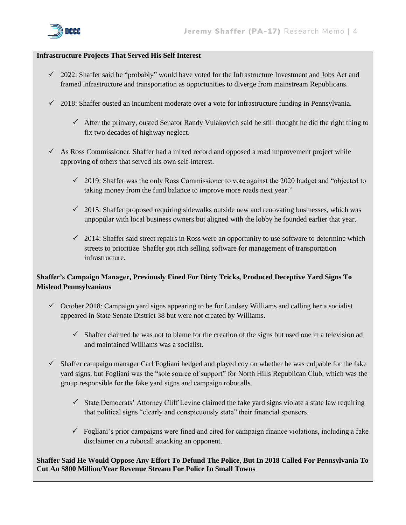

#### **Infrastructure Projects That Served His Self Interest**

- $\checkmark$  2022: Shaffer said he "probably" would have voted for the Infrastructure Investment and Jobs Act and framed infrastructure and transportation as opportunities to diverge from mainstream Republicans.
- $\checkmark$  2018: Shaffer ousted an incumbent moderate over a vote for infrastructure funding in Pennsylvania.
	- $\checkmark$  After the primary, ousted Senator Randy Vulakovich said he still thought he did the right thing to fix two decades of highway neglect.
- $\checkmark$  As Ross Commissioner, Shaffer had a mixed record and opposed a road improvement project while approving of others that served his own self-interest.
	- $\checkmark$  2019: Shaffer was the only Ross Commissioner to vote against the 2020 budget and "objected to taking money from the fund balance to improve more roads next year."
	- $\checkmark$  2015: Shaffer proposed requiring sidewalks outside new and renovating businesses, which was unpopular with local business owners but aligned with the lobby he founded earlier that year.
	- $\checkmark$  2014: Shaffer said street repairs in Ross were an opportunity to use software to determine which streets to prioritize. Shaffer got rich selling software for management of transportation infrastructure.

## **Shaffer's Campaign Manager, Previously Fined For Dirty Tricks, Produced Deceptive Yard Signs To Mislead Pennsylvanians**

- ✓ October 2018: Campaign yard signs appearing to be for Lindsey Williams and calling her a socialist appeared in State Senate District 38 but were not created by Williams.
	- $\checkmark$  Shaffer claimed he was not to blame for the creation of the signs but used one in a television ad and maintained Williams was a socialist.
- $\checkmark$  Shaffer campaign manager Carl Fogliani hedged and played coy on whether he was culpable for the fake yard signs, but Fogliani was the "sole source of support" for North Hills Republican Club, which was the group responsible for the fake yard signs and campaign robocalls.
	- $\checkmark$  State Democrats' Attorney Cliff Levine claimed the fake yard signs violate a state law requiring that political signs "clearly and conspicuously state" their financial sponsors.
	- $\checkmark$  Fogliani's prior campaigns were fined and cited for campaign finance violations, including a fake disclaimer on a robocall attacking an opponent.

**Shaffer Said He Would Oppose Any Effort To Defund The Police, But In 2018 Called For Pennsylvania To Cut An \$800 Million/Year Revenue Stream For Police In Small Towns**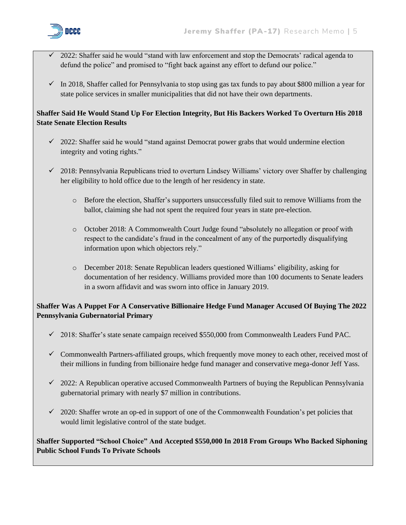

- ✓ 2022: Shaffer said he would "stand with law enforcement and stop the Democrats' radical agenda to defund the police" and promised to "fight back against any effort to defund our police."
- $\checkmark$  In 2018, Shaffer called for Pennsylvania to stop using gas tax funds to pay about \$800 million a year for state police services in smaller municipalities that did not have their own departments.

## **Shaffer Said He Would Stand Up For Election Integrity, But His Backers Worked To Overturn His 2018 State Senate Election Results**

- $\checkmark$  2022: Shaffer said he would "stand against Democrat power grabs that would undermine election integrity and voting rights."
- ✓ 2018: Pennsylvania Republicans tried to overturn Lindsey Williams' victory over Shaffer by challenging her eligibility to hold office due to the length of her residency in state.
	- o Before the election, Shaffer's supporters unsuccessfully filed suit to remove Williams from the ballot, claiming she had not spent the required four years in state pre-election.
	- o October 2018: A Commonwealth Court Judge found "absolutely no allegation or proof with respect to the candidate's fraud in the concealment of any of the purportedly disqualifying information upon which objectors rely."
	- o December 2018: Senate Republican leaders questioned Williams' eligibility, asking for documentation of her residency. Williams provided more than 100 documents to Senate leaders in a sworn affidavit and was sworn into office in January 2019.

## **Shaffer Was A Puppet For A Conservative Billionaire Hedge Fund Manager Accused Of Buying The 2022 Pennsylvania Gubernatorial Primary**

- ✓ 2018: Shaffer's state senate campaign received \$550,000 from Commonwealth Leaders Fund PAC.
- $\checkmark$  Commonwealth Partners-affiliated groups, which frequently move money to each other, received most of their millions in funding from billionaire hedge fund manager and conservative mega-donor Jeff Yass.
- $\checkmark$  2022: A Republican operative accused Commonwealth Partners of buying the Republican Pennsylvania gubernatorial primary with nearly \$7 million in contributions.
- $\checkmark$  2020: Shaffer wrote an op-ed in support of one of the Commonwealth Foundation's pet policies that would limit legislative control of the state budget.

## **Shaffer Supported "School Choice" And Accepted \$550,000 In 2018 From Groups Who Backed Siphoning Public School Funds To Private Schools**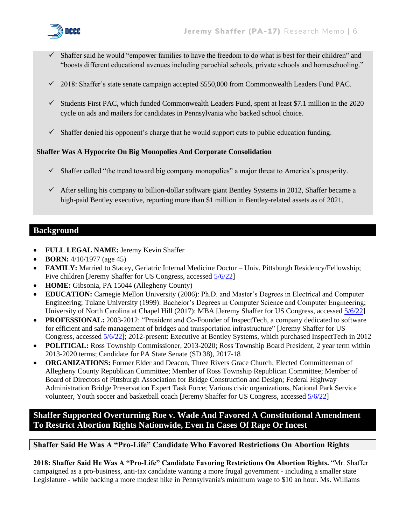

- Shaffer said he would "empower families to have the freedom to do what is best for their children" and "boosts different educational avenues including parochial schools, private schools and homeschooling."
- ✓ 2018: Shaffer's state senate campaign accepted \$550,000 from Commonwealth Leaders Fund PAC.
- $\checkmark$  Students First PAC, which funded Commonwealth Leaders Fund, spent at least \$7.1 million in the 2020 cycle on ads and mailers for candidates in Pennsylvania who backed school choice.
- $\checkmark$  Shaffer denied his opponent's charge that he would support cuts to public education funding.

## **Shaffer Was A Hypocrite On Big Monopolies And Corporate Consolidation**

- ✓ Shaffer called "the trend toward big company monopolies" a major threat to America's prosperity.
- $\checkmark$  After selling his company to billion-dollar software giant Bentley Systems in 2012, Shaffer became a high-paid Bentley executive, reporting more than \$1 million in Bentley-related assets as of 2021.

## **Background**

- **FULL LEGAL NAME:** Jeremy Kevin Shaffer
- **BORN:** 4/10/1977 (age 45)
- **FAMILY:** Married to Stacey, Geriatric Internal Medicine Doctor Univ. Pittsburgh Residency/Fellowship; Five children [Jeremy Shaffer for US Congress, accessed [5/6/22\]](https://jeremyshaffer.com/about/)
- **HOME:** Gibsonia, PA 15044 (Allegheny County)
- **EDUCATION:** Carnegie Mellon University (2006): Ph.D. and Master's Degrees in Electrical and Computer Engineering; Tulane University (1999): Bachelor's Degrees in Computer Science and Computer Engineering; University of North Carolina at Chapel Hill (2017): MBA [Jeremy Shaffer for US Congress, accessed [5/6/22\]](https://jeremyshaffer.com/about/)
- **PROFESSIONAL:** 2003-2012: "President and Co-Founder of InspectTech, a company dedicated to software for efficient and safe management of bridges and transportation infrastructure" [Jeremy Shaffer for US Congress, accessed [5/6/22\]](https://jeremyshaffer.com/about/); 2012-present: Executive at Bentley Systems, which purchased InspectTech in 2012
- **POLITICAL:** Ross Township Commissioner, 2013-2020; Ross Township Board President, 2 year term within 2013-2020 terms; Candidate for PA State Senate (SD 38), 2017-18
- **ORGANIZATIONS:** Former Elder and Deacon, Three Rivers Grace Church; Elected Committeeman of Allegheny County Republican Committee; Member of Ross Township Republican Committee; Member of Board of Directors of Pittsburgh Association for Bridge Construction and Design; Federal Highway Administration Bridge Preservation Expert Task Force; Various civic organizations, National Park Service volunteer, Youth soccer and basketball coach [Jeremy Shaffer for US Congress, accessed [5/6/22\]](https://jeremyshaffer.com/about/)

## **Shaffer Supported Overturning Roe v. Wade And Favored A Constitutional Amendment To Restrict Abortion Rights Nationwide, Even In Cases Of Rape Or Incest**

## **Shaffer Said He Was A "Pro-Life" Candidate Who Favored Restrictions On Abortion Rights**

**2018: Shaffer Said He Was A "Pro-Life" Candidate Favoring Restrictions On Abortion Rights.** "Mr. Shaffer campaigned as a pro-business, anti-tax candidate wanting a more frugal government - including a smaller state Legislature - while backing a more modest hike in Pennsylvania's minimum wage to \$10 an hour. Ms. Williams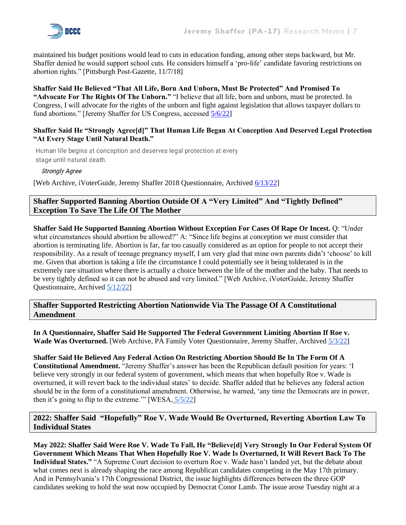

maintained his budget positions would lead to cuts in education funding, among other steps backward, but Mr. Shaffer denied he would support school cuts. He considers himself a 'pro-life' candidate favoring restrictions on abortion rights." [Pittsburgh Post-Gazette, 11/7/18]

**Shaffer Said He Believed "That All Life, Born And Unborn, Must Be Protected" And Promised To "Advocate For The Rights Of The Unborn."** "I believe that all life, born and unborn, must be protected. In Congress, I will advocate for the rights of the unborn and fight against legislation that allows taxpayer dollars to fund abortions." [Jeremy Shaffer for US Congress, accessed [5/6/22\]](https://jeremyshaffer.com/issues/)

#### **Shaffer Said He "Strongly Agree[d]" That Human Life Began At Conception And Deserved Legal Protection "At Every Stage Until Natural Death."**

Human life begins at conception and deserves legal protection at every stage until natural death.

**Strongly Agree** 

[Web Archive, iVoterGuide, Jeremy Shaffer 2018 Questionnaire, Archived [6/13/22\]](https://web.archive.org/web/20220613163442/https:/ivoterguide.com/candidate?elecK=610&raceK=6772&canK=39954)

## **Shaffer Supported Banning Abortion Outside Of A "Very Limited" And "Tightly Defined" Exception To Save The Life Of The Mother**

**Shaffer Said He Supported Banning Abortion Without Exception For Cases Of Rape Or Incest.** Q: "Under what circumstances should abortion be allowed?" A: "Since life begins at conception we must consider that abortion is terminating life. Abortion is far, far too casually considered as an option for people to not accept their responsibility. As a result of teenage pregnancy myself, I am very glad that mine own parents didn't 'choose' to kill me. Given that abortion is taking a life the circumstance I could potentially see it being tolderated is in the extremely rare situation where there is actually a choice between the life of the mother and the baby. That needs to be very tightly defined so it can not be abused and very limited." [Web Archive, iVoterGuide, Jeremy Shaffer Questionnaire, Archived [5/12/22\]](https://web.archive.org/web/20220512185947/https:/ivoterguide.com/candidate?elecK=875&raceK=158&primarypartyk=-&canK=39954&path=%2Fall-in-state%2Fpa)

**Shaffer Supported Restricting Abortion Nationwide Via The Passage Of A Constitutional Amendment**

**In A Questionnaire, Shaffer Said He Supported The Federal Government Limiting Abortion If Roe v. Wade Was Overturned.** [Web Archive, PA Family Voter Questionnaire, Jeremy Shaffer, Archived [5/3/22\]](https://web.archive.org/web/20220503133945/https:/www.pafamilyvoter.com/candidate/shaffer-jeremy/)

**Shaffer Said He Believed Any Federal Action On Restricting Abortion Should Be In The Form Of A Constitutional Amendment.** "Jeremy Shaffer's answer has been the Republican default position for years: 'I believe very strongly in our federal system of government, which means that when hopefully Roe v. Wade is overturned, it will revert back to the individual states' to decide. Shaffer added that he believes any federal action should be in the form of a constitutional amendment. Otherwise, he warned, 'any time the Democrats are in power, then it's going to flip to the extreme." [WESA,  $\frac{5}{5/22}$ ]

#### **2022: Shaffer Said "Hopefully" Roe V. Wade Would Be Overturned, Reverting Abortion Law To Individual States**

**May 2022: Shaffer Said Were Roe V. Wade To Fall, He "Believe[d] Very Strongly In Our Federal System Of Government Which Means That When Hopefully Roe V. Wade Is Overturned, It Will Revert Back To The Individual States."** "A Supreme Court decision to overturn Roe v. Wade hasn't landed yet, but the debate about what comes next is already shaping the race among Republican candidates competing in the May 17th primary. And in Pennsylvania's 17th Congressional District, the issue highlights differences between the three GOP candidates seeking to hold the seat now occupied by Democrat Conor Lamb. The issue arose Tuesday night at a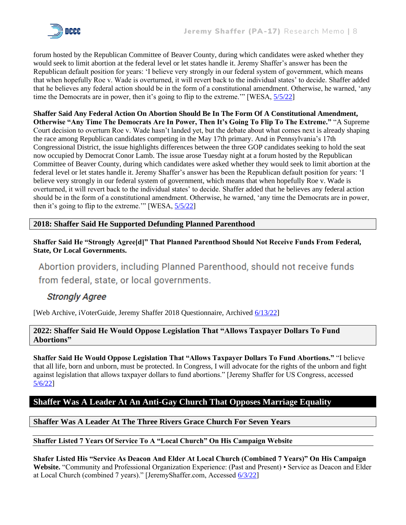

forum hosted by the Republican Committee of Beaver County, during which candidates were asked whether they would seek to limit abortion at the federal level or let states handle it. Jeremy Shaffer's answer has been the Republican default position for years: 'I believe very strongly in our federal system of government, which means that when hopefully Roe v. Wade is overturned, it will revert back to the individual states' to decide. Shaffer added that he believes any federal action should be in the form of a constitutional amendment. Otherwise, he warned, 'any time the Democrats are in power, then it's going to flip to the extreme." [WESA,  $\frac{5}{5}$ /22]

**Shaffer Said Any Federal Action On Abortion Should Be In The Form Of A Constitutional Amendment, Otherwise "Any Time The Democrats Are In Power, Then It's Going To Flip To The Extreme."** "A Supreme Court decision to overturn Roe v. Wade hasn't landed yet, but the debate about what comes next is already shaping the race among Republican candidates competing in the May 17th primary. And in Pennsylvania's 17th Congressional District, the issue highlights differences between the three GOP candidates seeking to hold the seat now occupied by Democrat Conor Lamb. The issue arose Tuesday night at a forum hosted by the Republican Committee of Beaver County, during which candidates were asked whether they would seek to limit abortion at the federal level or let states handle it. Jeremy Shaffer's answer has been the Republican default position for years: 'I believe very strongly in our federal system of government, which means that when hopefully Roe v. Wade is overturned, it will revert back to the individual states' to decide. Shaffer added that he believes any federal action should be in the form of a constitutional amendment. Otherwise, he warned, 'any time the Democrats are in power, then it's going to flip to the extreme." [WESA,  $\frac{5}{5/22}$ ]

## **2018: Shaffer Said He Supported Defunding Planned Parenthood**

**Shaffer Said He "Strongly Agree[d]" That Planned Parenthood Should Not Receive Funds From Federal, State, Or Local Governments.**

Abortion providers, including Planned Parenthood, should not receive funds from federal, state, or local governments.

## **Strongly Agree**

[Web Archive, iVoterGuide, Jeremy Shaffer 2018 Questionnaire, Archived [6/13/22\]](https://web.archive.org/web/20220613163442/https:/ivoterguide.com/candidate?elecK=610&raceK=6772&canK=39954)

#### **2022: Shaffer Said He Would Oppose Legislation That "Allows Taxpayer Dollars To Fund Abortions"**

**Shaffer Said He Would Oppose Legislation That "Allows Taxpayer Dollars To Fund Abortions."** "I believe that all life, born and unborn, must be protected. In Congress, I will advocate for the rights of the unborn and fight against legislation that allows taxpayer dollars to fund abortions." [Jeremy Shaffer for US Congress, accessed [5/6/22\]](https://jeremyshaffer.com/issues/)

## **Shaffer Was A Leader At An Anti-Gay Church That Opposes Marriage Equality**

#### **Shaffer Was A Leader At The Three Rivers Grace Church For Seven Years**

#### **Shaffer Listed 7 Years Of Service To A "Local Church" On His Campaign Website**

**Shafer Listed His "Service As Deacon And Elder At Local Church (Combined 7 Years)" On His Campaign Website.** "Community and Professional Organization Experience: (Past and Present) • Service as Deacon and Elder at Local Church (combined 7 years)." [JeremyShaffer.com, Accessed [6/3/22\]](https://jeremyshaffer.com/about/)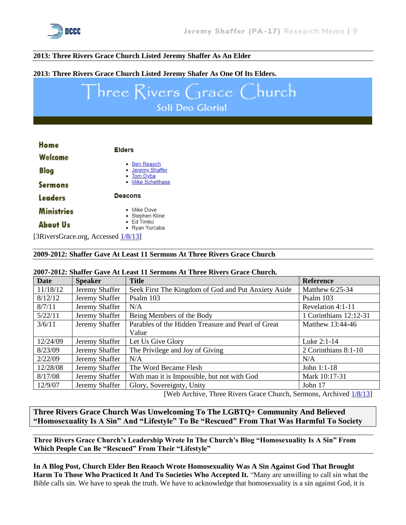

#### **2013: Three Rivers Grace Church Listed Jeremy Shaffer As An Elder**

#### **2013: Three Rivers Grace Church Listed Jeremy Shafer As One Of Its Elders.**

# Three Rivers Grace Church Soli Deo Gloria!

| Home                 | <b>Elders</b>                                         |
|----------------------|-------------------------------------------------------|
| Welcome              |                                                       |
| Blog                 | • Ben Reaoch<br>• <u>Jeremy Shaffer</u><br>• Tom Dyba |
| <b>Sermons</b>       | • Mike Schellhase                                     |
| <b>Leaders</b>       | <b>Deacons</b>                                        |
| <b>Ministries</b>    | • Mike Dove<br>• Stephen Kline                        |
| <b>About Us</b>      | $\bullet$ Fd Timko<br>• Ryan Yurcaba                  |
| $\sim$ $\sim$ $\sim$ | $1.4.0214$ $2.7$                                      |

[3RiversGrace.org, Accessed  $\frac{1/8}{13}$ ]

#### **2009-2012: Shaffer Gave At Least 11 Sermons At Three Rivers Grace Church**

#### **2007-2012: Shaffer Gave At Least 11 Sermons At Three Rivers Grace Church.**

| <b>Date</b> | <b>Speaker</b> | <b>Title</b>                                        | <b>Reference</b>       |
|-------------|----------------|-----------------------------------------------------|------------------------|
| 11/18/12    | Jeremy Shaffer | Seek First The Kingdom of God and Put Anxiety Aside | Matthew 6:25-34        |
| 8/12/12     | Jeremy Shaffer | Psalm 103                                           | Psalm 103              |
| 8/7/11      | Jeremy Shaffer | N/A                                                 | Revelation 4:1-11      |
| 5/22/11     | Jeremy Shaffer | Being Members of the Body                           | 1 Corinthians 12:12-31 |
| 3/6/11      | Jeremy Shaffer | Parables of the Hidden Treasure and Pearl of Great  | Matthew 13:44-46       |
|             |                | Value                                               |                        |
| 12/24/09    | Jeremy Shaffer | Let Us Give Glory                                   | Luke 2:1-14            |
| 8/23/09     | Jeremy Shaffer | The Privilege and Joy of Giving                     | 2 Corinthians 8:1-10   |
| 2/22/09     | Jeremy Shaffer | N/A                                                 | N/A                    |
| 12/28/08    | Jeremy Shaffer | The Word Became Flesh                               | John 1:1-18            |
| 8/17/08     | Jeremy Shaffer | With man it is Impossible, but not with God         | Mark 10:17-31          |
| 12/9/07     | Jeremy Shaffer | Glory, Sovereignty, Unity                           | John 17                |

[Web Archive, Three Rivers Grace Church, Sermons, Archived [1/8/13\]](https://web.archive.org/web/20130108091508/http:/www.3riversgrace.org/sermons.php)

**Three Rivers Grace Church Was Unwelcoming To The LGBTQ+ Community And Believed "Homosexuality Is A Sin" And "Lifestyle" To Be "Rescued" From That Was Harmful To Society**

**Three Rivers Grace Church's Leadership Wrote In The Church's Blog "Homosexuality Is A Sin" From Which People Can Be "Rescued" From Their "Lifestyle"**

**In A Blog Post, Church Elder Ben Reaoch Wrote Homosexuality Was A Sin Against God That Brought Harm To Those Who Practiced It And To Societies Who Accepted It.** "Many are unwilling to call sin what the Bible calls sin. We have to speak the truth. We have to acknowledge that homosexuality is a sin against God, it is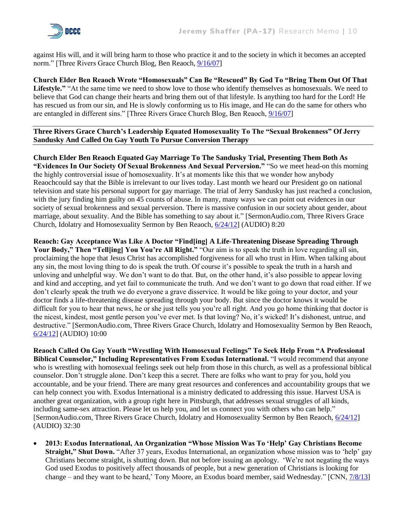against His will, and it will bring harm to those who practice it and to the society in which it becomes an accepted norm." [Three Rivers Grace Church Blog, Ben Reaoch, [9/16/07\]](https://web.archive.org/web/20080610184224/http:/www.3riversgracechurch.org/blog/2007/09/)

**Church Elder Ben Reaoch Wrote "Homosexuals" Can Be "Rescued" By God To "Bring Them Out Of That Lifestyle."** "At the same time we need to show love to those who identify themselves as homosexuals. We need to believe that God can change their hearts and bring them out of that lifestyle. Is anything too hard for the Lord! He has rescued us from our sin, and He is slowly conforming us to His image, and He can do the same for others who are entangled in different sins." [Three Rivers Grace Church Blog, Ben Reaoch, [9/16/07\]](https://web.archive.org/web/20080610184224/http:/www.3riversgracechurch.org/blog/2007/09/)

#### **Three Rivers Grace Church's Leadership Equated Homosexuality To The "Sexual Brokenness" Of Jerry Sandusky And Called On Gay Youth To Pursue Conversion Therapy**

**Church Elder Ben Reaoch Equated Gay Marriage To The Sandusky Trial, Presenting Them Both As "Evidences In Our Society Of Sexual Brokenness And Sexual Perversion."** "So we meet head-on this morning the highly controversial issue of homosexuality. It's at moments like this that we wonder how anybody Reaochcould say that the Bible is irrelevant to our lives today. Last month we heard our President go on national television and state his personal support for gay marriage. The trial of Jerry Sandusky has just reached a conclusion, with the jury finding him guilty on 45 counts of abuse. In many, many ways we can point out evidences in our society of sexual brokenness and sexual perversion. There is massive confusion in our society about gender, about marriage, about sexuality. And the Bible has something to say about it." [SermonAudio.com, Three Rivers Grace Church, Idolatry and Homosexuality Sermon by Ben Reaoch, [6/24/12\]](https://www.sermonaudio.com/sermoninfo.asp?SID=72512833362) (AUDIO) 8:20

**Reaoch: Gay Acceptance Was Like A Doctor "Find[ing] A Life-Threatening Disease Spreading Through**  Your Body," Then "Tellling] You You're All Right." "Our aim is to speak the truth in love regarding all sin, proclaiming the hope that Jesus Christ has accomplished forgiveness for all who trust in Him. When talking about any sin, the most loving thing to do is speak the truth. Of course it's possible to speak the truth in a harsh and unloving and unhelpful way. We don't want to do that. But, on the other hand, it's also possible to appear loving and kind and accepting, and yet fail to communicate the truth. And we don't want to go down that road either. If we don't clearly speak the truth we do everyone a grave disservice. It would be like going to your doctor, and your doctor finds a life-threatening disease spreading through your body. But since the doctor knows it would be difficult for you to hear that news, he or she just tells you you're all right. And you go home thinking that doctor is the nicest, kindest, most gentle person you've ever met. Is that loving? No, it's wicked! It's dishonest, untrue, and destructive." [SermonAudio.com, Three Rivers Grace Church, Idolatry and Homosexuality Sermon by Ben Reaoch, [6/24/12\]](https://www.sermonaudio.com/sermoninfo.asp?SID=72512833362) (AUDIO) 10:00

**Reaoch Called On Gay Youth "Wrestling With Homosexual Feelings" To Seek Help From "A Professional Biblical Counselor," Including Representatives From Exodus International.** "I would recommend that anyone who is wrestling with homosexual feelings seek out help from those in this church, as well as a professional biblical counselor. Don't struggle alone. Don't keep this a secret. There are folks who want to pray for you, hold you accountable, and be your friend. There are many great resources and conferences and accountability groups that we can help connect you with. Exodus International is a ministry dedicated to addressing this issue. Harvest USA is another great organization, with a group right here in Pittsburgh, that addresses sexual struggles of all kinds, including same-sex attraction. Please let us help you, and let us connect you with others who can help." [SermonAudio.com, Three Rivers Grace Church, Idolatry and Homosexuality Sermon by Ben Reaoch, [6/24/12\]](https://www.sermonaudio.com/sermoninfo.asp?SID=72512833362) (AUDIO) 32:30

• **2013: Exodus International, An Organization "Whose Mission Was To 'Help' Gay Christians Become Straight," Shut Down.** "After 37 years, Exodus International, an organization whose mission was to 'help' gay Christians become straight, is shutting down. But not before issuing an apology. 'We're not negating the ways God used Exodus to positively affect thousands of people, but a new generation of Christians is looking for change – and they want to be heard,' Tony Moore, an Exodus board member, said Wednesday." [CNN[, 7/8/13\]](https://www.cnn.com/2013/06/20/us/exodus-international-shutdown/index.html)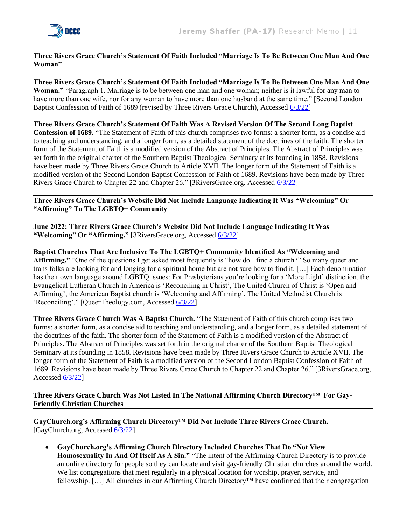

#### **Three Rivers Grace Church's Statement Of Faith Included "Marriage Is To Be Between One Man And One Woman"**

**Three Rivers Grace Church's Statement Of Faith Included "Marriage Is To Be Between One Man And One Woman."** "Paragraph 1. Marriage is to be between one man and one woman; neither is it lawful for any man to have more than one wife, nor for any woman to have more than one husband at the same time." [Second London Baptist Confession of Faith of 1689 (revised by Three Rivers Grace Church), Accessed [6/3/22\]](https://static1.squarespace.com/static/5d2cef9214b71c0001be802b/t/5d2cf5a912ca940001a46ec9/1563227561566/Second+London+Baptist+Confession+of+Faith+of+1689.pdf)

**Three Rivers Grace Church's Statement Of Faith Was A Revised Version Of The Second Long Baptist Confession of 1689.** "The Statement of Faith of this church comprises two forms: a shorter form, as a concise aid to teaching and understanding, and a longer form, as a detailed statement of the doctrines of the faith. The shorter form of the Statement of Faith is a modified version of the Abstract of Principles. The Abstract of Principles was set forth in the original charter of the Southern Baptist Theological Seminary at its founding in 1858. Revisions have been made by Three Rivers Grace Church to Article XVII. The longer form of the Statement of Faith is a modified version of the Second London Baptist Confession of Faith of 1689. Revisions have been made by Three Rivers Grace Church to Chapter 22 and Chapter 26." [3RiversGrace.org, Accessed [6/3/22\]](https://www.3riversgrace.org/what-we-believe)

#### **Three Rivers Grace Church's Website Did Not Include Language Indicating It Was "Welcoming" Or "Affirming" To The LGBTQ+ Community**

**June 2022: Three Rivers Grace Church's Website Did Not Include Language Indicating It Was "Welcoming" Or "Affirming."** [3RiversGrace.org, Accessed [6/3/22\]](https://www.3riversgrace.org/)

**Baptist Churches That Are Inclusive To The LGBTQ+ Community Identified As "Welcoming and Affirming."** "One of the questions I get asked most frequently is "how do I find a church?" So many queer and trans folks are looking for and longing for a spiritual home but are not sure how to find it. […] Each denomination has their own language around LGBTQ issues: For Presbyterians you're looking for a 'More Light' distinction, the Evangelical Lutheran Church In America is 'Reconciling in Christ', The United Church of Christ is 'Open and Affirming', the American Baptist church is 'Welcoming and Affirming', The United Methodist Church is 'Reconciling'." [QueerTheology.com, Accessed [6/3/22\]](https://www.queertheology.com/churches-lgbt-affirming-welcoming-safe/)

**Three Rivers Grace Church Was A Baptist Church.** "The Statement of Faith of this church comprises two forms: a shorter form, as a concise aid to teaching and understanding, and a longer form, as a detailed statement of the doctrines of the faith. The shorter form of the Statement of Faith is a modified version of the Abstract of Principles. The Abstract of Principles was set forth in the original charter of the Southern Baptist Theological Seminary at its founding in 1858. Revisions have been made by Three Rivers Grace Church to Article XVII. The longer form of the Statement of Faith is a modified version of the Second London Baptist Confession of Faith of 1689. Revisions have been made by Three Rivers Grace Church to Chapter 22 and Chapter 26." [3RiversGrace.org, Accessed  $6/3/22$ ]

**Three Rivers Grace Church Was Not Listed In The National Affirming Church Directory™ For Gay-Friendly Christian Churches**

**GayChurch.org's Affirming Church Directory™ Did Not Include Three Rivers Grace Church.** [GayChurch.org, Accessed [6/3/22\]](https://www.gaychurch.org/find_a_church/list-churches-by-state/?loc=PA)

• **GayChurch.org's Affirming Church Directory Included Churches That Do "Not View Homosexuality In And Of Itself As A Sin."** "The intent of the Affirming Church Directory is to provide an online directory for people so they can locate and visit gay-friendly Christian churches around the world. We list congregations that meet regularly in a physical location for worship, prayer, service, and fellowship. […] All churches in our Affirming Church Directory™ have confirmed that their congregation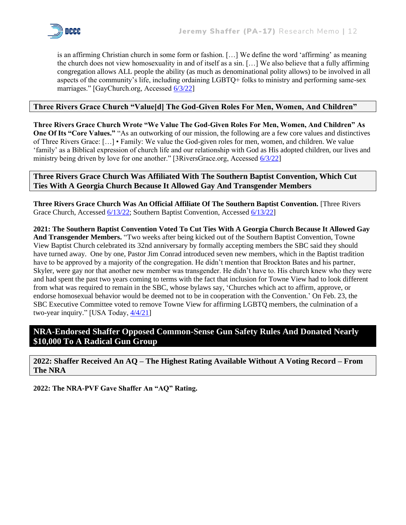

is an affirming Christian church in some form or fashion. […] We define the word 'affirming' as meaning the church does not view homosexuality in and of itself as a sin. […] We also believe that a fully affirming congregation allows ALL people the ability (as much as denominational polity allows) to be involved in all aspects of the community's life, including ordaining LGBTQ+ folks to ministry and performing same-sex marriages." [GayChurch.org, Accesse[d 6/3/22\]](https://www.gaychurch.org/find_a_church/about-our-directory/)

#### **Three Rivers Grace Church "Value[d] The God-Given Roles For Men, Women, And Children"**

**Three Rivers Grace Church Wrote "We Value The God-Given Roles For Men, Women, And Children" As One Of Its "Core Values."** "As an outworking of our mission, the following are a few core values and distinctives of Three Rivers Grace: […] • Family: We value the God-given roles for men, women, and children. We value 'family' as a Biblical expression of church life and our relationship with God as His adopted children, our lives and ministry being driven by love for one another." [3RiversGrace.org, Accessed [6/3/22\]](https://www.3riversgrace.org/what-we-believe)

#### **Three Rivers Grace Church Was Affiliated With The Southern Baptist Convention, Which Cut Ties With A Georgia Church Because It Allowed Gay And Transgender Members**

**Three Rivers Grace Church Was An Official Affiliate Of The Southern Baptist Convention.** [Three Rivers Grace Church, Accessed [6/13/22;](https://www.3riversgrace.org/what-we-believe) Southern Baptist Convention, Accessed [6/13/22\]](https://www.3riversgrace.org/what-we-believe)

**2021: The Southern Baptist Convention Voted To Cut Ties With A Georgia Church Because It Allowed Gay And Transgender Members.** "Two weeks after being kicked out of the Southern Baptist Convention, Towne View Baptist Church celebrated its 32nd anniversary by formally accepting members the SBC said they should have turned away. One by one, Pastor Jim Conrad introduced seven new members, which in the Baptist tradition have to be approved by a majority of the congregation. He didn't mention that Brockton Bates and his partner, Skyler, were gay nor that another new member was transgender. He didn't have to. His church knew who they were and had spent the past two years coming to terms with the fact that inclusion for Towne View had to look different from what was required to remain in the SBC, whose bylaws say, 'Churches which act to affirm, approve, or endorse homosexual behavior would be deemed not to be in cooperation with the Convention.' On Feb. 23, the SBC Executive Committee voted to remove Towne View for affirming LGBTQ members, the culmination of a two-year inquiry." [USA Today, [4/4/21\]](https://www.usatoday.com/story/news/nation/2021/04/04/southern-baptist-convention-georgia-church-accepts-gay-members/4840775001/)

## **NRA-Endorsed Shaffer Opposed Common-Sense Gun Safety Rules And Donated Nearly \$10,000 To A Radical Gun Group**

**2022: Shaffer Received An AQ – The Highest Rating Available Without A Voting Record – From The NRA**

**2022: The NRA-PVF Gave Shaffer An "AQ" Rating.**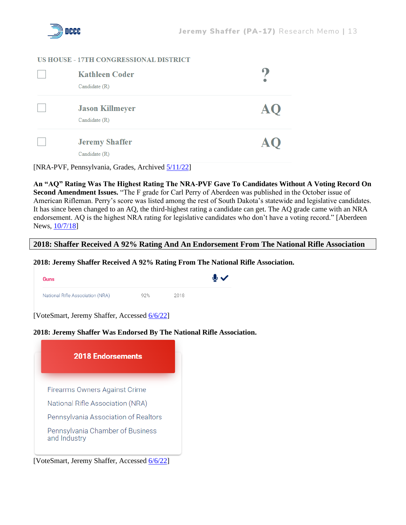

#### **US HOUSE - 17TH CONGRESSIONAL DISTRICT**

| <b>Kathleen Coder</b><br>Candidate (R)  |  |
|-----------------------------------------|--|
| <b>Jason Killmeyer</b><br>Candidate (R) |  |
| <b>Jeremy Shaffer</b><br>Candidate (R)  |  |

[NRA-PVF, Pennsylvania, Grades, Archived [5/11/22\]](https://web.archive.org/web/20220511152737/https:/www.nrapvf.org/grades/Pennsylvania/)

**An "AQ" Rating Was The Highest Rating The NRA-PVF Gave To Candidates Without A Voting Record On Second Amendment Issues.** "The F grade for Carl Perry of Aberdeen was published in the October issue of American Rifleman. Perry's score was listed among the rest of South Dakota's statewide and legislative candidates. It has since been changed to an AQ, the third-highest rating a candidate can get. The AQ grade came with an NRA endorsement. AQ is the highest NRA rating for legislative candidates who don't have a voting record." [Aberdeen News, [10/7/18\]](https://www.aberdeennews.com/story/news/local/2018/10/07/ra-amends-perrys-rating-up-after-publishing-f-grade/118842108/)

#### **2018: Shaffer Received A 92% Rating And An Endorsement From The National Rifle Association**

**2018: Jeremy Shaffer Received A 92% Rating From The National Rifle Association.**

| <b>Guns</b>                      |     |      | $\bullet\checkmark$ |
|----------------------------------|-----|------|---------------------|
| National Rifle Association (NRA) | 92% | 2018 |                     |

[VoteSmart, Jeremy Shaffer, Accessed [6/6/22\]](https://justfacts.votesmart.org/candidate/evaluations/161602/jeremy-shaffer)

#### **2018: Jeremy Shaffer Was Endorsed By The National Rifle Association.**



[VoteSmart, Jeremy Shaffer, Accessed [6/6/22\]](https://justfacts.votesmart.org/candidate/evaluations/161602/jeremy-shaffer)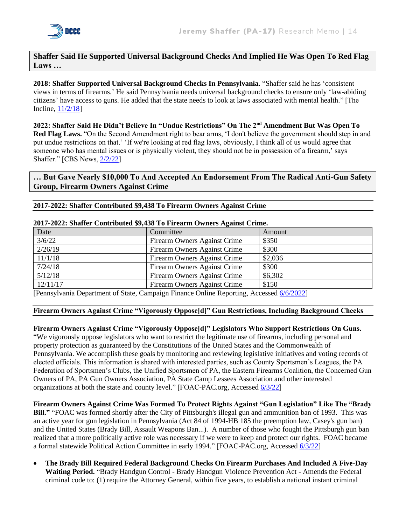

**Shaffer Said He Supported Universal Background Checks And Implied He Was Open To Red Flag Laws …**

**2018: Shaffer Supported Universal Background Checks In Pennsylvania.** "Shaffer said he has 'consistent views in terms of firearms.' He said Pennsylvania needs universal background checks to ensure only 'law-abiding citizens' have access to guns. He added that the state needs to look at laws associated with mental health." [The Incline, [11/2/18\]](https://archive.theincline.com/2018/11/02/pennsylvanias-district-38-state-senate-candidates-jeremy-shaffer-and-lindsey-williams-on-the-issues/)

**2022: Shaffer Said He Didn't Believe In "Undue Restrictions" On The 2nd Amendment But Was Open To Red Flag Laws.** "On the Second Amendment right to bear arms, 'I don't believe the government should step in and put undue restrictions on that.' 'If we're looking at red flag laws, obviously, I think all of us would agree that someone who has mental issues or is physically violent, they should not be in possession of a firearm,' says Shaffer." [CBS News, [2/2/22\]](https://www.cbsnews.com/pittsburgh/news/conservative-republican-jeremy-shaffer-suburban-congressional-election/)

**… But Gave Nearly \$10,000 To And Accepted An Endorsement From The Radical Anti-Gun Safety Group, Firearm Owners Against Crime**

#### **2017-2022: Shaffer Contributed \$9,438 To Firearm Owners Against Crime**

| 2017-2022: Shaher Contributed \$9,450 To Firearm Owners Against Crime. |                              |         |  |
|------------------------------------------------------------------------|------------------------------|---------|--|
| Date                                                                   | Committee                    | Amount  |  |
| 3/6/22                                                                 | Firearm Owners Against Crime | \$350   |  |
| 2/26/19                                                                | Firearm Owners Against Crime | \$300   |  |
| 11/1/18                                                                | Firearm Owners Against Crime | \$2,036 |  |
| 7/24/18                                                                | Firearm Owners Against Crime | \$300   |  |
| 5/12/18                                                                | Firearm Owners Against Crime | \$6,302 |  |
| 12/11/17                                                               | Firearm Owners Against Crime | \$150   |  |

#### **2017-2022: Shaffer Contributed \$9,438 To Firearm Owners Against Crime.**

[Pennsylvania Department of State, Campaign Finance Online Reporting, Accessed [6/6/2022\]](https://www.campaignfinanceonline.pa.gov/Pages/CFReportSearch.aspx)

#### **Firearm Owners Against Crime "Vigorously Oppose[d]" Gun Restrictions, Including Background Checks**

**Firearm Owners Against Crime "Vigorously Oppose[d]" Legislators Who Support Restrictions On Guns.**  "We vigorously oppose legislators who want to restrict the legitimate use of firearms, including personal and property protection as guaranteed by the Constitutions of the United States and the Commonwealth of Pennsylvania. We accomplish these goals by monitoring and reviewing legislative initiatives and voting records of elected officials. This information is shared with interested parties, such as County Sportsmen's Leagues, the PA Federation of Sportsmen's Clubs, the Unified Sportsmen of PA, the Eastern Firearms Coalition, the Concerned Gun Owners of PA, PA Gun Owners Association, PA State Camp Lessees Association and other interested organizations at both the state and county level." [FOAC-PAC.org, Accessed [6/3/22\]](https://foac-pac.org/Mission-Statement)

**Firearm Owners Against Crime Was Formed To Protect Rights Against "Gun Legislation" Like The "Brady Bill."** "FOAC was formed shortly after the City of Pittsburgh's illegal gun and ammunition ban of 1993. This was an active year for gun legislation in Pennsylvania (Act 84 of 1994-HB 185 the preemption law, Casey's gun ban) and the United States (Brady Bill, Assault Weapons Ban...). A number of those who fought the Pittsburgh gun ban realized that a more politically active role was necessary if we were to keep and protect our rights. FOAC became a formal statewide Political Action Committee in early 1994." [FOAC-PAC.org, Accessed [6/3/22\]](https://foac-pac.org/Mission-Statement)

• **The Brady Bill Required Federal Background Checks On Firearm Purchases And Included A Five-Day Waiting Period.** "Brady Handgun Control - Brady Handgun Violence Prevention Act - Amends the Federal criminal code to: (1) require the Attorney General, within five years, to establish a national instant criminal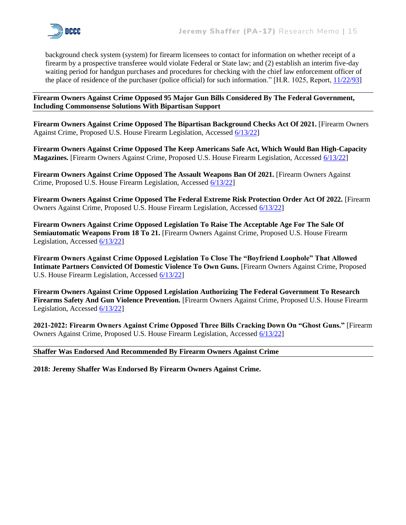

background check system (system) for firearm licensees to contact for information on whether receipt of a firearm by a prospective transferee would violate Federal or State law; and (2) establish an interim five-day waiting period for handgun purchases and procedures for checking with the chief law enforcement officer of the place of residence of the purchaser (police official) for such information." [H.R. 1025, Report[, 11/22/93\]](https://www.congress.gov/bill/103rd-congress/house-bill/1025)

#### **Firearm Owners Against Crime Opposed 95 Major Gun Bills Considered By The Federal Government, Including Commonsense Solutions With Bipartisan Support**

**Firearm Owners Against Crime Opposed The Bipartisan Background Checks Act Of 2021.** [Firearm Owners Against Crime, Proposed U.S. House Firearm Legislation, Accessed [6/13/22\]](https://foac-pac.org/Proposed-Federal-House-Legislation)

**Firearm Owners Against Crime Opposed The Keep Americans Safe Act, Which Would Ban High-Capacity Magazines.** [Firearm Owners Against Crime, Proposed U.S. House Firearm Legislation, Accessed [6/13/22\]](https://foac-pac.org/Proposed-Federal-House-Legislation)

**Firearm Owners Against Crime Opposed The Assault Weapons Ban Of 2021.** [Firearm Owners Against Crime, Proposed U.S. House Firearm Legislation, Accessed [6/13/22\]](https://foac-pac.org/Proposed-Federal-House-Legislation)

**Firearm Owners Against Crime Opposed The Federal Extreme Risk Protection Order Act Of 2022.** [Firearm Owners Against Crime, Proposed U.S. House Firearm Legislation, Accessed [6/13/22\]](https://foac-pac.org/Proposed-Federal-House-Legislation)

**Firearm Owners Against Crime Opposed Legislation To Raise The Acceptable Age For The Sale Of Semiautomatic Weapons From 18 To 21.** [Firearm Owners Against Crime, Proposed U.S. House Firearm Legislation, Accessed [6/13/22\]](https://foac-pac.org/Proposed-Federal-House-Legislation)

**Firearm Owners Against Crime Opposed Legislation To Close The "Boyfriend Loophole" That Allowed Intimate Partners Convicted Of Domestic Violence To Own Guns.** [Firearm Owners Against Crime, Proposed U.S. House Firearm Legislation, Accessed [6/13/22\]](https://foac-pac.org/Proposed-Federal-House-Legislation)

**Firearm Owners Against Crime Opposed Legislation Authorizing The Federal Government To Research Firearms Safety And Gun Violence Prevention.** [Firearm Owners Against Crime, Proposed U.S. House Firearm Legislation, Accessed [6/13/22\]](https://foac-pac.org/Proposed-Federal-House-Legislation)

**2021-2022: Firearm Owners Against Crime Opposed Three Bills Cracking Down On "Ghost Guns."** [Firearm Owners Against Crime, Proposed U.S. House Firearm Legislation, Accessed [6/13/22\]](https://foac-pac.org/Proposed-Federal-House-Legislation)

#### **Shaffer Was Endorsed And Recommended By Firearm Owners Against Crime**

**2018: Jeremy Shaffer Was Endorsed By Firearm Owners Against Crime.**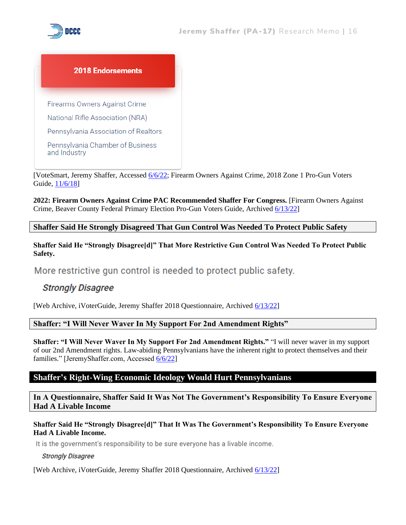



[VoteSmart, Jeremy Shaffer, Accessed [6/6/22;](https://justfacts.votesmart.org/candidate/evaluations/161602/jeremy-shaffer) Firearm Owners Against Crime, 2018 Zone 1 Pro-Gun Voters Guide, [11/6/18\]](https://foac-pac.org/voter_guides/2018%20Gen%20Voters%20Guide-Z-1-Vers-7.pdf)

**2022: Firearm Owners Against Crime PAC Recommended Shaffer For Congress.** [Firearm Owners Against Crime, Beaver County Federal Primary Election Pro-Gun Voters Guide, Archived [6/13/22\]](https://web.archive.org/web/20220613161939/https:/foac-pac.org/voters_guide/guides/2022-Beaver-County-Federal-Primary-Voter-Guide1655137132.pdf)

**Shaffer Said He Strongly Disagreed That Gun Control Was Needed To Protect Public Safety**

**Shaffer Said He "Strongly Disagree[d]" That More Restrictive Gun Control Was Needed To Protect Public Safety.**

More restrictive gun control is needed to protect public safety.

## **Strongly Disagree**

[Web Archive, iVoterGuide, Jeremy Shaffer 2018 Questionnaire, Archived [6/13/22\]](https://web.archive.org/web/20220613163442/https:/ivoterguide.com/candidate?elecK=610&raceK=6772&canK=39954)

#### **Shaffer: "I Will Never Waver In My Support For 2nd Amendment Rights"**

**Shaffer: "I Will Never Waver In My Support For 2nd Amendment Rights."** "I will never waver in my support of our 2nd Amendment rights. Law-abiding Pennsylvanians have the inherent right to protect themselves and their families." [JeremyShaffer.com, Accessed [6/6/22\]](https://jeremyshaffer.com/issues/)

## **Shaffer's Right-Wing Economic Ideology Would Hurt Pennsylvanians**

**In A Questionnaire, Shaffer Said It Was Not The Government's Responsibility To Ensure Everyone Had A Livable Income**

#### **Shaffer Said He "Strongly Disagree[d]" That It Was The Government's Responsibility To Ensure Everyone Had A Livable Income.**

It is the government's responsibility to be sure everyone has a livable income.

#### **Strongly Disagree**

[Web Archive, iVoterGuide, Jeremy Shaffer 2018 Questionnaire, Archived [6/13/22\]](https://web.archive.org/web/20220613163442/https:/ivoterguide.com/candidate?elecK=610&raceK=6772&canK=39954)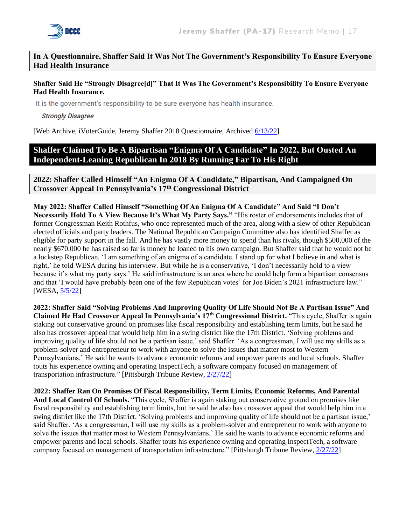

**In A Questionnaire, Shaffer Said It Was Not The Government's Responsibility To Ensure Everyone Had Health Insurance**

#### **Shaffer Said He "Strongly Disagree[d]" That It Was The Government's Responsibility To Ensure Everyone Had Health Insurance.**

It is the government's responsibility to be sure everyone has health insurance.

**Strongly Disagree** 

[Web Archive, iVoterGuide, Jeremy Shaffer 2018 Questionnaire, Archived [6/13/22\]](https://web.archive.org/web/20220613163442/https:/ivoterguide.com/candidate?elecK=610&raceK=6772&canK=39954)

## **Shaffer Claimed To Be A Bipartisan "Enigma Of A Candidate" In 2022, But Ousted An Independent-Leaning Republican In 2018 By Running Far To His Right**

**2022: Shaffer Called Himself "An Enigma Of A Candidate," Bipartisan, And Campaigned On Crossover Appeal In Pennsylvania's 17th Congressional District**

#### **May 2022: Shaffer Called Himself "Something Of An Enigma Of A Candidate" And Said "I Don't Necessarily Hold To A View Because It's What My Party Says."** "His roster of endorsements includes that of former Congressman Keith Rothfus, who once represented much of the area, along with a slew of other Republican elected officials and party leaders. The National Republican Campaign Committee also has identified Shaffer as eligible for party support in the fall. And he has vastly more money to spend than his rivals, though \$500,000 of the nearly \$670,000 he has raised so far is money he loaned to his own campaign. But Shaffer said that he would not be a lockstep Republican. 'I am something of an enigma of a candidate. I stand up for what I believe in and what is right,' he told WESA during his interview. But while he is a conservative, 'I don't necessarily hold to a view because it's what my party says.' He said infrastructure is an area where he could help form a bipartisan consensus and that 'I would have probably been one of the few Republican votes' for Joe Biden's 2021 infrastructure law." [WESA[, 5/5/22\]](https://www.wesa.fm/politics-government/2022-05-05/abortion-debate-animates-race-between-gop-congressional-candidates-in-17th-district)

**2022: Shaffer Said "Solving Problems And Improving Quality Of Life Should Not Be A Partisan Issue" And Claimed He Had Crossover Appeal In Pennsylvania's 17th Congressional District.** "This cycle, Shaffer is again staking out conservative ground on promises like fiscal responsibility and establishing term limits, but he said he also has crossover appeal that would help him in a swing district like the 17th District. 'Solving problems and improving quality of life should not be a partisan issue,' said Shaffer. 'As a congressman, I will use my skills as a problem-solver and entrepreneur to work with anyone to solve the issues that matter most to Western Pennsylvanians.' He said he wants to advance economic reforms and empower parents and local schools. Shaffer touts his experience owning and operating InspectTech, a software company focused on management of transportation infrastructure." [Pittsburgh Tribune Review, [2/27/22\]](https://triblive.com/local/regional/jeremy-shaffer-former-ross-commissioner-to-run-for-congress/)

**2022: Shaffer Ran On Promises Of Fiscal Responsibility, Term Limits, Economic Reforms, And Parental And Local Control Of Schools.** "This cycle, Shaffer is again staking out conservative ground on promises like fiscal responsibility and establishing term limits, but he said he also has crossover appeal that would help him in a swing district like the 17th District. 'Solving problems and improving quality of life should not be a partisan issue,' said Shaffer. 'As a congressman, I will use my skills as a problem-solver and entrepreneur to work with anyone to solve the issues that matter most to Western Pennsylvanians.' He said he wants to advance economic reforms and empower parents and local schools. Shaffer touts his experience owning and operating InspectTech, a software company focused on management of transportation infrastructure." [Pittsburgh Tribune Review, [2/27/22\]](https://triblive.com/local/regional/jeremy-shaffer-former-ross-commissioner-to-run-for-congress/)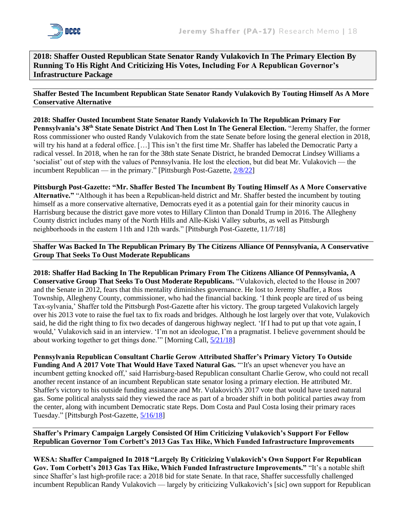**2018: Shaffer Ousted Republican State Senator Randy Vulakovich In The Primary Election By Running To His Right And Criticizing His Votes, Including For A Republican Governor's Infrastructure Package**

**Shaffer Bested The Incumbent Republican State Senator Randy Vulakovich By Touting Himself As A More Conservative Alternative**

**2018: Shaffer Ousted Incumbent State Senator Randy Vulakovich In The Republican Primary For Pennsylvania's 38th State Senate District And Then Lost In The General Election.** "Jeremy Shaffer, the former Ross commissioner who ousted Randy Vulakovich from the state Senate before losing the general election in 2018, will try his hand at a federal office. [...] This isn't the first time Mr. Shaffer has labeled the Democratic Party a radical vessel. In 2018, when he ran for the 38th state Senate District, he branded Democrat Lindsey Williams a 'socialist' out of step with the values of Pennsylvania. He lost the election, but did beat Mr. Vulakovich — the incumbent Republican — in the primary." [Pittsburgh Post-Gazette, [2/8/22\]](https://www.post-gazette.com/news/politics-local/2022/02/08/Former-Ross-commissioner-says-he-ll-run-for-GOP-spot-in-17th-District-congressional-race/stories/202202080100?cid=search)

**Pittsburgh Post-Gazette: "Mr. Shaffer Bested The Incumbent By Touting Himself As A More Conservative Alternative."** "Although it has been a Republican-held district and Mr. Shaffer bested the incumbent by touting himself as a more conservative alternative, Democrats eyed it as a potential gain for their minority caucus in Harrisburg because the district gave more votes to Hillary Clinton than Donald Trump in 2016. The Allegheny County district includes many of the North Hills and Alle-Kiski Valley suburbs, as well as Pittsburgh neighborhoods in the eastern 11th and 12th wards." [Pittsburgh Post-Gazette, 11/7/18]

**Shaffer Was Backed In The Republican Primary By The Citizens Alliance Of Pennsylvania, A Conservative Group That Seeks To Oust Moderate Republicans**

**2018: Shaffer Had Backing In The Republican Primary From The Citizens Alliance Of Pennsylvania, A Conservative Group That Seeks To Oust Moderate Republicans.** "Vulakovich, elected to the House in 2007 and the Senate in 2012, fears that this mentality diminishes governance. He lost to Jeremy Shaffer, a Ross Township, Allegheny County, commissioner, who had the financial backing. 'I think people are tired of us being Tax-sylvania,' Shaffer told the Pittsburgh Post-Gazette after his victory. The group targeted Vulakovich largely over his 2013 vote to raise the fuel tax to fix roads and bridges. Although he lost largely over that vote, Vulakovich said, he did the right thing to fix two decades of dangerous highway neglect. 'If I had to put up that vote again, I would,' Vulakovich said in an interview. 'I'm not an ideologue, I'm a pragmatist. I believe government should be about working together to get things done.'" [Morning Call, [5/21/18\]](https://www.mcall.com/news/pennsylvania/capitol-ideas/mc-nws-pennsylvania-progressive-tea-party-20180521-story.html)

**Pennsylvania Republican Consultant Charlie Gerow Attributed Shaffer's Primary Victory To Outside Funding And A 2017 Vote That Would Have Taxed Natural Gas.** "'It's an upset whenever you have an incumbent getting knocked off,' said Harrisburg-based Republican consultant Charlie Gerow, who could not recall another recent instance of an incumbent Republican state senator losing a primary election. He attributed Mr. Shaffer's victory to his outside funding assistance and Mr. Vulakovich's 2017 vote that would have taxed natural gas. Some political analysts said they viewed the race as part of a broader shift in both political parties away from the center, along with incumbent Democratic state Reps. Dom Costa and Paul Costa losing their primary races Tuesday." [Pittsburgh Post-Gazette, [5/16/18\]](https://www.post-gazette.com/news/politics-state/2018/05/16/randy-Vulakovich-gas-tax-vote-to-blame-to-for-primary-defeat-pennsylvania-senate/stories/201805160147)

#### **Shaffer's Primary Campaign Largely Consisted Of Him Criticizing Vulakovich's Support For Fellow Republican Governor Tom Corbett's 2013 Gas Tax Hike, Which Funded Infrastructure Improvements**

**WESA: Shaffer Campaigned In 2018 "Largely By Criticizing Vulakovich's Own Support For Republican Gov. Tom Corbett's 2013 Gas Tax Hike, Which Funded Infrastructure Improvements."** "It's a notable shift since Shaffer's last high-profile race: a 2018 bid for state Senate. In that race, Shaffer successfully challenged incumbent Republican Randy Vulakovich — largely by criticizing Vulkakovich's [sic] own support for Republican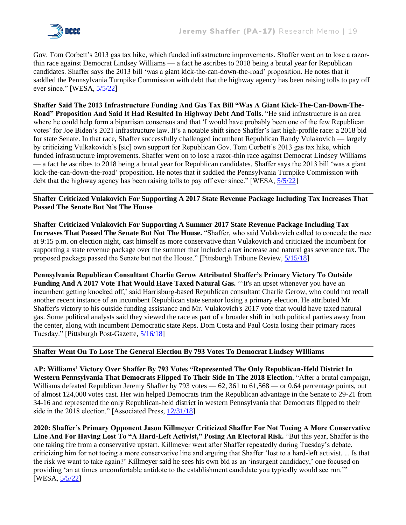

Gov. Tom Corbett's 2013 gas tax hike, which funded infrastructure improvements. Shaffer went on to lose a razorthin race against Democrat Lindsey Williams — a fact he ascribes to 2018 being a brutal year for Republican candidates. Shaffer says the 2013 bill 'was a giant kick-the-can-down-the-road' proposition. He notes that it saddled the Pennsylvania Turnpike Commission with debt that the highway agency has been raising tolls to pay off ever since." [WESA, [5/5/22\]](https://www.wesa.fm/politics-government/2022-05-05/abortion-debate-animates-race-between-gop-congressional-candidates-in-17th-district)

**Shaffer Said The 2013 Infrastructure Funding And Gas Tax Bill "Was A Giant Kick-The-Can-Down-The-Road" Proposition And Said It Had Resulted In Highway Debt And Tolls.** "He said infrastructure is an area where he could help form a bipartisan consensus and that 'I would have probably been one of the few Republican votes' for Joe Biden's 2021 infrastructure law. It's a notable shift since Shaffer's last high-profile race: a 2018 bid for state Senate. In that race, Shaffer successfully challenged incumbent Republican Randy Vulakovich — largely by criticizing Vulkakovich's [sic] own support for Republican Gov. Tom Corbett's 2013 gas tax hike, which funded infrastructure improvements. Shaffer went on to lose a razor-thin race against Democrat Lindsey Williams — a fact he ascribes to 2018 being a brutal year for Republican candidates. Shaffer says the 2013 bill 'was a giant kick-the-can-down-the-road' proposition. He notes that it saddled the Pennsylvania Turnpike Commission with debt that the highway agency has been raising tolls to pay off ever since." [WESA, [5/5/22\]](https://www.wesa.fm/politics-government/2022-05-05/abortion-debate-animates-race-between-gop-congressional-candidates-in-17th-district)

#### **Shaffer Criticized Vulakovich For Supporting A 2017 State Revenue Package Including Tax Increases That Passed The Senate But Not The House**

**Shaffer Criticized Vulakovich For Supporting A Summer 2017 State Revenue Package Including Tax Increases That Passed The Senate But Not The House.** "Shaffer, who said Vulakovich called to concede the race at 9:15 p.m. on election night, cast himself as more conservative than Vulakovich and criticized the incumbent for supporting a state revenue package over the summer that included a tax increase and natural gas severance tax. The proposed package passed the Senate but not the House." [Pittsburgh Tribune Review, [5/15/18\]](https://archive.triblive.com/local/valley-news-dispatch/shaffer-knocks-off-incumbent-vulakovich-in-state-senate-race/)

**Pennsylvania Republican Consultant Charlie Gerow Attributed Shaffer's Primary Victory To Outside**  Funding And A 2017 Vote That Would Have Taxed Natural Gas. "It's an upset whenever you have an incumbent getting knocked off,' said Harrisburg-based Republican consultant Charlie Gerow, who could not recall another recent instance of an incumbent Republican state senator losing a primary election. He attributed Mr. Shaffer's victory to his outside funding assistance and Mr. Vulakovich's 2017 vote that would have taxed natural gas. Some political analysts said they viewed the race as part of a broader shift in both political parties away from the center, along with incumbent Democratic state Reps. Dom Costa and Paul Costa losing their primary races Tuesday." [Pittsburgh Post-Gazette, [5/16/18\]](https://www.post-gazette.com/news/politics-state/2018/05/16/randy-Vulakovich-gas-tax-vote-to-blame-to-for-primary-defeat-pennsylvania-senate/stories/201805160147)

#### **Shaffer Went On To Lose The General Election By 793 Votes To Democrat Lindsey WIlliams**

**AP: Williams' Victory Over Shaffer By 793 Votes "Represented The Only Republican-Held District In Western Pennsylvania That Democrats Flipped To Their Side In The 2018 Election.** "After a brutal campaign, Williams defeated Republican Jeremy Shaffer by 793 votes — 62, 361 to 61,568 — or 0.64 percentage points, out of almost 124,000 votes cast. Her win helped Democrats trim the Republican advantage in the Senate to 29-21 from 34-16 and represented the only Republican-held district in western Pennsylvania that Democrats flipped to their side in the 2018 election." [Associated Press[, 12/31/18\]](https://apnews.com/article/de1168be16fd47b98a99b52ca583970e)

**2020: Shaffer's Primary Opponent Jason Killmeyer Criticized Shaffer For Not Toeing A More Conservative Line And For Having Lost To "A Hard-Left Activist," Posing An Electoral Risk.** "But this year, Shaffer is the one taking fire from a conservative upstart. Killmeyer went after Shaffer repeatedly during Tuesday's debate, criticizing him for not toeing a more conservative line and arguing that Shaffer 'lost to a hard-left activist. ... Is that the risk we want to take again?' Killmeyer said he sees his own bid as an 'insurgent candidacy,' one focused on providing 'an at times uncomfortable antidote to the establishment candidate you typically would see run."" [WESA[, 5/5/22\]](https://www.wesa.fm/politics-government/2022-05-05/abortion-debate-animates-race-between-gop-congressional-candidates-in-17th-district)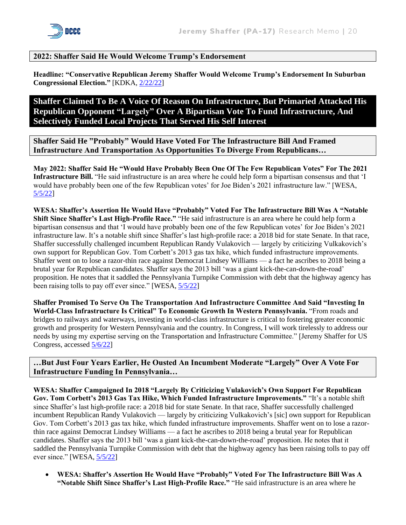

## **2022: Shaffer Said He Would Welcome Trump's Endorsement**

**Headline: "Conservative Republican Jeremy Shaffer Would Welcome Trump's Endorsement In Suburban Congressional Election."** [KDKA, [2/22/22\]](https://pittsburgh.cbslocal.com/2022/02/22/conservative-republican-jeremy-shaffer-suburban-congressional-election/)

## **Shaffer Claimed To Be A Voice Of Reason On Infrastructure, But Primaried Attacked His Republican Opponent "Largely" Over A Bipartisan Vote To Fund Infrastructure, And Selectively Funded Local Projects That Served His Self Interest**

**Shaffer Said He "Probably" Would Have Voted For The Infrastructure Bill And Framed Infrastructure And Transportation As Opportunities To Diverge From Republicans…** 

**May 2022: Shaffer Said He "Would Have Probably Been One Of The Few Republican Votes" For The 2021 Infrastructure Bill.** "He said infrastructure is an area where he could help form a bipartisan consensus and that 'I would have probably been one of the few Republican votes' for Joe Biden's 2021 infrastructure law." [WESA, [5/5/22\]](https://www.wesa.fm/politics-government/2022-05-05/abortion-debate-animates-race-between-gop-congressional-candidates-in-17th-district)

**WESA: Shaffer's Assertion He Would Have "Probably" Voted For The Infrastructure Bill Was A "Notable Shift Since Shaffer's Last High-Profile Race."** "He said infrastructure is an area where he could help form a bipartisan consensus and that 'I would have probably been one of the few Republican votes' for Joe Biden's 2021 infrastructure law. It's a notable shift since Shaffer's last high-profile race: a 2018 bid for state Senate. In that race, Shaffer successfully challenged incumbent Republican Randy Vulakovich — largely by criticizing Vulkakovich's own support for Republican Gov. Tom Corbett's 2013 gas tax hike, which funded infrastructure improvements. Shaffer went on to lose a razor-thin race against Democrat Lindsey Williams — a fact he ascribes to 2018 being a brutal year for Republican candidates. Shaffer says the 2013 bill 'was a giant kick-the-can-down-the-road' proposition. He notes that it saddled the Pennsylvania Turnpike Commission with debt that the highway agency has been raising tolls to pay off ever since." [WESA,  $5/5/22$ ]

**Shaffer Promised To Serve On The Transportation And Infrastructure Committee And Said "Investing In World-Class Infrastructure Is Critical" To Economic Growth In Western Pennsylvania.** "From roads and bridges to railways and waterways, investing in world-class infrastructure is critical to fostering greater economic growth and prosperity for Western Pennsylvania and the country. In Congress, I will work tirelessly to address our needs by using my expertise serving on the Transportation and Infrastructure Committee." [Jeremy Shaffer for US Congress, accessed [5/6/22\]](https://jeremyshaffer.com/issues/)

**…But Just Four Years Earlier, He Ousted An Incumbent Moderate "Largely" Over A Vote For Infrastructure Funding In Pennsylvania…**

**WESA: Shaffer Campaigned In 2018 "Largely By Criticizing Vulakovich's Own Support For Republican Gov. Tom Corbett's 2013 Gas Tax Hike, Which Funded Infrastructure Improvements."** "It's a notable shift since Shaffer's last high-profile race: a 2018 bid for state Senate. In that race, Shaffer successfully challenged incumbent Republican Randy Vulakovich — largely by criticizing Vulkakovich's [sic] own support for Republican Gov. Tom Corbett's 2013 gas tax hike, which funded infrastructure improvements. Shaffer went on to lose a razorthin race against Democrat Lindsey Williams — a fact he ascribes to 2018 being a brutal year for Republican candidates. Shaffer says the 2013 bill 'was a giant kick-the-can-down-the-road' proposition. He notes that it saddled the Pennsylvania Turnpike Commission with debt that the highway agency has been raising tolls to pay off ever since." [WESA, [5/5/22\]](https://www.wesa.fm/politics-government/2022-05-05/abortion-debate-animates-race-between-gop-congressional-candidates-in-17th-district)

• **WESA: Shaffer's Assertion He Would Have "Probably" Voted For The Infrastructure Bill Was A "Notable Shift Since Shaffer's Last High-Profile Race."** "He said infrastructure is an area where he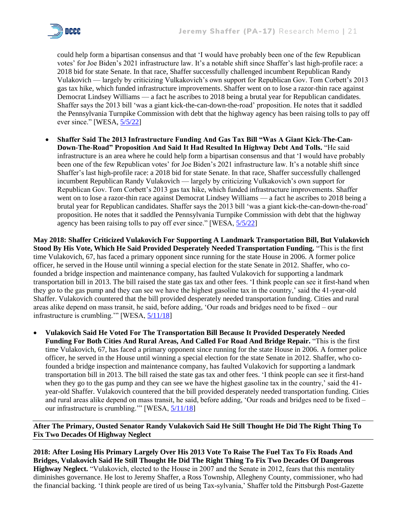

could help form a bipartisan consensus and that 'I would have probably been one of the few Republican votes' for Joe Biden's 2021 infrastructure law. It's a notable shift since Shaffer's last high-profile race: a 2018 bid for state Senate. In that race, Shaffer successfully challenged incumbent Republican Randy Vulakovich — largely by criticizing Vulkakovich's own support for Republican Gov. Tom Corbett's 2013 gas tax hike, which funded infrastructure improvements. Shaffer went on to lose a razor-thin race against Democrat Lindsey Williams — a fact he ascribes to 2018 being a brutal year for Republican candidates. Shaffer says the 2013 bill 'was a giant kick-the-can-down-the-road' proposition. He notes that it saddled the Pennsylvania Turnpike Commission with debt that the highway agency has been raising tolls to pay off ever since." [WESA,  $\frac{5}{5/22}$ ]

• **Shaffer Said The 2013 Infrastructure Funding And Gas Tax Bill "Was A Giant Kick-The-Can-Down-The-Road" Proposition And Said It Had Resulted In Highway Debt And Tolls.** "He said infrastructure is an area where he could help form a bipartisan consensus and that 'I would have probably been one of the few Republican votes' for Joe Biden's 2021 infrastructure law. It's a notable shift since Shaffer's last high-profile race: a 2018 bid for state Senate. In that race, Shaffer successfully challenged incumbent Republican Randy Vulakovich — largely by criticizing Vulkakovich's own support for Republican Gov. Tom Corbett's 2013 gas tax hike, which funded infrastructure improvements. Shaffer went on to lose a razor-thin race against Democrat Lindsey Williams — a fact he ascribes to 2018 being a brutal year for Republican candidates. Shaffer says the 2013 bill 'was a giant kick-the-can-down-the-road' proposition. He notes that it saddled the Pennsylvania Turnpike Commission with debt that the highway agency has been raising tolls to pay off ever since." [WESA, [5/5/22\]](https://www.wesa.fm/politics-government/2022-05-05/abortion-debate-animates-race-between-gop-congressional-candidates-in-17th-district)

**May 2018: Shaffer Criticized Vulakovich For Supporting A Landmark Transportation Bill, But Vulakovich Stood By His Vote, Which He Said Provided Desperately Needed Transportation Funding.** "This is the first time Vulakovich, 67, has faced a primary opponent since running for the state House in 2006. A former police officer, he served in the House until winning a special election for the state Senate in 2012. Shaffer, who cofounded a bridge inspection and maintenance company, has faulted Vulakovich for supporting a landmark transportation bill in 2013. The bill raised the state gas tax and other fees. 'I think people can see it first-hand when they go to the gas pump and they can see we have the highest gasoline tax in the country,' said the 41-year-old Shaffer. Vulakovich countered that the bill provided desperately needed transportation funding. Cities and rural areas alike depend on mass transit, he said, before adding, 'Our roads and bridges need to be fixed – our infrastructure is crumbling.'" [WESA, [5/11/18\]](https://www.wesa.fm/politics-government/2018-05-11/both-parties-see-competitive-primary-in-vulakovichs-district)

• **Vulakovich Said He Voted For The Transportation Bill Because It Provided Desperately Needed Funding For Both Cities And Rural Areas, And Called For Road And Bridge Repair.** "This is the first time Vulakovich, 67, has faced a primary opponent since running for the state House in 2006. A former police officer, he served in the House until winning a special election for the state Senate in 2012. Shaffer, who cofounded a bridge inspection and maintenance company, has faulted Vulakovich for supporting a landmark transportation bill in 2013. The bill raised the state gas tax and other fees. 'I think people can see it first-hand when they go to the gas pump and they can see we have the highest gasoline tax in the country,' said the 41year-old Shaffer. Vulakovich countered that the bill provided desperately needed transportation funding. Cities and rural areas alike depend on mass transit, he said, before adding, 'Our roads and bridges need to be fixed – our infrastructure is crumbling.'" [WESA, [5/11/18\]](https://www.wesa.fm/politics-government/2018-05-11/both-parties-see-competitive-primary-in-vulakovichs-district)

**After The Primary, Ousted Senator Randy Vulakovich Said He Still Thought He Did The Right Thing To Fix Two Decades Of Highway Neglect**

**2018: After Losing His Primary Largely Over His 2013 Vote To Raise The Fuel Tax To Fix Roads And Bridges, Vulakovich Said He Still Thought He Did The Right Thing To Fix Two Decades Of Dangerous Highway Neglect.** "Vulakovich, elected to the House in 2007 and the Senate in 2012, fears that this mentality diminishes governance. He lost to Jeremy Shaffer, a Ross Township, Allegheny County, commissioner, who had the financial backing. 'I think people are tired of us being Tax-sylvania,' Shaffer told the Pittsburgh Post-Gazette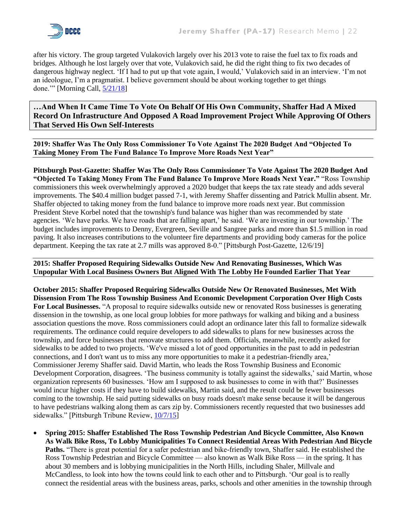

after his victory. The group targeted Vulakovich largely over his 2013 vote to raise the fuel tax to fix roads and bridges. Although he lost largely over that vote, Vulakovich said, he did the right thing to fix two decades of dangerous highway neglect. 'If I had to put up that vote again, I would,' Vulakovich said in an interview. 'I'm not an ideologue, I'm a pragmatist. I believe government should be about working together to get things done.'" [Morning Call, [5/21/18\]](https://www.mcall.com/news/pennsylvania/capitol-ideas/mc-nws-pennsylvania-progressive-tea-party-20180521-story.html)

## **…And When It Came Time To Vote On Behalf Of His Own Community, Shaffer Had A Mixed Record On Infrastructure And Opposed A Road Improvement Project While Approving Of Others That Served His Own Self-Interests**

**2019: Shaffer Was The Only Ross Commissioner To Vote Against The 2020 Budget And "Objected To Taking Money From The Fund Balance To Improve More Roads Next Year"**

**Pittsburgh Post-Gazette: Shaffer Was The Only Ross Commissioner To Vote Against The 2020 Budget And "Objected To Taking Money From The Fund Balance To Improve More Roads Next Year."** "Ross Township commissioners this week overwhelmingly approved a 2020 budget that keeps the tax rate steady and adds several improvements. The \$40.4 million budget passed 7-1, with Jeremy Shaffer dissenting and Patrick Mullin absent. Mr. Shaffer objected to taking money from the fund balance to improve more roads next year. But commission President Steve Korbel noted that the township's fund balance was higher than was recommended by state agencies. 'We have parks. We have roads that are falling apart,' he said. 'We are investing in our township.' The budget includes improvements to Denny, Evergreen, Seville and Sangree parks and more than \$1.5 million in road paving. It also increases contributions to the volunteer fire departments and providing body cameras for the police department. Keeping the tax rate at 2.7 mills was approved 8-0." [Pittsburgh Post-Gazette, 12/6/19]

**2015: Shaffer Proposed Requiring Sidewalks Outside New And Renovating Businesses, Which Was Unpopular With Local Business Owners But Aligned With The Lobby He Founded Earlier That Year**

**October 2015: Shaffer Proposed Requiring Sidewalks Outside New Or Renovated Businesses, Met With Dissension From The Ross Township Business And Economic Development Corporation Over High Costs For Local Businesses.** "A proposal to require sidewalks outside new or renovated Ross businesses is generating dissension in the township, as one local group lobbies for more pathways for walking and biking and a business association questions the move. Ross commissioners could adopt an ordinance later this fall to formalize sidewalk requirements. The ordinance could require developers to add sidewalks to plans for new businesses across the township, and force businesses that renovate structures to add them. Officials, meanwhile, recently asked for sidewalks to be added to two projects. 'We've missed a lot of good opportunities in the past to add in pedestrian connections, and I don't want us to miss any more opportunities to make it a pedestrian-friendly area,' Commissioner Jeremy Shaffer said. David Martin, who leads the Ross Township Business and Economic Development Corporation, disagrees. 'The business community is totally against the sidewalks,' said Martin, whose organization represents 60 businesses. 'How am I supposed to ask businesses to come in with that?' Businesses would incur higher costs if they have to build sidewalks, Martin said, and the result could be fewer businesses coming to the township. He said putting sidewalks on busy roads doesn't make sense because it will be dangerous to have pedestrians walking along them as cars zip by. Commissioners recently requested that two businesses add sidewalks." [Pittsburgh Tribune Review, [10/7/15\]](https://archive.triblive.com/news/battle-over-potential-sidewalk-ordinance-heats-up-in-ross/)

• **Spring 2015: Shaffer Established The Ross Township Pedestrian And Bicycle Committee, Also Known As Walk Bike Ross, To Lobby Municipalities To Connect Residential Areas With Pedestrian And Bicycle Paths.** "There is great potential for a safer pedestrian and bike-friendly town, Shaffer said. He established the Ross Township Pedestrian and Bicycle Committee — also known as Walk Bike Ross — in the spring. It has about 30 members and is lobbying municipalities in the North Hills, including Shaler, Millvale and McCandless, to look into how the towns could link to each other and to Pittsburgh. 'Our goal is to really connect the residential areas with the business areas, parks, schools and other amenities in the township through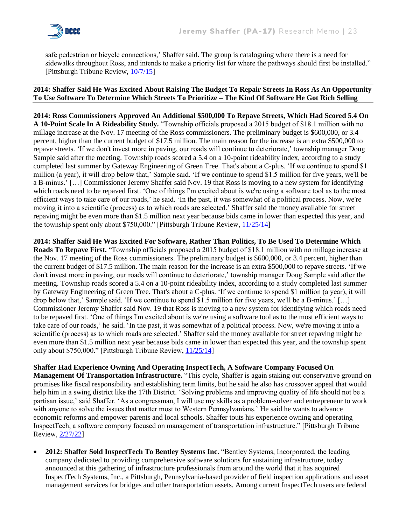

safe pedestrian or bicycle connections,' Shaffer said. The group is cataloguing where there is a need for sidewalks throughout Ross, and intends to make a priority list for where the pathways should first be installed." [Pittsburgh Tribune Review, [10/7/15\]](https://archive.triblive.com/news/battle-over-potential-sidewalk-ordinance-heats-up-in-ross/)

#### **2014: Shaffer Said He Was Excited About Raising The Budget To Repair Streets In Ross As An Opportunity To Use Software To Determine Which Streets To Prioritize – The Kind Of Software He Got Rich Selling**

**2014: Ross Commissioners Approved An Additional \$500,000 To Repave Streets, Which Had Scored 5.4 On A 10-Point Scale In A Rideability Study.** "Township officials proposed a 2015 budget of \$18.1 million with no millage increase at the Nov. 17 meeting of the Ross commissioners. The preliminary budget is \$600,000, or 3.4 percent, higher than the current budget of \$17.5 million. The main reason for the increase is an extra \$500,000 to repave streets. 'If we don't invest more in paving, our roads will continue to deteriorate,' township manager Doug Sample said after the meeting. Township roads scored a 5.4 on a 10-point rideability index, according to a study completed last summer by Gateway Engineering of Green Tree. That's about a C-plus. 'If we continue to spend \$1 million (a year), it will drop below that,' Sample said. 'If we continue to spend \$1.5 million for five years, we'll be a B-minus.' […] Commissioner Jeremy Shaffer said Nov. 19 that Ross is moving to a new system for identifying which roads need to be repaved first. 'One of things I'm excited about is we're using a software tool as to the most efficient ways to take care of our roads,' he said. 'In the past, it was somewhat of a political process. Now, we're moving it into a scientific (process) as to which roads are selected.' Shaffer said the money available for street repaving might be even more than \$1.5 million next year because bids came in lower than expected this year, and the township spent only about \$750,000." [Pittsburgh Tribune Review,  $\frac{11}{25/14}$ ]

**2014: Shaffer Said He Was Excited For Software, Rather Than Politics, To Be Used To Determine Which Roads To Repave First.** "Township officials proposed a 2015 budget of \$18.1 million with no millage increase at the Nov. 17 meeting of the Ross commissioners. The preliminary budget is \$600,000, or 3.4 percent, higher than the current budget of \$17.5 million. The main reason for the increase is an extra \$500,000 to repave streets. 'If we don't invest more in paving, our roads will continue to deteriorate,' township manager Doug Sample said after the meeting. Township roads scored a 5.4 on a 10-point rideability index, according to a study completed last summer by Gateway Engineering of Green Tree. That's about a C-plus. 'If we continue to spend \$1 million (a year), it will drop below that,' Sample said. 'If we continue to spend \$1.5 million for five years, we'll be a B-minus.' […] Commissioner Jeremy Shaffer said Nov. 19 that Ross is moving to a new system for identifying which roads need to be repaved first. 'One of things I'm excited about is we're using a software tool as to the most efficient ways to take care of our roads,' he said. 'In the past, it was somewhat of a political process. Now, we're moving it into a scientific (process) as to which roads are selected.' Shaffer said the money available for street repaving might be even more than \$1.5 million next year because bids came in lower than expected this year, and the township spent only about \$750,000." [Pittsburgh Tribune Review,  $\frac{11}{25/14}$ ]

**Shaffer Had Experience Owning And Operating InspectTech, A Software Company Focused On Management Of Transportation Infrastructure.** "This cycle, Shaffer is again staking out conservative ground on promises like fiscal responsibility and establishing term limits, but he said he also has crossover appeal that would help him in a swing district like the 17th District. 'Solving problems and improving quality of life should not be a partisan issue,' said Shaffer. 'As a congressman, I will use my skills as a problem-solver and entrepreneur to work with anyone to solve the issues that matter most to Western Pennsylvanians.' He said he wants to advance economic reforms and empower parents and local schools. Shaffer touts his experience owning and operating InspectTech, a software company focused on management of transportation infrastructure." [Pittsburgh Tribune Review, [2/27/22\]](https://triblive.com/local/regional/jeremy-shaffer-former-ross-commissioner-to-run-for-congress/)

• **2012: Shaffer Sold InspectTech To Bentley Systems Inc.** "Bentley Systems, Incorporated, the leading company dedicated to providing comprehensive software solutions for sustaining infrastructure, today announced at this gathering of infrastructure professionals from around the world that it has acquired InspectTech Systems, Inc., a Pittsburgh, Pennsylvania-based provider of field inspection applications and asset management services for bridges and other transportation assets. Among current InspectTech users are federal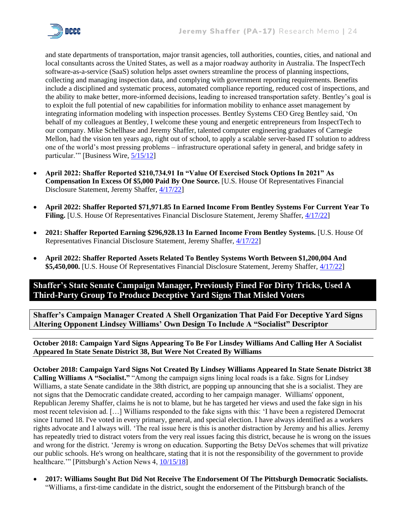

and state departments of transportation, major transit agencies, toll authorities, counties, cities, and national and local consultants across the United States, as well as a major roadway authority in Australia. The InspectTech software-as-a-service (SaaS) solution helps asset owners streamline the process of planning inspections, collecting and managing inspection data, and complying with government reporting requirements. Benefits include a disciplined and systematic process, automated compliance reporting, reduced cost of inspections, and the ability to make better, more-informed decisions, leading to increased transportation safety. Bentley's goal is to exploit the full potential of new capabilities for information mobility to enhance asset management by integrating information modeling with inspection processes. Bentley Systems CEO Greg Bentley said, 'On behalf of my colleagues at Bentley, I welcome these young and energetic entrepreneurs from InspectTech to our company. Mike Schellhase and Jeremy Shaffer, talented computer engineering graduates of Carnegie Mellon, had the vision ten years ago, right out of school, to apply a scalable server-based IT solution to address one of the world's most pressing problems – infrastructure operational safety in general, and bridge safety in particular.'" [Business Wire, [5/15/12\]](https://www.businesswire.com/news/home/20120515006611/en/Bentley-Acquires-InspectTech-Leading-Provider-of-Software-as-a-Service-for-Bridge-Safety)

- **April 2022: Shaffer Reported \$210,734.91 In "Value Of Exercised Stock Options In 2021" As Compensation In Excess Of \$5,000 Paid By One Source.** [U.S. House Of Representatives Financial Disclosure Statement, Jeremy Shaffer, [4/17/22\]](https://disclosures-clerk.house.gov/public_disc/financial-pdfs/2022/10046273.pdf)
- **April 2022: Shaffer Reported \$71,971.85 In Earned Income From Bentley Systems For Current Year To**  Filing. [U.S. House Of Representatives Financial Disclosure Statement, Jeremy Shaffer,  $4/17/22$ ]
- **2021: Shaffer Reported Earning \$296,928.13 In Earned Income From Bentley Systems.** [U.S. House Of Representatives Financial Disclosure Statement, Jeremy Shaffer, [4/17/22\]](https://disclosures-clerk.house.gov/public_disc/financial-pdfs/2022/10046273.pdf)
- **April 2022: Shaffer Reported Assets Related To Bentley Systems Worth Between \$1,200,004 And \$5,450,000.** [U.S. House Of Representatives Financial Disclosure Statement, Jeremy Shaffer, [4/17/22\]](https://disclosures-clerk.house.gov/public_disc/financial-pdfs/2022/10046273.pdf)

## **Shaffer's State Senate Campaign Manager, Previously Fined For Dirty Tricks, Used A Third-Party Group To Produce Deceptive Yard Signs That Misled Voters**

**Shaffer's Campaign Manager Created A Shell Organization That Paid For Deceptive Yard Signs Altering Opponent Lindsey Williams' Own Design To Include A "Socialist" Descriptor**

**October 2018: Campaign Yard Signs Appearing To Be For Linsdey Williams And Calling Her A Socialist Appeared In State Senate District 38, But Were Not Created By Williams**

**October 2018: Campaign Yard Signs Not Created By Lindsey Williams Appeared In State Senate District 38 Calling Williams A "Socialist."** "Among the campaign signs lining local roads is a fake. Signs for Lindsey Williams, a state Senate candidate in the 38th district, are popping up announcing that she is a socialist. They are not signs that the Democratic candidate created, according to her campaign manager. Williams' opponent, Republican Jeremy Shaffer, claims he is not to blame, but he has targeted her views and used the fake sign in his most recent television ad. […] Williams responded to the fake signs with this: 'I have been a registered Democrat since I turned 18. I've voted in every primary, general, and special election. I have always identified as a workers rights advocate and I always will. 'The real issue here is this is another distraction by Jeremy and his allies. Jeremy has repeatedly tried to distract voters from the very real issues facing this district, because he is wrong on the issues and wrong for the district. 'Jeremy is wrong on education. Supporting the Betsy DeVos schemes that will privatize our public schools. He's wrong on healthcare, stating that it is not the responsibility of the government to provide healthcare."" [Pittsburgh's Action News 4,  $\frac{10}{15/18}$ ]

• **2017: Williams Sought But Did Not Receive The Endorsement Of The Pittsburgh Democratic Socialists.**  "Williams, a first-time candidate in the district, sought the endorsement of the Pittsburgh branch of the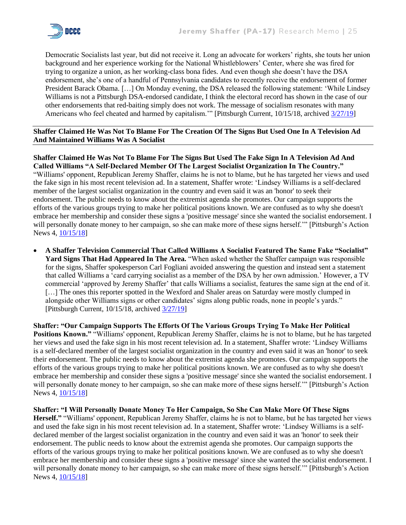

Democratic Socialists last year, but did not receive it. Long an advocate for workers' rights, she touts her union background and her experience working for the National Whistleblowers' Center, where she was fired for trying to organize a union, as her working-class bona fides. And even though she doesn't have the DSA endorsement, she's one of a handful of Pennsylvania candidates to recently receive the endorsement of former President Barack Obama. […] On Monday evening, the DSA released the following statement: 'While Lindsey Williams is not a Pittsburgh DSA-endorsed candidate, I think the electoral record has shown in the case of our other endorsements that red-baiting simply does not work. The message of socialism resonates with many Americans who feel cheated and harmed by capitalism." [Pittsburgh Current, 10/15/18, archived [3/27/19\]](https://web.archive.org/web/20190327204634/https:/www.pittsburghcurrent.com/williams-yard-signs/)

#### **Shaffer Claimed He Was Not To Blame For The Creation Of The Signs But Used One In A Television Ad And Maintained Williams Was A Socialist**

**Shaffer Claimed He Was Not To Blame For The Signs But Used The Fake Sign In A Television Ad And Called Williams "A Self-Declared Member Of The Largest Socialist Organization In The Country."** "Williams' opponent, Republican Jeremy Shaffer, claims he is not to blame, but he has targeted her views and used the fake sign in his most recent television ad. In a statement, Shaffer wrote: 'Lindsey Williams is a self-declared member of the largest socialist organization in the country and even said it was an 'honor' to seek their endorsement. The public needs to know about the extremist agenda she promotes. Our campaign supports the efforts of the various groups trying to make her political positions known. We are confused as to why she doesn't embrace her membership and consider these signs a 'positive message' since she wanted the socialist endorsement. I will personally donate money to her campaign, so she can make more of these signs herself." [Pittsburgh's Action News 4, [10/15/18\]](https://www.wtae.com/article/lindsey-williams-fake-campaign-signs-placed-in-local-communities/23799949)

• **A Shaffer Television Commercial That Called Williams A Socialist Featured The Same Fake "Socialist" Yard Signs That Had Appeared In The Area.** "When asked whether the Shaffer campaign was responsible for the signs, Shaffer spokesperson Carl Fogliani avoided answering the question and instead sent a statement that called Williams a 'card carrying socialist as a member of the DSA by her own admission.' However, a TV commercial 'approved by Jeremy Shaffer' that calls Williams a socialist, features the same sign at the end of it. [...] The ones this reporter spotted in the Wexford and Shaler areas on Saturday were mostly clumped in alongside other Williams signs or other candidates' signs along public roads, none in people's yards." [Pittsburgh Current, 10/15/18, archived [3/27/19\]](https://web.archive.org/web/20190327204634/https:/www.pittsburghcurrent.com/williams-yard-signs/)

**Shaffer: "Our Campaign Supports The Efforts Of The Various Groups Trying To Make Her Political Positions Known."** "Williams' opponent, Republican Jeremy Shaffer, claims he is not to blame, but he has targeted her views and used the fake sign in his most recent television ad. In a statement, Shaffer wrote: 'Lindsey Williams is a self-declared member of the largest socialist organization in the country and even said it was an 'honor' to seek their endorsement. The public needs to know about the extremist agenda she promotes. Our campaign supports the efforts of the various groups trying to make her political positions known. We are confused as to why she doesn't embrace her membership and consider these signs a 'positive message' since she wanted the socialist endorsement. I will personally donate money to her campaign, so she can make more of these signs herself." [Pittsburgh's Action News 4,  $\frac{10}{15/18}$ ]

**Shaffer: "I Will Personally Donate Money To Her Campaign, So She Can Make More Of These Signs Herself."** "Williams' opponent, Republican Jeremy Shaffer, claims he is not to blame, but he has targeted her views and used the fake sign in his most recent television ad. In a statement, Shaffer wrote: 'Lindsey Williams is a selfdeclared member of the largest socialist organization in the country and even said it was an 'honor' to seek their endorsement. The public needs to know about the extremist agenda she promotes. Our campaign supports the efforts of the various groups trying to make her political positions known. We are confused as to why she doesn't embrace her membership and consider these signs a 'positive message' since she wanted the socialist endorsement. I will personally donate money to her campaign, so she can make more of these signs herself." [Pittsburgh's Action News 4, [10/15/18\]](https://www.wtae.com/article/lindsey-williams-fake-campaign-signs-placed-in-local-communities/23799949)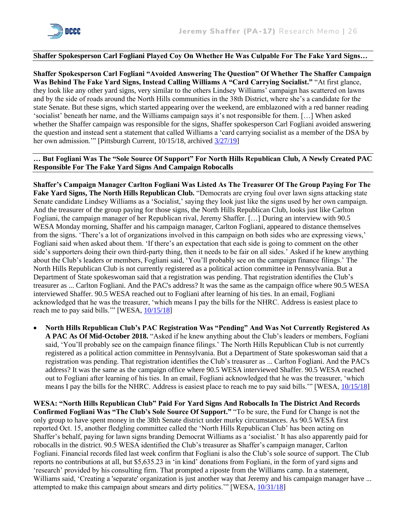

#### **Shaffer Spokesperson Carl Fogliani Played Coy On Whether He Was Culpable For The Fake Yard Signs…**

**Shaffer Spokesperson Carl Fogliani "Avoided Answering The Question" Of Whether The Shaffer Campaign Was Behind The Fake Yard Signs, Instead Calling Williams A "Card Carrying Socialist."** "At first glance, they look like any other yard signs, very similar to the others Lindsey Williams' campaign has scattered on lawns and by the side of roads around the North Hills communities in the 38th District, where she's a candidate for the state Senate. But these signs, which started appearing over the weekend, are emblazoned with a red banner reading 'socialist' beneath her name, and the Williams campaign says it's not responsible for them. […] When asked whether the Shaffer campaign was responsible for the signs, Shaffer spokesperson Carl Fogliani avoided answering the question and instead sent a statement that called Williams a 'card carrying socialist as a member of the DSA by her own admission."" [Pittsburgh Current, 10/15/18, archived [3/27/19\]](https://web.archive.org/web/20190327204634/https:/www.pittsburghcurrent.com/williams-yard-signs/)

#### **… But Fogliani Was The "Sole Source Of Support" For North Hills Republican Club, A Newly Created PAC Responsible For The Fake Yard Signs And Campaign Robocalls**

**Shaffer's Campaign Manager Carlton Fogliani Was Listed As The Treasurer Of The Group Paying For The**  Fake Yard Signs, The North Hills Republican Club. "Democrats are crying foul over lawn signs attacking state Senate candidate Lindsey Williams as a 'Socialist,' saying they look just like the signs used by her own campaign. And the treasurer of the group paying for those signs, the North Hills Republican Club, looks just like Carlton Fogliani, the campaign manager of her Republican rival, Jeremy Shaffer. […] During an interview with 90.5 WESA Monday morning, Shaffer and his campaign manager, Carlton Fogliani, appeared to distance themselves from the signs. 'There's a lot of organizations involved in this campaign on both sides who are expressing views,' Fogliani said when asked about them. 'If there's an expectation that each side is going to comment on the other side's supporters doing their own third-party thing, then it needs to be fair on all sides.' Asked if he knew anything about the Club's leaders or members, Fogliani said, 'You'll probably see on the campaign finance filings.' The North Hills Republican Club is not currently registered as a political action committee in Pennsylvania. But a Department of State spokeswoman said that a registration was pending. That registration identifies the Club's treasurer as ... Carlton Fogliani. And the PAC's address? It was the same as the campaign office where 90.5 WESA interviewed Shaffer. 90.5 WESA reached out to Fogliani after learning of his ties. In an email, Fogliani acknowledged that he was the treasurer, 'which means I pay the bills for the NHRC. Address is easiest place to reach me to pay said bills."" [WESA,  $10/15/18$ ]

• **North Hills Republican Club's PAC Registration Was "Pending" And Was Not Currently Registered As A PAC As Of Mid-October 2018.** "Asked if he knew anything about the Club's leaders or members, Fogliani said, 'You'll probably see on the campaign finance filings.' The North Hills Republican Club is not currently registered as a political action committee in Pennsylvania. But a Department of State spokeswoman said that a registration was pending. That registration identifies the Club's treasurer as ... Carlton Fogliani. And the PAC's address? It was the same as the campaign office where 90.5 WESA interviewed Shaffer. 90.5 WESA reached out to Fogliani after learning of his ties. In an email, Fogliani acknowledged that he was the treasurer, 'which means I pay the bills for the NHRC. Address is easiest place to reach me to pay said bills.'" [WESA,  $10/15/18$ ]

**WESA: "North Hills Republican Club" Paid For Yard Signs And Robocalls In The District And Records Confirmed Fogliani Was "The Club's Sole Source Of Support."** "To be sure, the Fund for Change is not the only group to have spent money in the 38th Senate district under murky circumstances. As 90.5 WESA first reported Oct. 15, another fledgling committee called the 'North Hills Republican Club' has been acting on Shaffer's behalf, paying for lawn signs branding Democrat Williams as a 'socialist.' It has also apparently paid for robocalls in the district. 90.5 WESA identified the Club's treasurer as Shaffer's campaign manager, Carlton Fogliani. Financial records filed last week confirm that Fogliani is also the Club's sole source of support. The Club reports no contributions at all, but \$5,635.23 in 'in kind' donations from Fogliani, in the form of yard signs and 'research' provided by his consulting firm. That prompted a riposte from the Williams camp. In a statement, Williams said, 'Creating a 'separate' organization is just another way that Jeremy and his campaign manager have ... attempted to make this campaign about smears and dirty politics.'" [WESA, [10/31/18\]](https://www.wesa.fm/politics-government/2018-10-31/dark-money-playing-role-in-north-hills-senate-race-and-contests-statewide)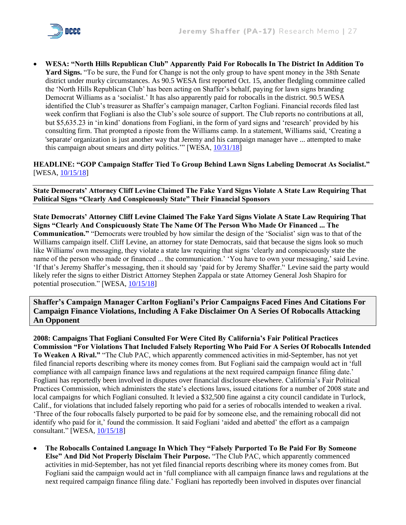

• **WESA: "North Hills Republican Club" Apparently Paid For Robocalls In The District In Addition To Yard Signs.** "To be sure, the Fund for Change is not the only group to have spent money in the 38th Senate district under murky circumstances. As 90.5 WESA first reported Oct. 15, another fledgling committee called the 'North Hills Republican Club' has been acting on Shaffer's behalf, paying for lawn signs branding Democrat Williams as a 'socialist.' It has also apparently paid for robocalls in the district. 90.5 WESA identified the Club's treasurer as Shaffer's campaign manager, Carlton Fogliani. Financial records filed last week confirm that Fogliani is also the Club's sole source of support. The Club reports no contributions at all, but \$5,635.23 in 'in kind' donations from Fogliani, in the form of yard signs and 'research' provided by his consulting firm. That prompted a riposte from the Williams camp. In a statement, Williams said, 'Creating a 'separate' organization is just another way that Jeremy and his campaign manager have ... attempted to make this campaign about smears and dirty politics.'" [WESA, [10/31/18\]](https://www.wesa.fm/politics-government/2018-10-31/dark-money-playing-role-in-north-hills-senate-race-and-contests-statewide)

**HEADLINE: "GOP Campaign Staffer Tied To Group Behind Lawn Signs Labeling Democrat As Socialist."**  [WESA[, 10/15/18\]](https://www.wesa.fm/politics-government/2018-10-15/gop-campaign-staffer-tied-to-group-behind-lawn-signs-labeling-democrat-as-socialist)

**State Democrats' Attorney Cliff Levine Claimed The Fake Yard Signs Violate A State Law Requiring That Political Signs "Clearly And Conspicuously State" Their Financial Sponsors**

**State Democrats' Attorney Cliff Levine Claimed The Fake Yard Signs Violate A State Law Requiring That Signs "Clearly And Conspicuously State The Name Of The Person Who Made Or Financed ... The Communication."** "Democrats were troubled by how similar the design of the 'Socialist' sign was to that of the Williams campaign itself. Cliff Levine, an attorney for state Democrats, said that because the signs look so much like Williams' own messaging, they violate a state law requiring that signs 'clearly and conspicuously state the name of the person who made or financed ... the communication.' 'You have to own your messaging,' said Levine. 'If that's Jeremy Shaffer's messaging, then it should say 'paid for by Jeremy Shaffer.'' Levine said the party would likely refer the signs to either District Attorney Stephen Zappala or state Attorney General Josh Shapiro for potential prosecution." [WESA,  $10/15/18$ ]

## **Shaffer's Campaign Manager Carlton Fogliani's Prior Campaigns Faced Fines And Citations For Campaign Finance Violations, Including A Fake Disclaimer On A Series Of Robocalls Attacking An Opponent**

**2008: Campaigns That Fogliani Consulted For Were Cited By California's Fair Political Practices Commission "For Violations That Included Falsely Reporting Who Paid For A Series Of Robocalls Intended To Weaken A Rival."** "The Club PAC, which apparently commenced activities in mid-September, has not yet filed financial reports describing where its money comes from. But Fogliani said the campaign would act in 'full compliance with all campaign finance laws and regulations at the next required campaign finance filing date.' Fogliani has reportedly been involved in disputes over financial disclosure elsewhere. California's Fair Political Practices Commission, which administers the state's elections laws, issued citations for a number of 2008 state and local campaigns for which Fogliani consulted. It levied a \$32,500 fine against a city council candidate in Turlock, Calif., for violations that included falsely reporting who paid for a series of robocalls intended to weaken a rival. 'Three of the four robocalls falsely purported to be paid for by someone else, and the remaining robocall did not identify who paid for it,' found the commission. It said Fogliani 'aided and abetted' the effort as a campaign consultant." [WESA, [10/15/18\]](https://www.wesa.fm/politics-government/2018-10-15/gop-campaign-staffer-tied-to-group-behind-lawn-signs-labeling-democrat-as-socialist)

• **The Robocalls Contained Language In Which They "Falsely Purported To Be Paid For By Someone Else" And Did Not Properly Disclaim Their Purpose.** "The Club PAC, which apparently commenced activities in mid-September, has not yet filed financial reports describing where its money comes from. But Fogliani said the campaign would act in 'full compliance with all campaign finance laws and regulations at the next required campaign finance filing date.' Fogliani has reportedly been involved in disputes over financial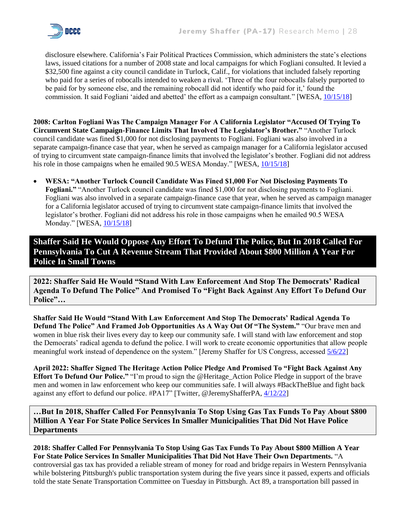

disclosure elsewhere. California's Fair Political Practices Commission, which administers the state's elections laws, issued citations for a number of 2008 state and local campaigns for which Fogliani consulted. It levied a \$32,500 fine against a city council candidate in Turlock, Calif., for violations that included falsely reporting who paid for a series of robocalls intended to weaken a rival. 'Three of the four robocalls falsely purported to be paid for by someone else, and the remaining robocall did not identify who paid for it,' found the commission. It said Fogliani 'aided and abetted' the effort as a campaign consultant." [WESA, [10/15/18\]](https://www.wesa.fm/politics-government/2018-10-15/gop-campaign-staffer-tied-to-group-behind-lawn-signs-labeling-democrat-as-socialist)

**2008: Carlton Fogliani Was The Campaign Manager For A California Legislator "Accused Of Trying To Circumvent State Campaign-Finance Limits That Involved The Legislator's Brother."** "Another Turlock council candidate was fined \$1,000 for not disclosing payments to Fogliani. Fogliani was also involved in a separate campaign-finance case that year, when he served as campaign manager for a California legislator accused of trying to circumvent state campaign-finance limits that involved the legislator's brother. Fogliani did not address his role in those campaigns when he emailed 90.5 WESA Monday." [WESA,  $10/15/18$ ]

• **WESA: "Another Turlock Council Candidate Was Fined \$1,000 For Not Disclosing Payments To Fogliani."** "Another Turlock council candidate was fined \$1,000 for not disclosing payments to Fogliani. Fogliani was also involved in a separate campaign-finance case that year, when he served as campaign manager for a California legislator accused of trying to circumvent state campaign-finance limits that involved the legislator's brother. Fogliani did not address his role in those campaigns when he emailed 90.5 WESA Monday." [WESA, [10/15/18\]](https://www.wesa.fm/politics-government/2018-10-15/gop-campaign-staffer-tied-to-group-behind-lawn-signs-labeling-democrat-as-socialist)

**Shaffer Said He Would Oppose Any Effort To Defund The Police, But In 2018 Called For Pennsylvania To Cut A Revenue Stream That Provided About \$800 Million A Year For Police In Small Towns**

**2022: Shaffer Said He Would "Stand With Law Enforcement And Stop The Democrats' Radical Agenda To Defund The Police" And Promised To "Fight Back Against Any Effort To Defund Our Police"…**

**Shaffer Said He Would "Stand With Law Enforcement And Stop The Democrats' Radical Agenda To Defund The Police" And Framed Job Opportunities As A Way Out Of "The System."** "Our brave men and women in blue risk their lives every day to keep our community safe. I will stand with law enforcement and stop the Democrats' radical agenda to defund the police. I will work to create economic opportunities that allow people meaningful work instead of dependence on the system." [Jeremy Shaffer for US Congress, accessed [5/6/22\]](https://jeremyshaffer.com/issues/)

**April 2022: Shaffer Signed The Heritage Action Police Pledge And Promised To "Fight Back Against Any Effort To Defund Our Police."** "I'm proud to sign the @Heritage\_Action Police Pledge in support of the brave men and women in law enforcement who keep our communities safe. I will always #BackTheBlue and fight back against any effort to defund our police. #PA17" [Twitter, @JeremyShafferPA, [4/12/22\]](file:///C:/Users/jacobson22/Desktop/Jeremy%20Shaffer/I’m%20proud%20to%20sign%20the)

**…But In 2018, Shaffer Called For Pennsylvania To Stop Using Gas Tax Funds To Pay About \$800 Million A Year For State Police Services In Smaller Municipalities That Did Not Have Police Departments**

**2018: Shaffer Called For Pennsylvania To Stop Using Gas Tax Funds To Pay About \$800 Million A Year For State Police Services In Smaller Municipalities That Did Not Have Their Own Departments.** "A controversial gas tax has provided a reliable stream of money for road and bridge repairs in Western Pennsylvania while bolstering Pittsburgh's public transportation system during the five years since it passed, experts and officials told the state Senate Transportation Committee on Tuesday in Pittsburgh. Act 89, a transportation bill passed in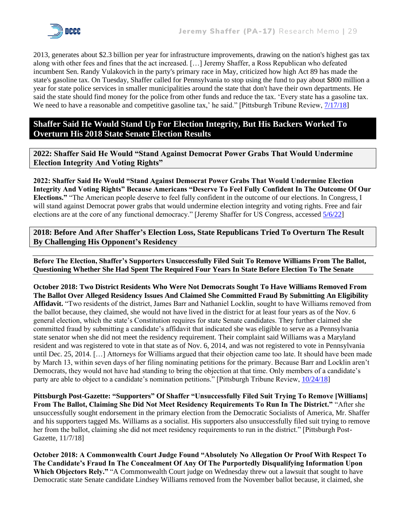

2013, generates about \$2.3 billion per year for infrastructure improvements, drawing on the nation's highest gas tax along with other fees and fines that the act increased. […] Jeremy Shaffer, a Ross Republican who defeated incumbent Sen. Randy Vulakovich in the party's primary race in May, criticized how high Act 89 has made the state's gasoline tax. On Tuesday, Shaffer called for Pennsylvania to stop using the fund to pay about \$800 million a year for state police services in smaller municipalities around the state that don't have their own departments. He said the state should find money for the police from other funds and reduce the tax. 'Every state has a gasoline tax. We need to have a reasonable and competitive gasoline tax,' he said." [Pittsburgh Tribune Review,  $\frac{7}{17/18}$ ]

**Shaffer Said He Would Stand Up For Election Integrity, But His Backers Worked To Overturn His 2018 State Senate Election Results**

**2022: Shaffer Said He Would "Stand Against Democrat Power Grabs That Would Undermine Election Integrity And Voting Rights"**

**2022: Shaffer Said He Would "Stand Against Democrat Power Grabs That Would Undermine Election Integrity And Voting Rights" Because Americans "Deserve To Feel Fully Confident In The Outcome Of Our Elections."** "The American people deserve to feel fully confident in the outcome of our elections. In Congress, I will stand against Democrat power grabs that would undermine election integrity and voting rights. Free and fair elections are at the core of any functional democracy." [Jeremy Shaffer for US Congress, accessed [5/6/22\]](https://jeremyshaffer.com/issues/)

**2018: Before And After Shaffer's Election Loss, State Republicans Tried To Overturn The Result By Challenging His Opponent's Residency**

**Before The Election, Shaffer's Supporters Unsuccessfully Filed Suit To Remove Williams From The Ballot, Questioning Whether She Had Spent The Required Four Years In State Before Election To The Senate**

**October 2018: Two District Residents Who Were Not Democrats Sought To Have Williams Removed From The Ballot Over Alleged Residency Issues And Claimed She Committed Fraud By Submitting An Eligibility Affidavit.** "Two residents of the district, James Barr and Nathaniel Locklin, sought to have Williams removed from the ballot because, they claimed, she would not have lived in the district for at least four years as of the Nov. 6 general election, which the state's Constitution requires for state Senate candidates. They further claimed she committed fraud by submitting a candidate's affidavit that indicated she was eligible to serve as a Pennsylvania state senator when she did not meet the residency requirement. Their complaint said Williams was a Maryland resident and was registered to vote in that state as of Nov. 6, 2014, and was not registered to vote in Pennsylvania until Dec. 25, 2014. […] Attorneys for Williams argued that their objection came too late. It should have been made by March 13, within seven days of her filing nominating petitions for the primary. Because Barr and Locklin aren't Democrats, they would not have had standing to bring the objection at that time. Only members of a candidate's party are able to object to a candidate's nomination petitions." [Pittsburgh Tribune Review,  $\frac{10}{24}{18}$ ]

**Pittsburgh Post-Gazette: "Supporters" Of Shaffer "Unsuccessfully Filed Suit Trying To Remove [Williams] From The Ballot, Claiming She Did Not Meet Residency Requirements To Run In The District."** "After she unsuccessfully sought endorsement in the primary election from the Democratic Socialists of America, Mr. Shaffer and his supporters tagged Ms. Williams as a socialist. His supporters also unsuccessfully filed suit trying to remove her from the ballot, claiming she did not meet residency requirements to run in the district." [Pittsburgh Post-Gazette, 11/7/18]

**October 2018: A Commonwealth Court Judge Found "Absolutely No Allegation Or Proof With Respect To The Candidate's Fraud In The Concealment Of Any Of The Purportedly Disqualifying Information Upon**  Which Objectors Rely." "A Commonwealth Court judge on Wednesday threw out a lawsuit that sought to have Democratic state Senate candidate Lindsey Williams removed from the November ballot because, it claimed, she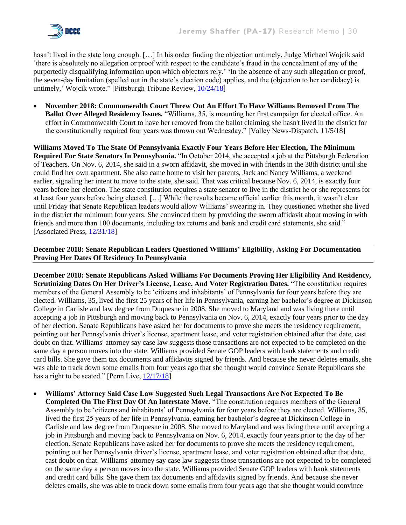

hasn't lived in the state long enough. [...] In his order finding the objection untimely, Judge Michael Wojcik said 'there is absolutely no allegation or proof with respect to the candidate's fraud in the concealment of any of the purportedly disqualifying information upon which objectors rely.' 'In the absence of any such allegation or proof, the seven-day limitation (spelled out in the state's election code) applies, and the (objection to her candidacy) is untimely,' Wojcik wrote." [Pittsburgh Tribune Review, [10/24/18\]](https://archive.triblive.com/local/valley-news-dispatch/lawsuit-seeking-to-remove-pennsylvania-senate-candidate-from-ballot-tossed/)

• **November 2018: Commonwealth Court Threw Out An Effort To Have Williams Removed From The Ballot Over Alleged Residency Issues.** "Williams, 35, is mounting her first campaign for elected office. An effort in Commonwealth Court to have her removed from the ballot claiming she hasn't lived in the district for the constitutionally required four years was thrown out Wednesday." [Valley News-Dispatch, 11/5/18]

**Williams Moved To The State Of Pennsylvania Exactly Four Years Before Her Election, The Minimum Required For State Senators In Pennsylvania.** "In October 2014, she accepted a job at the Pittsburgh Federation of Teachers. On Nov. 6, 2014, she said in a sworn affidavit, she moved in with friends in the 38th district until she could find her own apartment. She also came home to visit her parents, Jack and Nancy Williams, a weekend earlier, signaling her intent to move to the state, she said. That was critical because Nov. 6, 2014, is exactly four years before her election. The state constitution requires a state senator to live in the district he or she represents for at least four years before being elected. […] While the results became official earlier this month, it wasn't clear until Friday that Senate Republican leaders would allow Williams' swearing in. They questioned whether she lived in the district the minimum four years. She convinced them by providing the sworn affidavit about moving in with friends and more than 100 documents, including tax returns and bank and credit card statements, she said." [Associated Press, [12/31/18\]](https://apnews.com/article/de1168be16fd47b98a99b52ca583970e)

**December 2018: Senate Republican Leaders Questioned Williams' Eligibility, Asking For Documentation Proving Her Dates Of Residency In Pennsylvania**

**December 2018: Senate Republicans Asked Williams For Documents Proving Her Eligibility And Residency, Scrutinizing Dates On Her Driver's License, Lease, And Voter Registration Dates.** "The constitution requires members of the General Assembly to be 'citizens and inhabitants' of Pennsylvania for four years before they are elected. Williams, 35, lived the first 25 years of her life in Pennsylvania, earning her bachelor's degree at Dickinson College in Carlisle and law degree from Duquesne in 2008. She moved to Maryland and was living there until accepting a job in Pittsburgh and moving back to Pennsylvania on Nov. 6, 2014, exactly four years prior to the day of her election. Senate Republicans have asked her for documents to prove she meets the residency requirement, pointing out her Pennsylvania driver's license, apartment lease, and voter registration obtained after that date, cast doubt on that. Williams' attorney say case law suggests those transactions are not expected to be completed on the same day a person moves into the state. Williams provided Senate GOP leaders with bank statements and credit card bills. She gave them tax documents and affidavits signed by friends. And because she never deletes emails, she was able to track down some emails from four years ago that she thought would convince Senate Republicans she has a right to be seated." [Penn Live,  $12/17/18$ ]

• **Williams' Attorney Said Case Law Suggested Such Legal Transactions Are Not Expected To Be Completed On The First Day Of An Interstate Move.** "The constitution requires members of the General Assembly to be 'citizens and inhabitants' of Pennsylvania for four years before they are elected. Williams, 35, lived the first 25 years of her life in Pennsylvania, earning her bachelor's degree at Dickinson College in Carlisle and law degree from Duquesne in 2008. She moved to Maryland and was living there until accepting a job in Pittsburgh and moving back to Pennsylvania on Nov. 6, 2014, exactly four years prior to the day of her election. Senate Republicans have asked her for documents to prove she meets the residency requirement, pointing out her Pennsylvania driver's license, apartment lease, and voter registration obtained after that date, cast doubt on that. Williams' attorney say case law suggests those transactions are not expected to be completed on the same day a person moves into the state. Williams provided Senate GOP leaders with bank statements and credit card bills. She gave them tax documents and affidavits signed by friends. And because she never deletes emails, she was able to track down some emails from four years ago that she thought would convince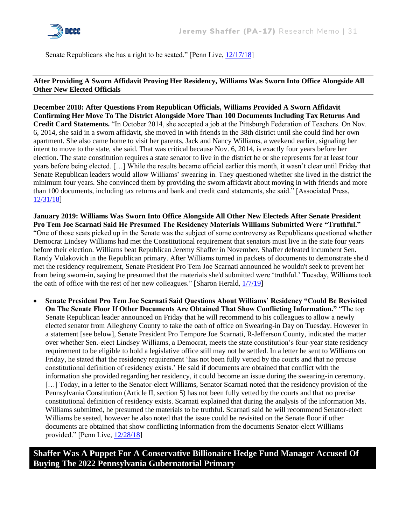

Senate Republicans she has a right to be seated." [Penn Live, [12/17/18\]](https://www.pennlive.com/news/2018/12/swearing-in-day-for-the-general-assembly.html)

#### **After Providing A Sworn Affidavit Proving Her Residency, Williams Was Sworn Into Office Alongside All Other New Elected Officials**

**December 2018: After Questions From Republican Officials, Williams Provided A Sworn Affidavit Confirming Her Move To The District Alongside More Than 100 Documents Including Tax Returns And Credit Card Statements.** "In October 2014, she accepted a job at the Pittsburgh Federation of Teachers. On Nov. 6, 2014, she said in a sworn affidavit, she moved in with friends in the 38th district until she could find her own apartment. She also came home to visit her parents, Jack and Nancy Williams, a weekend earlier, signaling her intent to move to the state, she said. That was critical because Nov. 6, 2014, is exactly four years before her election. The state constitution requires a state senator to live in the district he or she represents for at least four years before being elected. […] While the results became official earlier this month, it wasn't clear until Friday that Senate Republican leaders would allow Williams' swearing in. They questioned whether she lived in the district the minimum four years. She convinced them by providing the sworn affidavit about moving in with friends and more than 100 documents, including tax returns and bank and credit card statements, she said." [Associated Press, [12/31/18\]](https://apnews.com/article/de1168be16fd47b98a99b52ca583970e)

**January 2019: Williams Was Sworn Into Office Alongside All Other New Electeds After Senate President Pro Tem Joe Scarnati Said He Presumed The Residency Materials Williams Submitted Were "Truthful."**  "One of those seats picked up in the Senate was the subject of some controversy as Republicans questioned whether Democrat Lindsey Williams had met the Constitutional requirement that senators must live in the state four years before their election. Williams beat Republican Jeremy Shaffer in November. Shaffer defeated incumbent Sen. Randy Vulakovich in the Republican primary. After Williams turned in packets of documents to demonstrate she'd met the residency requirement, Senate President Pro Tem Joe Scarnati announced he wouldn't seek to prevent her from being sworn-in, saying he presumed that the materials she'd submitted were 'truthful.' Tuesday, Williams took the oath of office with the rest of her new colleagues." [Sharon Herald, [1/7/19\]](https://www.sharonherald.com/news/local_news/pennsylvania-legislative-session-opens-with-a-call-to-work-together/article_22f5c604-d748-55f4-aba3-6864ec91e086.html)

• **Senate President Pro Tem Joe Scarnati Said Questions About Williams' Residency "Could Be Revisited On The Senate Floor If Other Documents Are Obtained That Show Conflicting Information."** "The top Senate Republican leader announced on Friday that he will recommend to his colleagues to allow a newly elected senator from Allegheny County to take the oath of office on Swearing-in Day on Tuesday. However in a statement [see below], Senate President Pro Tempore Joe Scarnati, R-Jefferson County, indicated the matter over whether Sen.-elect Lindsey Williams, a Democrat, meets the state constitution's four-year state residency requirement to be eligible to hold a legislative office still may not be settled. In a letter he sent to Williams on Friday, he stated that the residency requirement 'has not been fully vetted by the courts and that no precise constitutional definition of residency exists.' He said if documents are obtained that conflict with the information she provided regarding her residency, it could become an issue during the swearing-in ceremony. [...] Today, in a letter to the Senator-elect Williams, Senator Scarnati noted that the residency provision of the Pennsylvania Constitution (Article II, section 5) has not been fully vetted by the courts and that no precise constitutional definition of residency exists. Scarnati explained that during the analysis of the information Ms. Williams submitted, he presumed the materials to be truthful. Scarnati said he will recommend Senator-elect Williams be seated, however he also noted that the issue could be revisited on the Senate floor if other documents are obtained that show conflicting information from the documents Senator-elect Williams provided." [Penn Live, [12/28/18\]](https://www.pennlive.com/news/2018/12/sen-elect-lindsey-williams-will-take-office-on-tuesday-at-least-it-looks-that-way-for-now.html)

**Shaffer Was A Puppet For A Conservative Billionaire Hedge Fund Manager Accused Of Buying The 2022 Pennsylvania Gubernatorial Primary**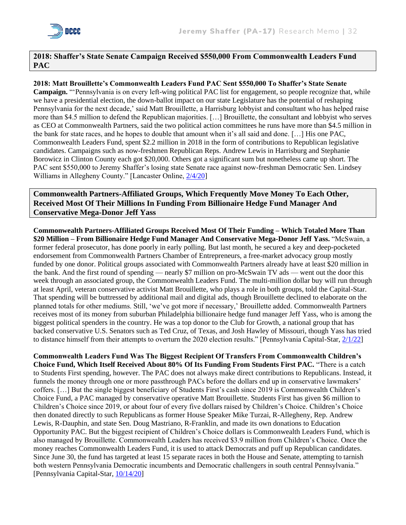

## **2018: Shaffer's State Senate Campaign Received \$550,000 From Commonwealth Leaders Fund PAC**

**2018: Matt Brouillette's Commonwealth Leaders Fund PAC Sent \$550,000 To Shaffer's State Senate Campaign.** "'Pennsylvania is on every left-wing political PAC list for engagement, so people recognize that, while we have a presidential election, the down-ballot impact on our state Legislature has the potential of reshaping Pennsylvania for the next decade,' said Matt Brouillette, a Harrisburg lobbyist and consultant who has helped raise more than \$4.5 million to defend the Republican majorities. […] Brouillette, the consultant and lobbyist who serves as CEO at Commonwealth Partners, said the two political action committees he runs have more than \$4.5 million in the bank for state races, and he hopes to double that amount when it's all said and done. […] His one PAC, Commonwealth Leaders Fund, spent \$2.2 million in 2018 in the form of contributions to Republican legislative candidates. Campaigns such as now-freshmen Republican Reps. Andrew Lewis in Harrisburg and Stephanie Borowicz in Clinton County each got \$20,000. Others got a significant sum but nonetheless came up short. The PAC sent \$550,000 to Jeremy Shaffer's losing state Senate race against now-freshman Democratic Sen. Lindsey Williams in Allegheny County." [Lancaster Online[, 2/4/20\]](https://lancasteronline.com/news/politics/whos-safe-whos-not-breaking-down-the-2020-pennsylvania-house-and-senate-contests/article_3f928aa4-43b1-11ea-87f7-4b7f7b149fca.html)

**Commonwealth Partners-Affiliated Groups, Which Frequently Move Money To Each Other, Received Most Of Their Millions In Funding From Billionaire Hedge Fund Manager And Conservative Mega-Donor Jeff Yass**

**Commonwealth Partners-Affiliated Groups Received Most Of Their Funding – Which Totaled More Than \$20 Million – From Billionaire Hedge Fund Manager And Conservative Mega-Donor Jeff Yass.** "McSwain, a former federal prosecutor, has done poorly in early polling. But last month, he secured a key and deep-pocketed endorsement from Commonwealth Partners Chamber of Entrepreneurs, a free-market advocacy group mostly funded by one donor. Political groups associated with Commonwealth Partners already have at least \$20 million in the bank. And the first round of spending — nearly \$7 million on pro-McSwain TV ads — went out the door this week through an associated group, the Commonwealth Leaders Fund. The multi-million dollar buy will run through at least April, veteran conservative activist Matt Brouillette, who plays a role in both groups, told the Capital-Star. That spending will be buttressed by additional mail and digital ads, though Brouillette declined to elaborate on the planned totals for other mediums. Still, 'we've got more if necessary,' Brouillette added. Commonwealth Partners receives most of its money from suburban Philadelphia billionaire hedge fund manager Jeff Yass, who is among the biggest political spenders in the country. He was a top donor to the Club for Growth, a national group that has backed conservative U.S. Senators such as Ted Cruz, of Texas, and Josh Hawley of Missouri, though Yass has tried to distance himself from their attempts to overturn the 2020 election results." [Pennsylvania Capital-Star, [2/1/22\]](https://www.penncapital-star.com/government-politics/the-2022-candidates-for-pa-governor-are-raising-big-money-for-a-big-race/)

**Commonwealth Leaders Fund Was The Biggest Recipient Of Transfers From Commonwealth Children's Choice Fund, Which Itself Received About 80% Of Its Funding From Students First PAC.** "There is a catch to Students First spending, however. The PAC does not always make direct contributions to Republicans. Instead, it funnels the money through one or more passthrough PACs before the dollars end up in conservative lawmakers' coffers. […] But the single biggest beneficiary of Students First's cash since 2019 is Commonwealth Children's Choice Fund, a PAC managed by conservative operative Matt Brouillette. Students First has given \$6 million to Children's Choice since 2019, or about four of every five dollars raised by Children's Choice. Children's Choice then donated directly to such Republicans as former House Speaker Mike Turzai, R-Allegheny, Rep. Andrew Lewis, R-Dauphin, and state Sen. Doug Mastriano, R-Franklin, and made its own donations to Education Opportunity PAC. But the biggest recipient of Children's Choice dollars is Commonwealth Leaders Fund, which is also managed by Brouillette. Commonwealth Leaders has received \$3.9 million from Children's Choice. Once the money reaches Commonwealth Leaders Fund, it is used to attack Democrats and puff up Republican candidates. Since June 30, the fund has targeted at least 15 separate races in both the House and Senate, attempting to tarnish both western Pennsylvania Democratic incumbents and Democratic challengers in south central Pennsylvania." [Pennsylvania Capital-Star, [10/14/20\]](https://www.penncapital-star.com/election-2020/as-democrats-aim-to-flip-the-house-a-top-lawmaker-took-600k-from-school-choice-donor-spending-to-stop-them/)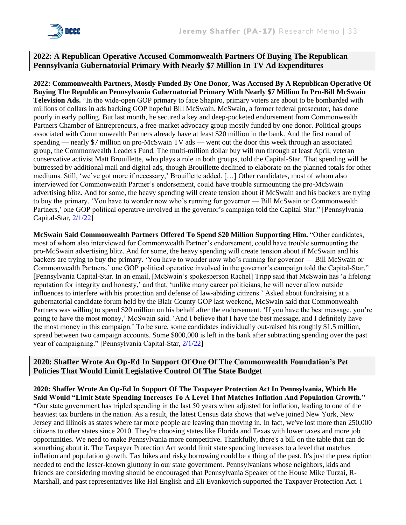

#### **2022: A Republican Operative Accused Commonwealth Partners Of Buying The Republican Pennsylvania Gubernatorial Primary With Nearly \$7 Million In TV Ad Expenditures**

**2022: Commonwealth Partners, Mostly Funded By One Donor, Was Accused By A Republican Operative Of Buying The Republican Pennsylvania Gubernatorial Primary With Nearly \$7 Million In Pro-Bill McSwain Television Ads.** "In the wide-open GOP primary to face Shapiro, primary voters are about to be bombarded with millions of dollars in ads backing GOP hopeful Bill McSwain. McSwain, a former federal prosecutor, has done poorly in early polling. But last month, he secured a key and deep-pocketed endorsement from Commonwealth Partners Chamber of Entrepreneurs, a free-market advocacy group mostly funded by one donor. Political groups associated with Commonwealth Partners already have at least \$20 million in the bank. And the first round of spending — nearly \$7 million on pro-McSwain TV ads — went out the door this week through an associated group, the Commonwealth Leaders Fund. The multi-million dollar buy will run through at least April, veteran conservative activist Matt Brouillette, who plays a role in both groups, told the Capital-Star. That spending will be buttressed by additional mail and digital ads, though Brouillette declined to elaborate on the planned totals for other mediums. Still, 'we've got more if necessary,' Brouillette added. […] Other candidates, most of whom also interviewed for Commonwealth Partner's endorsement, could have trouble surmounting the pro-McSwain advertising blitz. And for some, the heavy spending will create tension about if McSwain and his backers are trying to buy the primary. 'You have to wonder now who's running for governor — Bill McSwain or Commonwealth Partners,' one GOP political operative involved in the governor's campaign told the Capital-Star." [Pennsylvania Capital-Star, [2/1/22\]](https://www.penncapital-star.com/government-politics/the-2022-candidates-for-pa-governor-are-raising-big-money-for-a-big-race/)

**McSwain Said Commonwealth Partners Offered To Spend \$20 Million Supporting Him.** "Other candidates, most of whom also interviewed for Commonwealth Partner's endorsement, could have trouble surmounting the pro-McSwain advertising blitz. And for some, the heavy spending will create tension about if McSwain and his backers are trying to buy the primary. 'You have to wonder now who's running for governor — Bill McSwain or Commonwealth Partners,' one GOP political operative involved in the governor's campaign told the Capital-Star." [Pennsylvania Capital-Star. In an email, [McSwain's spokesperson Rachel] Tripp said that McSwain has 'a lifelong reputation for integrity and honesty,' and that, 'unlike many career politicians, he will never allow outside influences to interfere with his protection and defense of law-abiding citizens.' Asked about fundraising at a gubernatorial candidate forum held by the Blair County GOP last weekend, McSwain said that Commonwealth Partners was willing to spend \$20 million on his behalf after the endorsement. 'If you have the best message, you're going to have the most money,' McSwain said. 'And I believe that I have the best message, and I definitely have the most money in this campaign.' To be sure, some candidates individually out-raised his roughly \$1.5 million, spread between two campaign accounts. Some \$800,000 is left in the bank after subtracting spending over the past year of campaigning." [Pennsylvania Capital-Star, [2/1/22\]](https://www.penncapital-star.com/government-politics/the-2022-candidates-for-pa-governor-are-raising-big-money-for-a-big-race/)

#### **2020: Shaffer Wrote An Op-Ed In Support Of One Of The Commonwealth Foundation's Pet Policies That Would Limit Legislative Control Of The State Budget**

**2020: Shaffer Wrote An Op-Ed In Support Of The Taxpayer Protection Act In Pennsylvania, Which He Said Would "Limit State Spending Increases To A Level That Matches Inflation And Population Growth."**  "Our state government has tripled spending in the last 50 years when adjusted for inflation, leading to one of the heaviest tax burdens in the nation. As a result, the latest Census data shows that we've joined New York, New Jersey and Illinois as states where far more people are leaving than moving in. In fact, we've lost more than 250,000 citizens to other states since 2010. They're choosing states like Florida and Texas with lower taxes and more job opportunities. We need to make Pennsylvania more competitive. Thankfully, there's a bill on the table that can do something about it. The Taxpayer Protection Act would limit state spending increases to a level that matches inflation and population growth. Tax hikes and risky borrowing could be a thing of the past. It's just the prescription needed to end the lesser-known gluttony in our state government. Pennsylvanians whose neighbors, kids and friends are considering moving should be encouraged that Pennsylvania Speaker of the House Mike Turzai, R-Marshall, and past representatives like Hal English and Eli Evankovich supported the Taxpayer Protection Act. I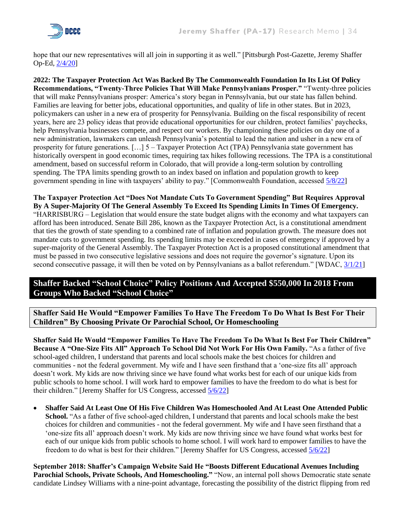

hope that our new representatives will all join in supporting it as well." [Pittsburgh Post-Gazette, Jeremy Shaffer Op-Ed, [2/4/20\]](https://www.post-gazette.com/opinion/letters/2020/02/04/Control-overspending-in-Harrisburg/stories/202002040015)

**2022: The Taxpayer Protection Act Was Backed By The Commonwealth Foundation In Its List Of Policy Recommendations, "Twenty-Three Policies That Will Make Pennsylvanians Prosper."** "Twenty-three policies that will make Pennsylvanians prosper: America's story began in Pennsylvania, but our state has fallen behind. Families are leaving for better jobs, educational opportunities, and quality of life in other states. But in 2023, policymakers can usher in a new era of prosperity for Pennsylvania. Building on the fiscal responsibility of recent years, here are 23 policy ideas that provide educational opportunities for our children, protect families' paychecks, help Pennsylvania businesses compete, and respect our workers. By championing these policies on day one of a new administration, lawmakers can unleash Pennsylvania's potential to lead the nation and usher in a new era of prosperity for future generations. […] 5 – Taxpayer Protection Act (TPA) Pennsylvania state government has historically overspent in good economic times, requiring tax hikes following recessions. The TPA is a constitutional amendment, based on successful reform in Colorado, that will provide a long-term solution by controlling spending. The TPA limits spending growth to an index based on inflation and population growth to keep government spending in line with taxpayers' ability to pay." [Commonwealth Foundation, accessed [5/8/22\]](https://www.commonwealthfoundation.org/better-pennsylvania-2023/)

**The Taxpayer Protection Act "Does Not Mandate Cuts To Government Spending" But Requires Approval By A Super-Majority Of The General Assembly To Exceed Its Spending Limits In Times Of Emergency.**  "HARRISBURG – Legislation that would ensure the state budget aligns with the economy and what taxpayers can afford has been introduced. Senate Bill 286, known as the Taxpayer Protection Act, is a constitutional amendment that ties the growth of state spending to a combined rate of inflation and population growth. The measure does not mandate cuts to government spending. Its spending limits may be exceeded in cases of emergency if approved by a super-majority of the General Assembly. The Taxpayer Protection Act is a proposed constitutional amendment that must be passed in two consecutive legislative sessions and does not require the governor's signature. Upon its second consecutive passage, it will then be voted on by Pennsylvanians as a ballot referendum." [WDAC, [3/1/21\]](https://wdac.com/pa-taxpayer-protection-act-proposed/)

## **Shaffer Backed "School Choice" Policy Positions And Accepted \$550,000 In 2018 From Groups Who Backed "School Choice"**

**Shaffer Said He Would "Empower Families To Have The Freedom To Do What Is Best For Their Children" By Choosing Private Or Parochial School, Or Homeschooling**

**Shaffer Said He Would "Empower Families To Have The Freedom To Do What Is Best For Their Children" Because A "One-Size Fits All" Approach To School Did Not Work For His Own Family.** "As a father of five school-aged children, I understand that parents and local schools make the best choices for children and communities - not the federal government. My wife and I have seen firsthand that a 'one-size fits all' approach doesn't work. My kids are now thriving since we have found what works best for each of our unique kids from public schools to home school. I will work hard to empower families to have the freedom to do what is best for their children." [Jeremy Shaffer for US Congress, accessed [5/6/22\]](https://jeremyshaffer.com/issues/)

• **Shaffer Said At Least One Of His Five Children Was Homeschooled And At Least One Attended Public School.** "As a father of five school-aged children, I understand that parents and local schools make the best choices for children and communities - not the federal government. My wife and I have seen firsthand that a 'one-size fits all' approach doesn't work. My kids are now thriving since we have found what works best for each of our unique kids from public schools to home school. I will work hard to empower families to have the freedom to do what is best for their children." [Jeremy Shaffer for US Congress, accessed [5/6/22\]](https://jeremyshaffer.com/issues/)

**September 2018: Shaffer's Campaign Website Said He "Boosts Different Educational Avenues Including Parochial Schools, Private Schools, And Homeschooling."** "Now, an internal poll shows Democratic state senate candidate Lindsey Williams with a nine-point advantage, forecasting the possibility of the district flipping from red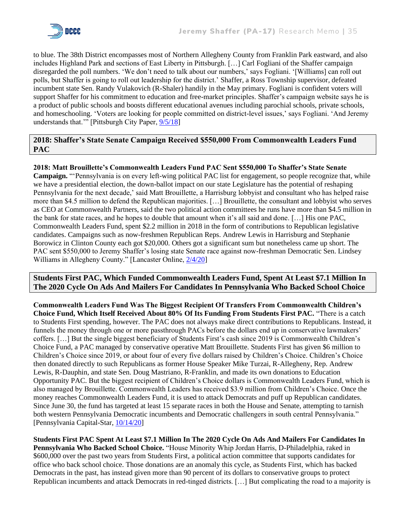

to blue. The 38th District encompasses most of Northern Allegheny County from Franklin Park eastward, and also includes Highland Park and sections of East Liberty in Pittsburgh. […] Carl Fogliani of the Shaffer campaign disregarded the poll numbers. 'We don't need to talk about our numbers,' says Fogliani. '[Williams] can roll out polls, but Shaffer is going to roll out leadership for the district.' Shaffer, a Ross Township supervisor, defeated incumbent state Sen. Randy Vulakovich (R-Shaler) handily in the May primary. Fogliani is confident voters will support Shaffer for his commitment to education and free-market principles. Shaffer's campaign website says he is a product of public schools and boosts different educational avenues including parochial schools, private schools, and homeschooling. 'Voters are looking for people committed on district-level issues,' says Fogliani. 'And Jeremy understands that.'" [Pittsburgh City Paper, [9/5/18\]](file:///C:/Users/jacobson22/Desktop/Jeremy%20Shaffer/pghcitypaper.com/pittsburgh/internal-poll-shows-democrat-state-senate-nominee-lindsey-williams-with-9-point-lead-over-republican-jeremy-shaffer/Content%3foid=10458165)

## **2018: Shaffer's State Senate Campaign Received \$550,000 From Commonwealth Leaders Fund PAC**

## **2018: Matt Brouillette's Commonwealth Leaders Fund PAC Sent \$550,000 To Shaffer's State Senate**

**Campaign.** "'Pennsylvania is on every left-wing political PAC list for engagement, so people recognize that, while we have a presidential election, the down-ballot impact on our state Legislature has the potential of reshaping Pennsylvania for the next decade,' said Matt Brouillette, a Harrisburg lobbyist and consultant who has helped raise more than \$4.5 million to defend the Republican majorities. […] Brouillette, the consultant and lobbyist who serves as CEO at Commonwealth Partners, said the two political action committees he runs have more than \$4.5 million in the bank for state races, and he hopes to double that amount when it's all said and done. […] His one PAC, Commonwealth Leaders Fund, spent \$2.2 million in 2018 in the form of contributions to Republican legislative candidates. Campaigns such as now-freshmen Republican Reps. Andrew Lewis in Harrisburg and Stephanie Borowicz in Clinton County each got \$20,000. Others got a significant sum but nonetheless came up short. The PAC sent \$550,000 to Jeremy Shaffer's losing state Senate race against now-freshman Democratic Sen. Lindsey Williams in Allegheny County." [Lancaster Online[, 2/4/20\]](https://lancasteronline.com/news/politics/whos-safe-whos-not-breaking-down-the-2020-pennsylvania-house-and-senate-contests/article_3f928aa4-43b1-11ea-87f7-4b7f7b149fca.html)

## **Students First PAC, Which Funded Commonwealth Leaders Fund, Spent At Least \$7.1 Million In The 2020 Cycle On Ads And Mailers For Candidates In Pennsylvania Who Backed School Choice**

**Commonwealth Leaders Fund Was The Biggest Recipient Of Transfers From Commonwealth Children's Choice Fund, Which Itself Received About 80% Of Its Funding From Students First PAC.** "There is a catch to Students First spending, however. The PAC does not always make direct contributions to Republicans. Instead, it funnels the money through one or more passthrough PACs before the dollars end up in conservative lawmakers' coffers. […] But the single biggest beneficiary of Students First's cash since 2019 is Commonwealth Children's Choice Fund, a PAC managed by conservative operative Matt Brouillette. Students First has given \$6 million to Children's Choice since 2019, or about four of every five dollars raised by Children's Choice. Children's Choice then donated directly to such Republicans as former House Speaker Mike Turzai, R-Allegheny, Rep. Andrew Lewis, R-Dauphin, and state Sen. Doug Mastriano, R-Franklin, and made its own donations to Education Opportunity PAC. But the biggest recipient of Children's Choice dollars is Commonwealth Leaders Fund, which is also managed by Brouillette. Commonwealth Leaders has received \$3.9 million from Children's Choice. Once the money reaches Commonwealth Leaders Fund, it is used to attack Democrats and puff up Republican candidates. Since June 30, the fund has targeted at least 15 separate races in both the House and Senate, attempting to tarnish both western Pennsylvania Democratic incumbents and Democratic challengers in south central Pennsylvania." [Pennsylvania Capital-Star, [10/14/20\]](https://www.penncapital-star.com/election-2020/as-democrats-aim-to-flip-the-house-a-top-lawmaker-took-600k-from-school-choice-donor-spending-to-stop-them/)

**Students First PAC Spent At Least \$7.1 Million In The 2020 Cycle On Ads And Mailers For Candidates In Pennsylvania Who Backed School Choice.** "House Minority Whip Jordan Harris, D-Philadelphia, raked in \$600,000 over the past two years from Students First, a political action committee that supports candidates for office who back school choice. Those donations are an anomaly this cycle, as Students First, which has backed Democrats in the past, has instead given more than 90 percent of its dollars to conservative groups to protect Republican incumbents and attack Democrats in red-tinged districts. […] But complicating the road to a majority is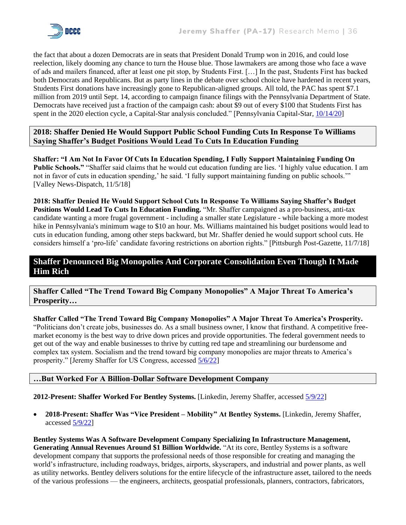

the fact that about a dozen Democrats are in seats that President Donald Trump won in 2016, and could lose reelection, likely dooming any chance to turn the House blue. Those lawmakers are among those who face a wave of ads and mailers financed, after at least one pit stop, by Students First. […] In the past, Students First has backed both Democrats and Republicans. But as party lines in the debate over school choice have hardened in recent years, Students First donations have increasingly gone to Republican-aligned groups. All told, the PAC has spent \$7.1 million from 2019 until Sept. 14, according to campaign finance filings with the Pennsylvania Department of State. Democrats have received just a fraction of the campaign cash: about \$9 out of every \$100 that Students First has spent in the 2020 election cycle, a Capital-Star analysis concluded." [Pennsylvania Capital-Star, [10/14/20\]](https://www.penncapital-star.com/election-2020/as-democrats-aim-to-flip-the-house-a-top-lawmaker-took-600k-from-school-choice-donor-spending-to-stop-them/)

## **2018: Shaffer Denied He Would Support Public School Funding Cuts In Response To Williams Saying Shaffer's Budget Positions Would Lead To Cuts In Education Funding**

**Shaffer: "I Am Not In Favor Of Cuts In Education Spending, I Fully Support Maintaining Funding On Public Schools."** "Shaffer said claims that he would cut education funding are lies. 'I highly value education. I am not in favor of cuts in education spending,' he said. 'I fully support maintaining funding on public schools.'" [Valley News-Dispatch, 11/5/18]

**2018: Shaffer Denied He Would Support School Cuts In Response To Williams Saying Shaffer's Budget Positions Would Lead To Cuts In Education Funding.** "Mr. Shaffer campaigned as a pro-business, anti-tax candidate wanting a more frugal government - including a smaller state Legislature - while backing a more modest hike in Pennsylvania's minimum wage to \$10 an hour. Ms. Williams maintained his budget positions would lead to cuts in education funding, among other steps backward, but Mr. Shaffer denied he would support school cuts. He considers himself a 'pro-life' candidate favoring restrictions on abortion rights." [Pittsburgh Post-Gazette, 11/7/18]

## **Shaffer Denounced Big Monopolies And Corporate Consolidation Even Though It Made Him Rich**

**Shaffer Called "The Trend Toward Big Company Monopolies" A Major Threat To America's Prosperity…**

**Shaffer Called "The Trend Toward Big Company Monopolies" A Major Threat To America's Prosperity.**  "Politicians don't create jobs, businesses do. As a small business owner, I know that firsthand. A competitive freemarket economy is the best way to drive down prices and provide opportunities. The federal government needs to get out of the way and enable businesses to thrive by cutting red tape and streamlining our burdensome and complex tax system. Socialism and the trend toward big company monopolies are major threats to America's prosperity." [Jeremy Shaffer for US Congress, accessed [5/6/22\]](https://jeremyshaffer.com/issues/)

## **…But Worked For A Billion-Dollar Software Development Company**

**2012-Present: Shaffer Worked For Bentley Systems.** [Linkedin, Jeremy Shaffer, accesse[d 5/9/22\]](https://www.linkedin.com/in/jeremy-shaffer-0115397/)

• **2018-Present: Shaffer Was "Vice President – Mobility" At Bentley Systems.** [Linkedin, Jeremy Shaffer, accesse[d 5/9/22\]](https://www.linkedin.com/in/jeremy-shaffer-0115397/)

**Bentley Systems Was A Software Development Company Specializing In Infrastructure Management, Generating Annual Revenues Around \$1 Billion Worldwide.** "At its core, Bentley Systems is a software development company that supports the professional needs of those responsible for creating and managing the world's infrastructure, including roadways, bridges, airports, skyscrapers, and industrial and power plants, as well as utility networks. Bentley delivers solutions for the entire lifecycle of the infrastructure asset, tailored to the needs of the various professions — the engineers, architects, geospatial professionals, planners, contractors, fabricators,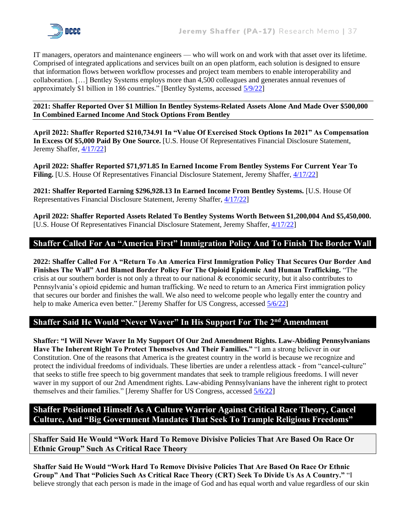

IT managers, operators and maintenance engineers — who will work on and work with that asset over its lifetime. Comprised of integrated applications and services built on an open platform, each solution is designed to ensure that information flows between workflow processes and project team members to enable interoperability and collaboration. […] Bentley Systems employs more than 4,500 colleagues and generates annual revenues of approximately \$1 billion in 186 countries." [Bentley Systems, accessed [5/9/22\]](https://www.bentley.com/en/about-us)

**2021: Shaffer Reported Over \$1 Million In Bentley Systems-Related Assets Alone And Made Over \$500,000 In Combined Earned Income And Stock Options From Bentley**

**April 2022: Shaffer Reported \$210,734.91 In "Value Of Exercised Stock Options In 2021" As Compensation In Excess Of \$5,000 Paid By One Source.** [U.S. House Of Representatives Financial Disclosure Statement, Jeremy Shaffer, [4/17/22\]](https://disclosures-clerk.house.gov/public_disc/financial-pdfs/2022/10046273.pdf)

**April 2022: Shaffer Reported \$71,971.85 In Earned Income From Bentley Systems For Current Year To**  Filing. [U.S. House Of Representatives Financial Disclosure Statement, Jeremy Shaffer, [4/17/22\]](https://disclosures-clerk.house.gov/public_disc/financial-pdfs/2022/10046273.pdf)

**2021: Shaffer Reported Earning \$296,928.13 In Earned Income From Bentley Systems.** [U.S. House Of Representatives Financial Disclosure Statement, Jeremy Shaffer, [4/17/22\]](https://disclosures-clerk.house.gov/public_disc/financial-pdfs/2022/10046273.pdf)

**April 2022: Shaffer Reported Assets Related To Bentley Systems Worth Between \$1,200,004 And \$5,450,000.** [U.S. House Of Representatives Financial Disclosure Statement, Jeremy Shaffer, [4/17/22\]](https://disclosures-clerk.house.gov/public_disc/financial-pdfs/2022/10046273.pdf)

## **Shaffer Called For An "America First" Immigration Policy And To Finish The Border Wall**

**2022: Shaffer Called For A "Return To An America First Immigration Policy That Secures Our Border And Finishes The Wall" And Blamed Border Policy For The Opioid Epidemic And Human Trafficking.** "The crisis at our southern border is not only a threat to our national & economic security, but it also contributes to Pennsylvania's opioid epidemic and human trafficking. We need to return to an America First immigration policy that secures our border and finishes the wall. We also need to welcome people who legally enter the country and help to make America even better." [Jeremy Shaffer for US Congress, accessed [5/6/22\]](https://jeremyshaffer.com/issues/)

## **Shaffer Said He Would "Never Waver" In His Support For The 2nd Amendment**

**Shaffer: "I Will Never Waver In My Support Of Our 2nd Amendment Rights. Law-Abiding Pennsylvanians Have The Inherent Right To Protect Themselves And Their Families."** "I am a strong believer in our Constitution. One of the reasons that America is the greatest country in the world is because we recognize and protect the individual freedoms of individuals. These liberties are under a relentless attack - from "cancel-culture" that seeks to stifle free speech to big government mandates that seek to trample religious freedoms. I will never waver in my support of our 2nd Amendment rights. Law-abiding Pennsylvanians have the inherent right to protect themselves and their families." [Jeremy Shaffer for US Congress, accesse[d 5/6/22\]](https://jeremyshaffer.com/issues/)

**Shaffer Positioned Himself As A Culture Warrior Against Critical Race Theory, Cancel Culture, And "Big Government Mandates That Seek To Trample Religious Freedoms"**

**Shaffer Said He Would "Work Hard To Remove Divisive Policies That Are Based On Race Or Ethnic Group" Such As Critical Race Theory**

**Shaffer Said He Would "Work Hard To Remove Divisive Policies That Are Based On Race Or Ethnic Group" And That "Policies Such As Critical Race Theory (CRT) Seek To Divide Us As A Country."** "I believe strongly that each person is made in the image of God and has equal worth and value regardless of our skin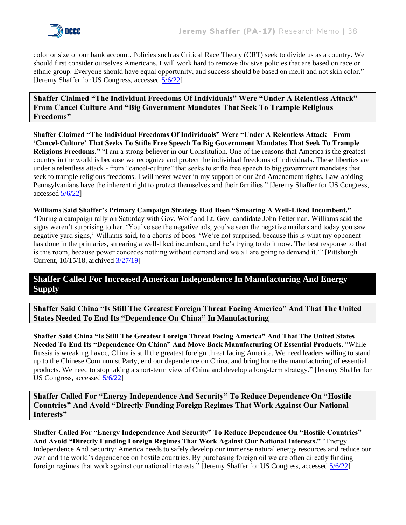

color or size of our bank account. Policies such as Critical Race Theory (CRT) seek to divide us as a country. We should first consider ourselves Americans. I will work hard to remove divisive policies that are based on race or ethnic group. Everyone should have equal opportunity, and success should be based on merit and not skin color." [Jeremy Shaffer for US Congress, accessed [5/6/22\]](https://jeremyshaffer.com/issues/)

**Shaffer Claimed "The Individual Freedoms Of Individuals" Were "Under A Relentless Attack" From Cancel Culture And "Big Government Mandates That Seek To Trample Religious Freedoms"**

**Shaffer Claimed "The Individual Freedoms Of Individuals" Were "Under A Relentless Attack - From 'Cancel-Culture' That Seeks To Stifle Free Speech To Big Government Mandates That Seek To Trample Religious Freedoms."** "I am a strong believer in our Constitution. One of the reasons that America is the greatest country in the world is because we recognize and protect the individual freedoms of individuals. These liberties are under a relentless attack - from "cancel-culture" that seeks to stifle free speech to big government mandates that seek to trample religious freedoms. I will never waver in my support of our 2nd Amendment rights. Law-abiding Pennsylvanians have the inherent right to protect themselves and their families." [Jeremy Shaffer for US Congress, accessed [5/6/22\]](https://jeremyshaffer.com/issues/)

**Williams Said Shaffer's Primary Campaign Strategy Had Been "Smearing A Well-Liked Incumbent."**  "During a campaign rally on Saturday with Gov. Wolf and Lt. Gov. candidate John Fetterman, Williams said the signs weren't surprising to her. 'You've see the negative ads, you've seen the negative mailers and today you saw negative yard signs,' Williams said, to a chorus of boos. 'We're not surprised, because this is what my opponent has done in the primaries, smearing a well-liked incumbent, and he's trying to do it now. The best response to that is this room, because power concedes nothing without demand and we all are going to demand it.'" [Pittsburgh Current, 10/15/18, archive[d 3/27/19\]](https://web.archive.org/web/20190327204634/https:/www.pittsburghcurrent.com/williams-yard-signs/)

## **Shaffer Called For Increased American Independence In Manufacturing And Energy Supply**

**Shaffer Said China "Is Still The Greatest Foreign Threat Facing America" And That The United States Needed To End Its "Dependence On China" In Manufacturing**

**Shaffer Said China "Is Still The Greatest Foreign Threat Facing America" And That The United States Needed To End Its "Dependence On China" And Move Back Manufacturing Of Essential Products.** "While Russia is wreaking havoc, China is still the greatest foreign threat facing America. We need leaders willing to stand up to the Chinese Communist Party, end our dependence on China, and bring home the manufacturing of essential products. We need to stop taking a short-term view of China and develop a long-term strategy." [Jeremy Shaffer for US Congress, accessed [5/6/22\]](https://jeremyshaffer.com/issues/)

**Shaffer Called For "Energy Independence And Security" To Reduce Dependence On "Hostile Countries" And Avoid "Directly Funding Foreign Regimes That Work Against Our National Interests"**

**Shaffer Called For "Energy Independence And Security" To Reduce Dependence On "Hostile Countries" And Avoid "Directly Funding Foreign Regimes That Work Against Our National Interests."** "Energy Independence And Security: America needs to safely develop our immense natural energy resources and reduce our own and the world's dependence on hostile countries. By purchasing foreign oil we are often directly funding foreign regimes that work against our national interests." [Jeremy Shaffer for US Congress, accessed [5/6/22\]](https://jeremyshaffer.com/issues/)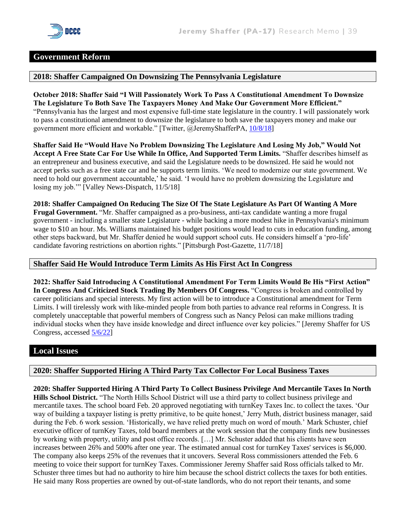

#### **Government Reform**

#### **2018: Shaffer Campaigned On Downsizing The Pennsylvania Legislature**

**October 2018: Shaffer Said "I Will Passionately Work To Pass A Constitutional Amendment To Downsize The Legislature To Both Save The Taxpayers Money And Make Our Government More Efficient."**  "Pennsylvania has the largest and most expensive full-time state legislature in the country. I will passionately work to pass a constitutional amendment to downsize the legislature to both save the taxpayers money and make our government more efficient and workable." [Twitter, @JeremyShafferPA, [10/8/18\]](https://twitter.com/JeremyShafferPA/status/1049431256197402626)

**Shaffer Said He "Would Have No Problem Downsizing The Legislature And Losing My Job," Would Not Accept A Free State Car For Use While In Office, And Supported Term Limits.** "Shaffer describes himself as an entrepreneur and business executive, and said the Legislature needs to be downsized. He said he would not accept perks such as a free state car and he supports term limits. 'We need to modernize our state government. We need to hold our government accountable,' he said. 'I would have no problem downsizing the Legislature and losing my job.'" [Valley News-Dispatch, 11/5/18]

**2018: Shaffer Campaigned On Reducing The Size Of The State Legislature As Part Of Wanting A More Frugal Government.** "Mr. Shaffer campaigned as a pro-business, anti-tax candidate wanting a more frugal government - including a smaller state Legislature - while backing a more modest hike in Pennsylvania's minimum wage to \$10 an hour. Ms. Williams maintained his budget positions would lead to cuts in education funding, among other steps backward, but Mr. Shaffer denied he would support school cuts. He considers himself a 'pro-life' candidate favoring restrictions on abortion rights." [Pittsburgh Post-Gazette, 11/7/18]

#### **Shaffer Said He Would Introduce Term Limits As His First Act In Congress**

**2022: Shaffer Said Introducing A Constitutional Amendment For Term Limits Would Be His "First Action" In Congress And Criticized Stock Trading By Members Of Congress.** "Congress is broken and controlled by career politicians and special interests. My first action will be to introduce a Constitutional amendment for Term Limits. I will tirelessly work with like-minded people from both parties to advance real reforms in Congress. It is completely unacceptable that powerful members of Congress such as Nancy Pelosi can make millions trading individual stocks when they have inside knowledge and direct influence over key policies." [Jeremy Shaffer for US Congress, accessed [5/6/22\]](https://jeremyshaffer.com/issues/)

## **Local Issues**

#### **2020: Shaffer Supported Hiring A Third Party Tax Collector For Local Business Taxes**

**2020: Shaffer Supported Hiring A Third Party To Collect Business Privilege And Mercantile Taxes In North Hills School District.** "The North Hills School District will use a third party to collect business privilege and mercantile taxes. The school board Feb. 20 approved negotiating with turnKey Taxes Inc. to collect the taxes. 'Our way of building a taxpayer listing is pretty primitive, to be quite honest,' Jerry Muth, district business manager, said during the Feb. 6 work session. 'Historically, we have relied pretty much on word of mouth.' Mark Schuster, chief executive officer of turnKey Taxes, told board members at the work session that the company finds new businesses by working with property, utility and post office records. […] Mr. Schuster added that his clients have seen increases between 26% and 500% after one year. The estimated annual cost for turnKey Taxes' services is \$6,000. The company also keeps 25% of the revenues that it uncovers. Several Ross commissioners attended the Feb. 6 meeting to voice their support for turnKey Taxes. Commissioner Jeremy Shaffer said Ross officials talked to Mr. Schuster three times but had no authority to hire him because the school district collects the taxes for both entities. He said many Ross properties are owned by out-of-state landlords, who do not report their tenants, and some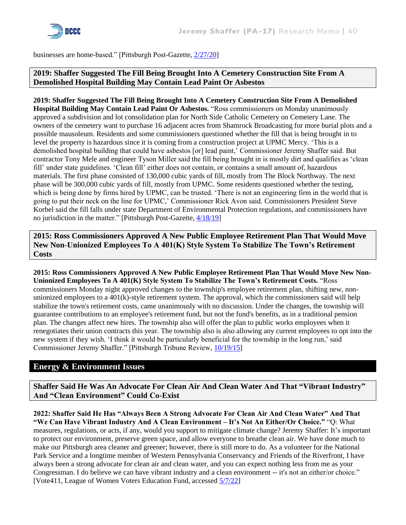

businesses are home-based." [Pittsburgh Post-Gazette[, 2/27/20\]](https://www.post-gazette.com/local/north/2020/02/27/North-Hills-to-hire-firm-to-collect-school-tax/stories/202002280019)

## **2019: Shaffer Suggested The Fill Being Brought Into A Cemetery Construction Site From A Demolished Hospital Building May Contain Lead Paint Or Asbestos**

**2019: Shaffer Suggested The Fill Being Brought Into A Cemetery Construction Site From A Demolished Hospital Building May Contain Lead Paint Or Asbestos.** "Ross commissioners on Monday unanimously approved a subdivision and lot consolidation plan for North Side Catholic Cemetery on Cemetery Lane. The owners of the cemetery want to purchase 16 adjacent acres from Shamrock Broadcasting for more burial plots and a possible mausoleum. Residents and some commissioners questioned whether the fill that is being brought in to level the property is hazardous since it is coming from a construction project at UPMC Mercy. 'This is a demolished hospital building that could have asbestos [or] lead paint,' Commissioner Jeremy Shaffer said. But contractor Tony Mele and engineer Tyson Miller said the fill being brought in is mostly dirt and qualifies as 'clean fill' under state guidelines. 'Clean fill' either does not contain, or contains a small amount of, hazardous materials. The first phase consisted of 130,000 cubic yards of fill, mostly from The Block Northway. The next phase will be 300,000 cubic yards of fill, mostly from UPMC. Some residents questioned whether the testing, which is being done by firms hired by UPMC, can be trusted. 'There is not an engineering firm in the world that is going to put their neck on the line for UPMC,' Commissioner Rick Avon said. Commissioners President Steve Korbel said the fill falls under state Department of Environmental Protection regulations, and commissioners have no jurisdiction in the matter." [Pittsburgh Post-Gazette, [4/18/19\]](https://www.post-gazette.com/local/north/2019/04/18/Ross-commissioners-OK-cemetery-subdivision-plan/stories/201904180013)

**2015: Ross Commissioners Approved A New Public Employee Retirement Plan That Would Move New Non-Unionized Employees To A 401(K) Style System To Stabilize The Town's Retirement Costs**

**2015: Ross Commissioners Approved A New Public Employee Retirement Plan That Would Move New Non-Unionized Employees To A 401(K) Style System To Stabilize The Town's Retirement Costs.** "Ross commissioners Monday night approved changes to the township's employee retirement plan, shifting new, nonunionized employees to a  $401(k)$ -style retirement system. The approval, which the commissioners said will help stabilize the town's retirement costs, came unanimously with no discussion. Under the changes, the township will guarantee contributions to an employee's retirement fund, but not the fund's benefits, as in a traditional pension plan. The changes affect new hires. The township also will offer the plan to public works employees when it renegotiates their union contracts this year. The township also is also allowing any current employees to opt into the new system if they wish. 'I think it would be particularly beneficial for the township in the long run,' said Commissioner Jeremy Shaffer." [Pittsburgh Tribune Review, [10/19/15\]](https://archive.triblive.com/local/pittsburgh-allegheny/ross-approves-401k-style-system-for-new-township-employees/)

## **Energy & Environment Issues**

**Shaffer Said He Was An Advocate For Clean Air And Clean Water And That "Vibrant Industry" And "Clean Environment" Could Co-Exist**

**2022: Shaffer Said He Has "Always Been A Strong Advocate For Clean Air And Clean Water" And That "We Can Have Vibrant Industry And A Clean Environment – It's Not An Either/Or Choice."** "Q: What measures, regulations, or acts, if any, would you support to mitigate climate change? Jeremy Shaffer: It's important to protect our environment, preserve green space, and allow everyone to breathe clean air. We have done much to make our Pittsburgh area cleaner and greener; however, there is still more to do. As a volunteer for the National Park Service and a longtime member of Western Pennsylvania Conservancy and Friends of the Riverfront, I have always been a strong advocate for clean air and clean water, and you can expect nothing less from me as your Congressman. I do believe we can have vibrant industry and a clean environment -- it's not an either/or choice." [Vote411, League of Women Voters Education Fund, accessed [5/7/22\]](https://onyourballot.vote411.org/race-detail.do?id=24268739&party=Rep)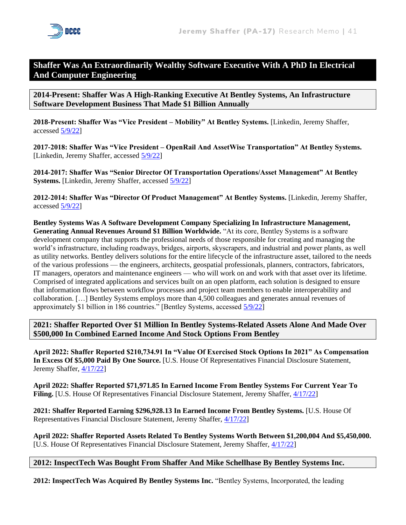## **Shaffer Was An Extraordinarily Wealthy Software Executive With A PhD In Electrical And Computer Engineering**

**2014-Present: Shaffer Was A High-Ranking Executive At Bentley Systems, An Infrastructure Software Development Business That Made \$1 Billion Annually**

**2018-Present: Shaffer Was "Vice President – Mobility" At Bentley Systems.** [Linkedin, Jeremy Shaffer, accessed [5/9/22\]](https://www.linkedin.com/in/jeremy-shaffer-0115397/)

**2017-2018: Shaffer Was "Vice President – OpenRail And AssetWise Transportation" At Bentley Systems.**  [Linkedin, Jeremy Shaffer, accessed [5/9/22\]](https://www.linkedin.com/in/jeremy-shaffer-0115397/)

**2014-2017: Shaffer Was "Senior Director Of Transportation Operations/Asset Management" At Bentley Systems.** [Linkedin, Jeremy Shaffer, accessed [5/9/22\]](https://www.linkedin.com/in/jeremy-shaffer-0115397/)

**2012-2014: Shaffer Was "Director Of Product Management" At Bentley Systems.** [Linkedin, Jeremy Shaffer, accessed [5/9/22\]](https://www.linkedin.com/in/jeremy-shaffer-0115397/)

**Bentley Systems Was A Software Development Company Specializing In Infrastructure Management, Generating Annual Revenues Around \$1 Billion Worldwide.** "At its core, Bentley Systems is a software development company that supports the professional needs of those responsible for creating and managing the world's infrastructure, including roadways, bridges, airports, skyscrapers, and industrial and power plants, as well as utility networks. Bentley delivers solutions for the entire lifecycle of the infrastructure asset, tailored to the needs of the various professions — the engineers, architects, geospatial professionals, planners, contractors, fabricators, IT managers, operators and maintenance engineers — who will work on and work with that asset over its lifetime. Comprised of integrated applications and services built on an open platform, each solution is designed to ensure that information flows between workflow processes and project team members to enable interoperability and collaboration. […] Bentley Systems employs more than 4,500 colleagues and generates annual revenues of approximately \$1 billion in 186 countries." [Bentley Systems, accessed [5/9/22\]](https://www.bentley.com/en/about-us)

**2021: Shaffer Reported Over \$1 Million In Bentley Systems-Related Assets Alone And Made Over \$500,000 In Combined Earned Income And Stock Options From Bentley**

**April 2022: Shaffer Reported \$210,734.91 In "Value Of Exercised Stock Options In 2021" As Compensation In Excess Of \$5,000 Paid By One Source.** [U.S. House Of Representatives Financial Disclosure Statement, Jeremy Shaffer, [4/17/22\]](https://disclosures-clerk.house.gov/public_disc/financial-pdfs/2022/10046273.pdf)

**April 2022: Shaffer Reported \$71,971.85 In Earned Income From Bentley Systems For Current Year To Filing.** [U.S. House Of Representatives Financial Disclosure Statement, Jeremy Shaffer, [4/17/22\]](https://disclosures-clerk.house.gov/public_disc/financial-pdfs/2022/10046273.pdf)

**2021: Shaffer Reported Earning \$296,928.13 In Earned Income From Bentley Systems.** [U.S. House Of Representatives Financial Disclosure Statement, Jeremy Shaffer, [4/17/22\]](https://disclosures-clerk.house.gov/public_disc/financial-pdfs/2022/10046273.pdf)

**April 2022: Shaffer Reported Assets Related To Bentley Systems Worth Between \$1,200,004 And \$5,450,000.** [U.S. House Of Representatives Financial Disclosure Statement, Jeremy Shaffer, [4/17/22\]](https://disclosures-clerk.house.gov/public_disc/financial-pdfs/2022/10046273.pdf)

#### **2012: InspectTech Was Bought From Shaffer And Mike Schellhase By Bentley Systems Inc.**

**2012: InspectTech Was Acquired By Bentley Systems Inc.** "Bentley Systems, Incorporated, the leading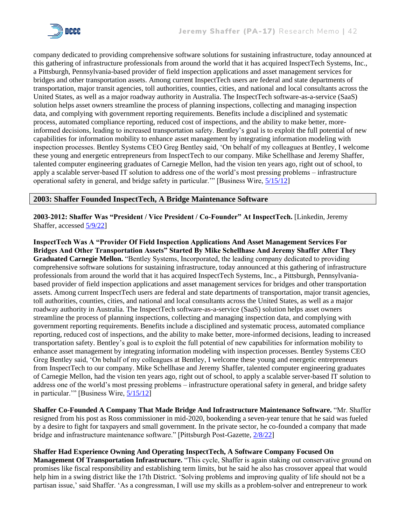

company dedicated to providing comprehensive software solutions for sustaining infrastructure, today announced at this gathering of infrastructure professionals from around the world that it has acquired InspectTech Systems, Inc., a Pittsburgh, Pennsylvania-based provider of field inspection applications and asset management services for bridges and other transportation assets. Among current InspectTech users are federal and state departments of transportation, major transit agencies, toll authorities, counties, cities, and national and local consultants across the United States, as well as a major roadway authority in Australia. The InspectTech software-as-a-service (SaaS) solution helps asset owners streamline the process of planning inspections, collecting and managing inspection data, and complying with government reporting requirements. Benefits include a disciplined and systematic process, automated compliance reporting, reduced cost of inspections, and the ability to make better, moreinformed decisions, leading to increased transportation safety. Bentley's goal is to exploit the full potential of new capabilities for information mobility to enhance asset management by integrating information modeling with inspection processes. Bentley Systems CEO Greg Bentley said, 'On behalf of my colleagues at Bentley, I welcome these young and energetic entrepreneurs from InspectTech to our company. Mike Schellhase and Jeremy Shaffer, talented computer engineering graduates of Carnegie Mellon, had the vision ten years ago, right out of school, to apply a scalable server-based IT solution to address one of the world's most pressing problems – infrastructure operational safety in general, and bridge safety in particular.'" [Business Wire, [5/15/12\]](https://www.businesswire.com/news/home/20120515006611/en/Bentley-Acquires-InspectTech-Leading-Provider-of-Software-as-a-Service-for-Bridge-Safety)

#### **2003: Shaffer Founded InspectTech, A Bridge Maintenance Software**

**2003-2012: Shaffer Was "President / Vice President / Co-Founder" At InspectTech.** [Linkedin, Jeremy Shaffer, accessed [5/9/22\]](https://www.linkedin.com/in/jeremy-shaffer-0115397/)

**InspectTech Was A "Provider Of Field Inspection Applications And Asset Management Services For Bridges And Other Transportation Assets" Started By Mike Schellhase And Jeremy Shaffer After They Graduated Carnegie Mellon.** "Bentley Systems, Incorporated, the leading company dedicated to providing comprehensive software solutions for sustaining infrastructure, today announced at this gathering of infrastructure professionals from around the world that it has acquired InspectTech Systems, Inc., a Pittsburgh, Pennsylvaniabased provider of field inspection applications and asset management services for bridges and other transportation assets. Among current InspectTech users are federal and state departments of transportation, major transit agencies, toll authorities, counties, cities, and national and local consultants across the United States, as well as a major roadway authority in Australia. The InspectTech software-as-a-service (SaaS) solution helps asset owners streamline the process of planning inspections, collecting and managing inspection data, and complying with government reporting requirements. Benefits include a disciplined and systematic process, automated compliance reporting, reduced cost of inspections, and the ability to make better, more-informed decisions, leading to increased transportation safety. Bentley's goal is to exploit the full potential of new capabilities for information mobility to enhance asset management by integrating information modeling with inspection processes. Bentley Systems CEO Greg Bentley said, 'On behalf of my colleagues at Bentley, I welcome these young and energetic entrepreneurs from InspectTech to our company. Mike Schellhase and Jeremy Shaffer, talented computer engineering graduates of Carnegie Mellon, had the vision ten years ago, right out of school, to apply a scalable server-based IT solution to address one of the world's most pressing problems – infrastructure operational safety in general, and bridge safety in particular.'" [Business Wire, [5/15/12\]](https://www.businesswire.com/news/home/20120515006611/en/Bentley-Acquires-InspectTech-Leading-Provider-of-Software-as-a-Service-for-Bridge-Safety)

**Shaffer Co-Founded A Company That Made Bridge And Infrastructure Maintenance Software.** "Mr. Shaffer resigned from his post as Ross commissioner in mid-2020, bookending a seven-year tenure that he said was fueled by a desire to fight for taxpayers and small government. In the private sector, he co-founded a company that made bridge and infrastructure maintenance software." [Pittsburgh Post-Gazette, [2/8/22\]](https://www.post-gazette.com/news/politics-local/2022/02/08/Former-Ross-commissioner-says-he-ll-run-for-GOP-spot-in-17th-District-congressional-race/stories/202202080100?cid=search)

**Shaffer Had Experience Owning And Operating InspectTech, A Software Company Focused On** 

**Management Of Transportation Infrastructure.** "This cycle, Shaffer is again staking out conservative ground on promises like fiscal responsibility and establishing term limits, but he said he also has crossover appeal that would help him in a swing district like the 17th District. 'Solving problems and improving quality of life should not be a partisan issue,' said Shaffer. 'As a congressman, I will use my skills as a problem-solver and entrepreneur to work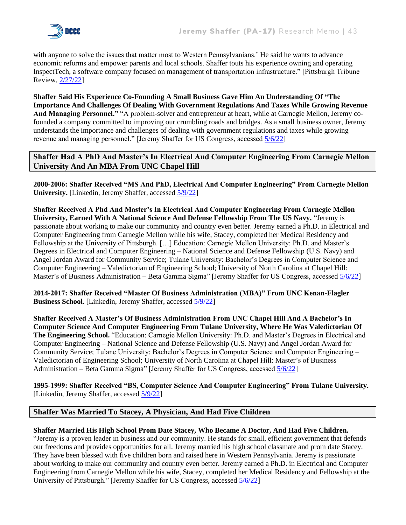

with anyone to solve the issues that matter most to Western Pennsylvanians.' He said he wants to advance economic reforms and empower parents and local schools. Shaffer touts his experience owning and operating InspectTech, a software company focused on management of transportation infrastructure." [Pittsburgh Tribune Review, [2/27/22\]](https://triblive.com/local/regional/jeremy-shaffer-former-ross-commissioner-to-run-for-congress/)

**Shaffer Said His Experience Co-Founding A Small Business Gave Him An Understanding Of "The Importance And Challenges Of Dealing With Government Regulations And Taxes While Growing Revenue And Managing Personnel."** "A problem-solver and entrepreneur at heart, while at Carnegie Mellon, Jeremy cofounded a company committed to improving our crumbling roads and bridges. As a small business owner, Jeremy understands the importance and challenges of dealing with government regulations and taxes while growing revenue and managing personnel." [Jeremy Shaffer for US Congress, accessed [5/6/22\]](https://jeremyshaffer.com/about/)

## **Shaffer Had A PhD And Master's In Electrical And Computer Engineering From Carnegie Mellon University And An MBA From UNC Chapel Hill**

**2000-2006: Shaffer Received "MS And PhD, Electrical And Computer Engineering" From Carnegie Mellon University.** [Linkedin, Jeremy Shaffer, accessed [5/9/22\]](https://www.linkedin.com/in/jeremy-shaffer-0115397/)

**Shaffer Received A Phd And Master's In Electrical And Computer Engineering From Carnegie Mellon University, Earned With A National Science And Defense Fellowship From The US Navy.** "Jeremy is passionate about working to make our community and country even better. Jeremy earned a Ph.D. in Electrical and Computer Engineering from Carnegie Mellon while his wife, Stacey, completed her Medical Residency and Fellowship at the University of Pittsburgh. […] Education: Carnegie Mellon University: Ph.D. and Master's Degrees in Electrical and Computer Engineering – National Science and Defense Fellowship (U.S. Navy) and Angel Jordan Award for Community Service; Tulane University: Bachelor's Degrees in Computer Science and Computer Engineering – Valedictorian of Engineering School; University of North Carolina at Chapel Hill: Master's of Business Administration – Beta Gamma Sigma" [Jeremy Shaffer for US Congress, accessed [5/6/22\]](https://jeremyshaffer.com/about/)

**2014-2017: Shaffer Received "Master Of Business Administration (MBA)" From UNC Kenan-Flagler Business School.** [Linkedin, Jeremy Shaffer, accessed  $\frac{5}{9/22}$ ]

**Shaffer Received A Master's Of Business Administration From UNC Chapel Hill And A Bachelor's In Computer Science And Computer Engineering From Tulane University, Where He Was Valedictorian Of The Engineering School.** "Education: Carnegie Mellon University: Ph.D. and Master's Degrees in Electrical and Computer Engineering – National Science and Defense Fellowship (U.S. Navy) and Angel Jordan Award for Community Service; Tulane University: Bachelor's Degrees in Computer Science and Computer Engineering – Valedictorian of Engineering School; University of North Carolina at Chapel Hill: Master's of Business Administration – Beta Gamma Sigma" [Jeremy Shaffer for US Congress, accesse[d 5/6/22\]](https://jeremyshaffer.com/about/)

**1995-1999: Shaffer Received "BS, Computer Science And Computer Engineering" From Tulane University.** [Linkedin, Jeremy Shaffer, accessed  $\frac{5}{9/22}$ ]

## **Shaffer Was Married To Stacey, A Physician, And Had Five Children**

#### **Shaffer Married His High School Prom Date Stacey, Who Became A Doctor, And Had Five Children.**

"Jeremy is a proven leader in business and our community. He stands for small, efficient government that defends our freedoms and provides opportunities for all. Jeremy married his high school classmate and prom date Stacey. They have been blessed with five children born and raised here in Western Pennsylvania. Jeremy is passionate about working to make our community and country even better. Jeremy earned a Ph.D. in Electrical and Computer Engineering from Carnegie Mellon while his wife, Stacey, completed her Medical Residency and Fellowship at the University of Pittsburgh." [Jeremy Shaffer for US Congress, accessed [5/6/22\]](https://jeremyshaffer.com/about/)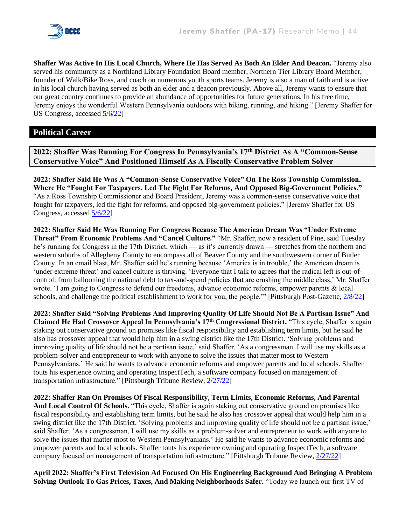

**Shaffer Was Active In His Local Church, Where He Has Served As Both An Elder And Deacon.** "Jeremy also served his community as a Northland Library Foundation Board member, Northern Tier Library Board Member, founder of Walk/Bike Ross, and coach on numerous youth sports teams. Jeremy is also a man of faith and is active in his local church having served as both an elder and a deacon previously. Above all, Jeremy wants to ensure that our great country continues to provide an abundance of opportunities for future generations. In his free time, Jeremy enjoys the wonderful Western Pennsylvania outdoors with biking, running, and hiking." [Jeremy Shaffer for US Congress, accessed [5/6/22\]](https://jeremyshaffer.com/about/)

## **Political Career**

**2022: Shaffer Was Running For Congress In Pennsylvania's 17th District As A "Common-Sense Conservative Voice" And Positioned Himself As A Fiscally Conservative Problem Solver**

**2022: Shaffer Said He Was A "Common-Sense Conservative Voice" On The Ross Township Commission, Where He "Fought For Taxpayers, Led The Fight For Reforms, And Opposed Big-Government Policies."**  "As a Ross Township Commissioner and Board President, Jeremy was a common-sense conservative voice that fought for taxpayers, led the fight for reforms, and opposed big-government policies." [Jeremy Shaffer for US Congress, accessed [5/6/22\]](https://jeremyshaffer.com/about/)

**2022: Shaffer Said He Was Running For Congress Because The American Dream Was "Under Extreme Threat" From Economic Problems And "Cancel Culture."** "Mr. Shaffer, now a resident of Pine, said Tuesday he's running for Congress in the 17th District, which — as it's currently drawn — stretches from the northern and western suburbs of Allegheny County to encompass all of Beaver County and the southwestern corner of Butler County. In an email blast, Mr. Shaffer said he's running because 'America is in trouble,' the American dream is 'under extreme threat' and cancel culture is thriving. 'Everyone that I talk to agrees that the radical left is out-ofcontrol: from ballooning the national debt to tax-and-spend policies that are crushing the middle class,' Mr. Shaffer wrote. 'I am going to Congress to defend our freedoms, advance economic reforms, empower parents & local schools, and challenge the political establishment to work for you, the people." [Pittsburgh Post-Gazette,  $\frac{2}{8/22}$ ]

**2022: Shaffer Said "Solving Problems And Improving Quality Of Life Should Not Be A Partisan Issue" And Claimed He Had Crossover Appeal In Pennsylvania's 17th Congressional District.** "This cycle, Shaffer is again staking out conservative ground on promises like fiscal responsibility and establishing term limits, but he said he also has crossover appeal that would help him in a swing district like the 17th District. 'Solving problems and improving quality of life should not be a partisan issue,' said Shaffer. 'As a congressman, I will use my skills as a problem-solver and entrepreneur to work with anyone to solve the issues that matter most to Western Pennsylvanians.' He said he wants to advance economic reforms and empower parents and local schools. Shaffer touts his experience owning and operating InspectTech, a software company focused on management of transportation infrastructure." [Pittsburgh Tribune Review, [2/27/22\]](https://triblive.com/local/regional/jeremy-shaffer-former-ross-commissioner-to-run-for-congress/)

**2022: Shaffer Ran On Promises Of Fiscal Responsibility, Term Limits, Economic Reforms, And Parental And Local Control Of Schools.** "This cycle, Shaffer is again staking out conservative ground on promises like fiscal responsibility and establishing term limits, but he said he also has crossover appeal that would help him in a swing district like the 17th District. 'Solving problems and improving quality of life should not be a partisan issue,' said Shaffer. 'As a congressman, I will use my skills as a problem-solver and entrepreneur to work with anyone to solve the issues that matter most to Western Pennsylvanians.' He said he wants to advance economic reforms and empower parents and local schools. Shaffer touts his experience owning and operating InspectTech, a software company focused on management of transportation infrastructure." [Pittsburgh Tribune Review, [2/27/22\]](https://triblive.com/local/regional/jeremy-shaffer-former-ross-commissioner-to-run-for-congress/)

**April 2022: Shaffer's First Television Ad Focused On His Engineering Background And Bringing A Problem Solving Outlook To Gas Prices, Taxes, And Making Neighborhoods Safer.** "Today we launch our first TV of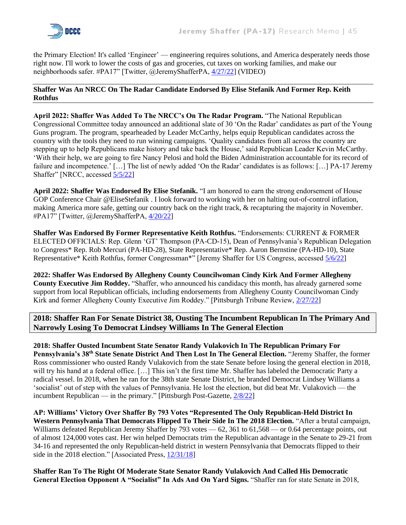the Primary Election! It's called 'Engineer' — engineering requires solutions, and America desperately needs those right now. I'll work to lower the costs of gas and groceries, cut taxes on working families, and make our neighborhoods safer. #PA17" [Twitter, @JeremyShafferPA, [4/27/22\]](https://twitter.com/JeremyShafferPA/status/1519321437424820224) (VIDEO)

#### **Shaffer Was An NRCC On The Radar Candidate Endorsed By Elise Stefanik And Former Rep. Keith Rothfus**

**April 2022: Shaffer Was Added To The NRCC's On The Radar Program.** "The National Republican Congressional Committee today announced an additional slate of 30 'On the Radar' candidates as part of the Young Guns program. The program, spearheaded by Leader McCarthy, helps equip Republican candidates across the country with the tools they need to run winning campaigns. 'Quality candidates from all across the country are stepping up to help Republicans make history and take back the House,' said Republican Leader Kevin McCarthy. 'With their help, we are going to fire Nancy Pelosi and hold the Biden Administration accountable for its record of failure and incompetence.' […] The list of newly added 'On the Radar' candidates is as follows: […] PA-17 Jeremy Shaffer" [NRCC, accesse[d 5/5/22\]](https://www.nrcc.org/2022/04/28/nrcc-announces-30-additional-on-the-radar-candidates-in-young-guns-program/)

**April 2022: Shaffer Was Endorsed By Elise Stefanik.** "I am honored to earn the strong endorsement of House GOP Conference Chair @EliseStefanik . I look forward to working with her on halting out-of-control inflation, making America more safe, getting our country back on the right track, & recapturing the majority in November. #PA17" [Twitter, @JeremyShafferPA, [4/20/22\]](https://twitter.com/JeremyShafferPA/status/1516776755452911616)

**Shaffer Was Endorsed By Former Representative Keith Rothfus.** "Endorsements: CURRENT & FORMER ELECTED OFFICIALS: Rep. Glenn 'GT' Thompson (PA-CD-15), Dean of Pennsylvania's Republican Delegation to Congress\* Rep. Rob Mercuri (PA-HD-28), State Representative\* Rep. Aaron Bernstine (PA-HD-10), State Representative\* Keith Rothfus, former Congressman\*" [Jeremy Shaffer for US Congress, accessed [5/6/22\]](https://jeremyshaffer.com/endorsements/)

**2022: Shaffer Was Endorsed By Allegheny County Councilwoman Cindy Kirk And Former Allegheny County Executive Jim Roddey.** "Shaffer, who announced his candidacy this month, has already garnered some support from local Republican officials, including endorsements from Allegheny County Councilwoman Cindy Kirk and former Allegheny County Executive Jim Roddey." [Pittsburgh Tribune Review, [2/27/22\]](https://triblive.com/local/regional/jeremy-shaffer-former-ross-commissioner-to-run-for-congress/)

**2018: Shaffer Ran For Senate District 38, Ousting The Incumbent Republican In The Primary And Narrowly Losing To Democrat Lindsey Williams In The General Election**

**2018: Shaffer Ousted Incumbent State Senator Randy Vulakovich In The Republican Primary For Pennsylvania's 38th State Senate District And Then Lost In The General Election.** "Jeremy Shaffer, the former Ross commissioner who ousted Randy Vulakovich from the state Senate before losing the general election in 2018, will try his hand at a federal office. [...] This isn't the first time Mr. Shaffer has labeled the Democratic Party a radical vessel. In 2018, when he ran for the 38th state Senate District, he branded Democrat Lindsey Williams a 'socialist' out of step with the values of Pennsylvania. He lost the election, but did beat Mr. Vulakovich — the incumbent Republican — in the primary." [Pittsburgh Post-Gazette,  $\frac{2}{8/22}$ ]

**AP: Williams' Victory Over Shaffer By 793 Votes "Represented The Only Republican-Held District In**  Western Pennsylvania That Democrats Flipped To Their Side In The 2018 Election. "After a brutal campaign, Williams defeated Republican Jeremy Shaffer by 793 votes — 62, 361 to 61,568 — or 0.64 percentage points, out of almost 124,000 votes cast. Her win helped Democrats trim the Republican advantage in the Senate to 29-21 from 34-16 and represented the only Republican-held district in western Pennsylvania that Democrats flipped to their side in the 2018 election." [Associated Press[, 12/31/18\]](https://apnews.com/article/de1168be16fd47b98a99b52ca583970e)

**Shaffer Ran To The Right Of Moderate State Senator Randy Vulakovich And Called His Democratic General Election Opponent A "Socialist" In Ads And On Yard Signs.** "Shaffer ran for state Senate in 2018,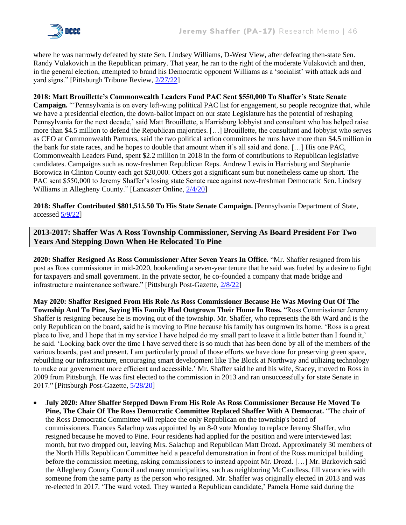

where he was narrowly defeated by state Sen. Lindsey Williams, D-West View, after defeating then-state Sen. Randy Vulakovich in the Republican primary. That year, he ran to the right of the moderate Vulakovich and then, in the general election, attempted to brand his Democratic opponent Williams as a 'socialist' with attack ads and yard signs." [Pittsburgh Tribune Review, [2/27/22\]](https://triblive.com/local/regional/jeremy-shaffer-former-ross-commissioner-to-run-for-congress/)

#### **2018: Matt Brouillette's Commonwealth Leaders Fund PAC Sent \$550,000 To Shaffer's State Senate**

**Campaign.** "'Pennsylvania is on every left-wing political PAC list for engagement, so people recognize that, while we have a presidential election, the down-ballot impact on our state Legislature has the potential of reshaping Pennsylvania for the next decade,' said Matt Brouillette, a Harrisburg lobbyist and consultant who has helped raise more than \$4.5 million to defend the Republican majorities. […] Brouillette, the consultant and lobbyist who serves as CEO at Commonwealth Partners, said the two political action committees he runs have more than \$4.5 million in the bank for state races, and he hopes to double that amount when it's all said and done. […] His one PAC, Commonwealth Leaders Fund, spent \$2.2 million in 2018 in the form of contributions to Republican legislative candidates. Campaigns such as now-freshmen Republican Reps. Andrew Lewis in Harrisburg and Stephanie Borowicz in Clinton County each got \$20,000. Others got a significant sum but nonetheless came up short. The PAC sent \$550,000 to Jeremy Shaffer's losing state Senate race against now-freshman Democratic Sen. Lindsey Williams in Allegheny County." [Lancaster Online,  $\frac{2}{4/20}$ ]

**2018: Shaffer Contributed \$801,515.50 To His State Senate Campaign.** [Pennsylvania Department of State, accessed [5/9/22\]](https://www.campaignfinanceonline.pa.gov/Pages/CFReportSearchResults.aspx)

**2013-2017: Shaffer Was A Ross Township Commissioner, Serving As Board President For Two Years And Stepping Down When He Relocated To Pine**

**2020: Shaffer Resigned As Ross Commissioner After Seven Years In Office.** "Mr. Shaffer resigned from his post as Ross commissioner in mid-2020, bookending a seven-year tenure that he said was fueled by a desire to fight for taxpayers and small government. In the private sector, he co-founded a company that made bridge and infrastructure maintenance software." [Pittsburgh Post-Gazette, [2/8/22\]](https://www.post-gazette.com/news/politics-local/2022/02/08/Former-Ross-commissioner-says-he-ll-run-for-GOP-spot-in-17th-District-congressional-race/stories/202202080100?cid=search)

**May 2020: Shaffer Resigned From His Role As Ross Commissioner Because He Was Moving Out Of The Township And To Pine, Saying His Family Had Outgrown Their Home In Ross.** "Ross Commissioner Jeremy Shaffer is resigning because he is moving out of the township. Mr. Shaffer, who represents the 8th Ward and is the only Republican on the board, said he is moving to Pine because his family has outgrown its home. 'Ross is a great place to live, and I hope that in my service I have helped do my small part to leave it a little better than I found it,' he said. 'Looking back over the time I have served there is so much that has been done by all of the members of the various boards, past and present. I am particularly proud of those efforts we have done for preserving green space, rebuilding our infrastructure, encouraging smart development like The Block at Northway and utilizing technology to make our government more efficient and accessible.' Mr. Shaffer said he and his wife, Stacey, moved to Ross in 2009 from Pittsburgh. He was first elected to the commission in 2013 and ran unsuccessfully for state Senate in 2017." [Pittsburgh Post-Gazette, [5/28/20\]](https://www.post-gazette.com/local/north/2020/05/28/Ross-Township-commissioner-resigns-before-moving-to-Pine/stories/202005290011)

• **July 2020: After Shaffer Stepped Down From His Role As Ross Commissioner Because He Moved To Pine, The Chair Of The Ross Democratic Committee Replaced Shaffer With A Democrat.** "The chair of the Ross Democratic Committee will replace the only Republican on the township's board of commissioners. Frances Salachup was appointed by an 8-0 vote Monday to replace Jeremy Shaffer, who resigned because he moved to Pine. Four residents had applied for the position and were interviewed last month, but two dropped out, leaving Mrs. Salachup and Republican Matt Drozd. Approximately 30 members of the North Hills Republican Committee held a peaceful demonstration in front of the Ross municipal building before the commission meeting, asking commissioners to instead appoint Mr. Drozd. […] Mr. Barkovich said the Allegheny County Council and many municipalities, such as neighboring McCandless, fill vacancies with someone from the same party as the person who resigned. Mr. Shaffer was originally elected in 2013 and was re-elected in 2017. 'The ward voted. They wanted a Republican candidate,' Pamela Horne said during the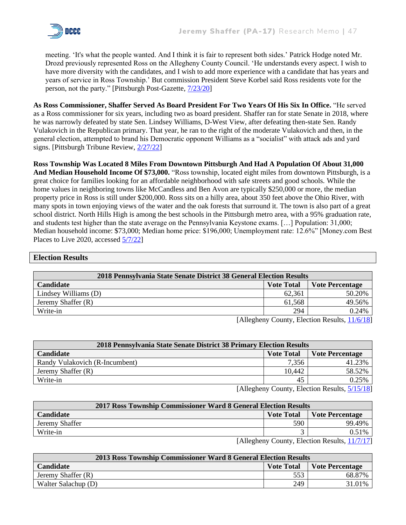

meeting. 'It's what the people wanted. And I think it is fair to represent both sides.' Patrick Hodge noted Mr. Drozd previously represented Ross on the Allegheny County Council. 'He understands every aspect. I wish to have more diversity with the candidates, and I wish to add more experience with a candidate that has years and years of service in Ross Township.' But commission President Steve Korbel said Ross residents vote for the person, not the party." [Pittsburgh Post-Gazette, [7/23/20\]](https://www.post-gazette.com/local/north/2020/07/23/Ross-board-of-commissioners-appoints-Democrat-to-take-the-seat-of-Republican/stories/202007240008)

**As Ross Commissioner, Shaffer Served As Board President For Two Years Of His Six In Office.** "He served as a Ross commissioner for six years, including two as board president. Shaffer ran for state Senate in 2018, where he was narrowly defeated by state Sen. Lindsey Williams, D-West View, after defeating then-state Sen. Randy Vulakovich in the Republican primary. That year, he ran to the right of the moderate Vulakovich and then, in the general election, attempted to brand his Democratic opponent Williams as a "socialist" with attack ads and yard signs. [Pittsburgh Tribune Review, [2/27/22\]](https://triblive.com/local/regional/jeremy-shaffer-former-ross-commissioner-to-run-for-congress/)

**Ross Township Was Located 8 Miles From Downtown Pittsburgh And Had A Population Of About 31,000 And Median Household Income Of \$73,000.** "Ross township, located eight miles from downtown Pittsburgh, is a great choice for families looking for an affordable neighborhood with safe streets and good schools. While the home values in neighboring towns like McCandless and Ben Avon are typically \$250,000 or more, the median property price in Ross is still under \$200,000. Ross sits on a hilly area, about 350 feet above the Ohio River, with many spots in town enjoying views of the water and the oak forests that surround it. The town is also part of a great school district. North Hills High is among the best schools in the Pittsburgh metro area, with a 95% graduation rate, and students test higher than the state average on the Pennsylvania Keystone exams. […] Population: 31,000; Median household income: \$73,000; Median home price: \$196,000; Unemployment rate: 12.6%" [Money.com Best Places to Live 2020, accessed [5/7/22\]](https://money.com/collection/best-places-to-live-2020/5699650/ross-pennsylvania/)

#### **Election Results**

| 2018 Pennsylvania State Senate District 38 General Election Results |        |                            |  |  |  |
|---------------------------------------------------------------------|--------|----------------------------|--|--|--|
| Candidate<br><b>Vote Total</b><br>Vote Percentage                   |        |                            |  |  |  |
| Lindsey Williams (D)                                                | 62,361 | 50.20%                     |  |  |  |
| Jeremy Shaffer (R)                                                  | 61,568 | 49.56%                     |  |  |  |
| Write-in                                                            | 294    | 0.24%                      |  |  |  |
| <b>FA11</b> 1                                                       |        | $\alpha$ $\alpha$ $\alpha$ |  |  |  |

[Allegheny County, Election Results,  $\frac{11}{6}/18$ ]

| 2018 Pennsylvania State Senate District 38 Primary Election Results |        |        |  |  |
|---------------------------------------------------------------------|--------|--------|--|--|
| <b>Candidate</b><br><b>Vote Total</b><br><b>Vote Percentage</b>     |        |        |  |  |
| Randy Vulakovich (R-Incumbent)                                      | 7,356  | 41.23% |  |  |
| Jeremy Shaffer (R)                                                  | 10.442 | 58.52% |  |  |
| Write-in                                                            | 45     | 0.25%  |  |  |

[Allegheny County, Election Results, [5/15/18\]](https://results.enr.clarityelections.com/PA/Allegheny/75018/Web02.207763/#/cid/2207)

|                                                                                                                     | 2017 Ross Township Commissioner Ward 8 General Election Results |     |        |  |  |
|---------------------------------------------------------------------------------------------------------------------|-----------------------------------------------------------------|-----|--------|--|--|
| <b>Candidate</b>                                                                                                    | <b>Vote Total</b><br>Vote Percentage                            |     |        |  |  |
| Jeremy Shaffer                                                                                                      |                                                                 | 590 | 99.49% |  |  |
| Write-in                                                                                                            |                                                                 |     | 0.51%  |  |  |
| $\lceil \Lambda \rceil$ depends $\Gamma$ ounty Election Results $\lceil \Lambda \rceil \rceil \lceil \sigma \rceil$ |                                                                 |     |        |  |  |

[Allegheny County, Election Results, [11/7/17\]](https://results.enr.clarityelections.com/PA/Allegheny/71801/Web02.193333/#/cid/0510)

| 2013 Ross Township Commissioner Ward 8 General Election Results |     |           |  |  |
|-----------------------------------------------------------------|-----|-----------|--|--|
| <b>Candidate</b><br><b>Vote Total</b><br>  Vote Percentage      |     |           |  |  |
| Jeremy Shaffer (R)                                              | 553 | 68.87%    |  |  |
| Walter Salachup (D)                                             | 249 | $31.01\%$ |  |  |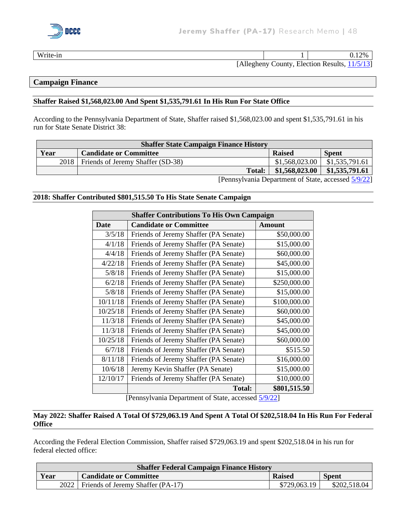

Write-in  $0.12\%$ 

[Allegheny County, Election Results, [11/5/13\]](https://www.alleghenycounty.us/uploadedFiles/Allegheny_Home/Dept-Content/Elections/Results/Archive/2013%20General%20Summary.pdf)

#### **Campaign Finance**

#### **Shaffer Raised \$1,568,023.00 And Spent \$1,535,791.61 In His Run For State Office**

According to the Pennsylvania Department of State, Shaffer raised \$1,568,023.00 and spent \$1,535,791.61 in his run for State Senate District 38:

| <b>Shaffer State Campaign Finance History</b> |                                                                |                |                |  |  |
|-----------------------------------------------|----------------------------------------------------------------|----------------|----------------|--|--|
| Year                                          | <b>Candidate or Committee</b><br><b>Raised</b><br><b>Spent</b> |                |                |  |  |
| 2018                                          | Friends of Jeremy Shaffer (SD-38)                              | \$1,568,023.00 | \$1,535,791.61 |  |  |
|                                               | <b>Total:</b>                                                  | \$1,568,023.00 | \$1,535,791.61 |  |  |
|                                               | r <sub>n</sub>                                                 |                | 1.70022        |  |  |

[Pennsylvania Department of State, accessed [5/9/22\]](https://www.campaignfinanceonline.pa.gov/Pages/CFAnnualTotals.aspx?Filer=20170368)

#### **2018: Shaffer Contributed \$801,515.50 To His State Senate Campaign**

| <b>Shaffer Contributions To His Own Campaign</b> |                                       |               |  |
|--------------------------------------------------|---------------------------------------|---------------|--|
| <b>Date</b>                                      | <b>Candidate or Committee</b>         | <b>Amount</b> |  |
| 3/5/18                                           | Friends of Jeremy Shaffer (PA Senate) | \$50,000.00   |  |
| 4/1/18                                           | Friends of Jeremy Shaffer (PA Senate) | \$15,000.00   |  |
| 4/4/18                                           | Friends of Jeremy Shaffer (PA Senate) | \$60,000.00   |  |
| 4/22/18                                          | Friends of Jeremy Shaffer (PA Senate) | \$45,000.00   |  |
| 5/8/18                                           | Friends of Jeremy Shaffer (PA Senate) | \$15,000.00   |  |
| 6/2/18                                           | Friends of Jeremy Shaffer (PA Senate) | \$250,000.00  |  |
| 5/8/18                                           | Friends of Jeremy Shaffer (PA Senate) | \$15,000.00   |  |
| 10/11/18                                         | Friends of Jeremy Shaffer (PA Senate) | \$100,000.00  |  |
| 10/25/18                                         | Friends of Jeremy Shaffer (PA Senate) | \$60,000.00   |  |
| 11/3/18                                          | Friends of Jeremy Shaffer (PA Senate) | \$45,000.00   |  |
| 11/3/18                                          | Friends of Jeremy Shaffer (PA Senate) | \$45,000.00   |  |
| 10/25/18                                         | Friends of Jeremy Shaffer (PA Senate) | \$60,000.00   |  |
| 6/7/18                                           | Friends of Jeremy Shaffer (PA Senate) | \$515.50      |  |
| 8/11/18                                          | Friends of Jeremy Shaffer (PA Senate) | \$16,000.00   |  |
| 10/6/18                                          | Jeremy Kevin Shaffer (PA Senate)      | \$15,000.00   |  |
| 12/10/17                                         | Friends of Jeremy Shaffer (PA Senate) | \$10,000.00   |  |
|                                                  | <b>Total:</b>                         | \$801,515.50  |  |

[Pennsylvania Department of State, accessed [5/9/22\]](https://www.campaignfinanceonline.pa.gov/Pages/CFReportSearchResults.aspx)

#### **May 2022: Shaffer Raised A Total Of \$729,063.19 And Spent A Total Of \$202,518.04 In His Run For Federal Office**

According the Federal Election Commission, Shaffer raised \$729,063.19 and spent \$202,518.04 in his run for federal elected office:

| <b>Shaffer Federal Campaign Finance History</b> |                                   |               |              |
|-------------------------------------------------|-----------------------------------|---------------|--------------|
| Year                                            | <b>Candidate or Committee</b>     | <b>Raised</b> | <b>Spent</b> |
| 2022                                            | Friends of Jeremy Shaffer (PA-17) | \$729,063.19  | \$202,518.04 |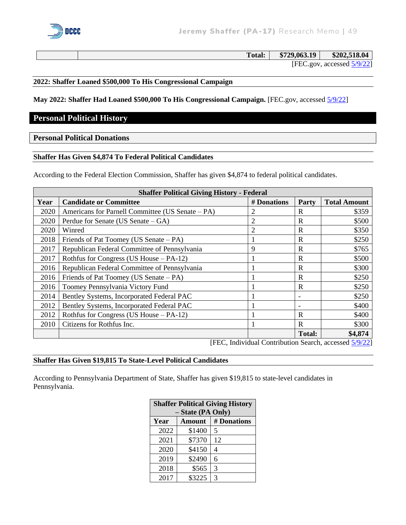

| <b>Total:</b> | \$729,063.19 | \$202,518.04               |
|---------------|--------------|----------------------------|
|               |              | [FEC.gov, accessed 5/9/22] |

#### **2022: Shaffer Loaned \$500,000 To His Congressional Campaign**

**May 2022: Shaffer Had Loaned \$500,000 To His Congressional Campaign.** [FEC.gov, accessed [5/9/22\]](https://www.fec.gov/data/candidate/H2PA17160/?cycle=2022&election_full=true)

#### **Personal Political History**

#### **Personal Political Donations**

#### **Shaffer Has Given \$4,874 To Federal Political Candidates**

According to the Federal Election Commission, Shaffer has given \$4,874 to federal political candidates.

| <b>Shaffer Political Giving History - Federal</b> |                                                  |                                                        |               |                     |
|---------------------------------------------------|--------------------------------------------------|--------------------------------------------------------|---------------|---------------------|
| Year                                              | <b>Candidate or Committee</b>                    | # Donations                                            | Party         | <b>Total Amount</b> |
| 2020                                              | Americans for Parnell Committee (US Senate – PA) | $\overline{c}$                                         | R             | \$359               |
| 2020                                              | Perdue for Senate (US Senate $-GA$ )             | $\overline{2}$                                         | R             | \$500               |
| 2020                                              | Winred                                           | 2                                                      | R             | \$350               |
| 2018                                              | Friends of Pat Toomey (US Senate – PA)           |                                                        | R             | \$250               |
| 2017                                              | Republican Federal Committee of Pennsylvania     | 9                                                      | R             | \$765               |
| 2017                                              | Rothfus for Congress (US House $- PA-12$ )       |                                                        | R             | \$500               |
| 2016                                              | Republican Federal Committee of Pennsylvania     |                                                        | R             | \$300               |
| 2016                                              | Friends of Pat Toomey (US Senate – PA)           |                                                        | R             | \$250               |
| 2016                                              | Toomey Pennsylvania Victory Fund                 |                                                        | R             | \$250               |
| 2014                                              | Bentley Systems, Incorporated Federal PAC        |                                                        |               | \$250               |
| 2012                                              | Bentley Systems, Incorporated Federal PAC        |                                                        |               | \$400               |
| 2012                                              | Rothfus for Congress (US House – PA-12)          |                                                        | R             | \$400               |
| 2010                                              | Citizens for Rothfus Inc.                        |                                                        | R             | \$300               |
|                                                   |                                                  |                                                        | <b>Total:</b> | \$4,874             |
|                                                   |                                                  | [FEC, Individual Contribution Search, accessed 5/9/22] |               |                     |

#### **Shaffer Has Given \$19,815 To State-Level Political Candidates**

According to Pennsylvania Department of State, Shaffer has given \$19,815 to state-level candidates in Pennsylvania.

| <b>Shaffer Political Giving History</b><br>- State (PA Only) |               |                |  |
|--------------------------------------------------------------|---------------|----------------|--|
| Year                                                         | <b>Amount</b> | # Donations    |  |
| 2022                                                         | \$1400        | 5              |  |
| 2021                                                         | \$7370        | 12             |  |
| 2020                                                         | \$4150        | $\overline{4}$ |  |
| 2019                                                         | \$2490        | 6              |  |
| 2018                                                         | \$565         | 3              |  |
| 2017                                                         | \$3225        | 3              |  |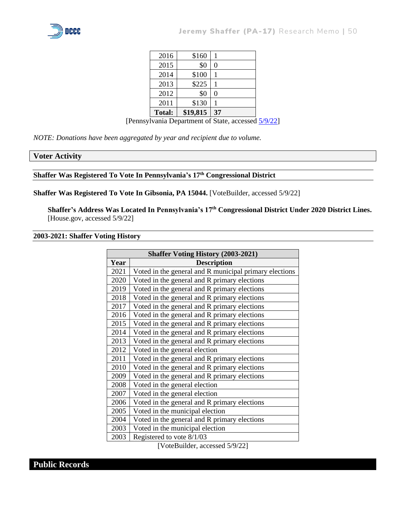

| 2016          | \$160    |    |
|---------------|----------|----|
| 2015          | \$0      | 0  |
| 2014          | \$100    |    |
| 2013          | \$225    |    |
| 2012          | \$0      | 0  |
| 2011          | \$130    |    |
| <b>Total:</b> | \$19,815 | 37 |

[Pennsylvania Department of State, accessed [5/9/22\]](https://www.campaignfinanceonline.pa.gov/Pages/CFReportSearchResults.aspx)

*NOTE: Donations have been aggregated by year and recipient due to volume.*

#### **Voter Activity**

## **Shaffer Was Registered To Vote In Pennsylvania's 17th Congressional District**

#### **Shaffer Was Registered To Vote In Gibsonia, PA 15044.** [VoteBuilder, accessed 5/9/22]

**Shaffer's Address Was Located In Pennsylvania's 17th Congressional District Under 2020 District Lines.**  [House.gov, accessed 5/9/22]

#### **2003-2021: Shaffer Voting History**

| <b>Shaffer Voting History (2003-2021)</b> |                                                        |  |  |
|-------------------------------------------|--------------------------------------------------------|--|--|
| Year                                      | <b>Description</b>                                     |  |  |
| 2021                                      | Voted in the general and R municipal primary elections |  |  |
| 2020                                      | Voted in the general and R primary elections           |  |  |
| 2019                                      | Voted in the general and R primary elections           |  |  |
| 2018                                      | Voted in the general and R primary elections           |  |  |
| 2017                                      | Voted in the general and R primary elections           |  |  |
| 2016                                      | Voted in the general and R primary elections           |  |  |
| 2015                                      | Voted in the general and R primary elections           |  |  |
| 2014                                      | Voted in the general and R primary elections           |  |  |
| 2013                                      | Voted in the general and R primary elections           |  |  |
| 2012                                      | Voted in the general election                          |  |  |
| 2011                                      | Voted in the general and R primary elections           |  |  |
| 2010                                      | Voted in the general and R primary elections           |  |  |
| 2009                                      | Voted in the general and R primary elections           |  |  |
| 2008                                      | Voted in the general election                          |  |  |
| 2007                                      | Voted in the general election                          |  |  |
| 2006                                      | Voted in the general and R primary elections           |  |  |
| 2005                                      | Voted in the municipal election                        |  |  |
| 2004                                      | Voted in the general and R primary elections           |  |  |
| 2003                                      | Voted in the municipal election                        |  |  |
| 2003                                      | Registered to vote 8/1/03                              |  |  |

[VoteBuilder, accessed 5/9/22]

**Public Records**